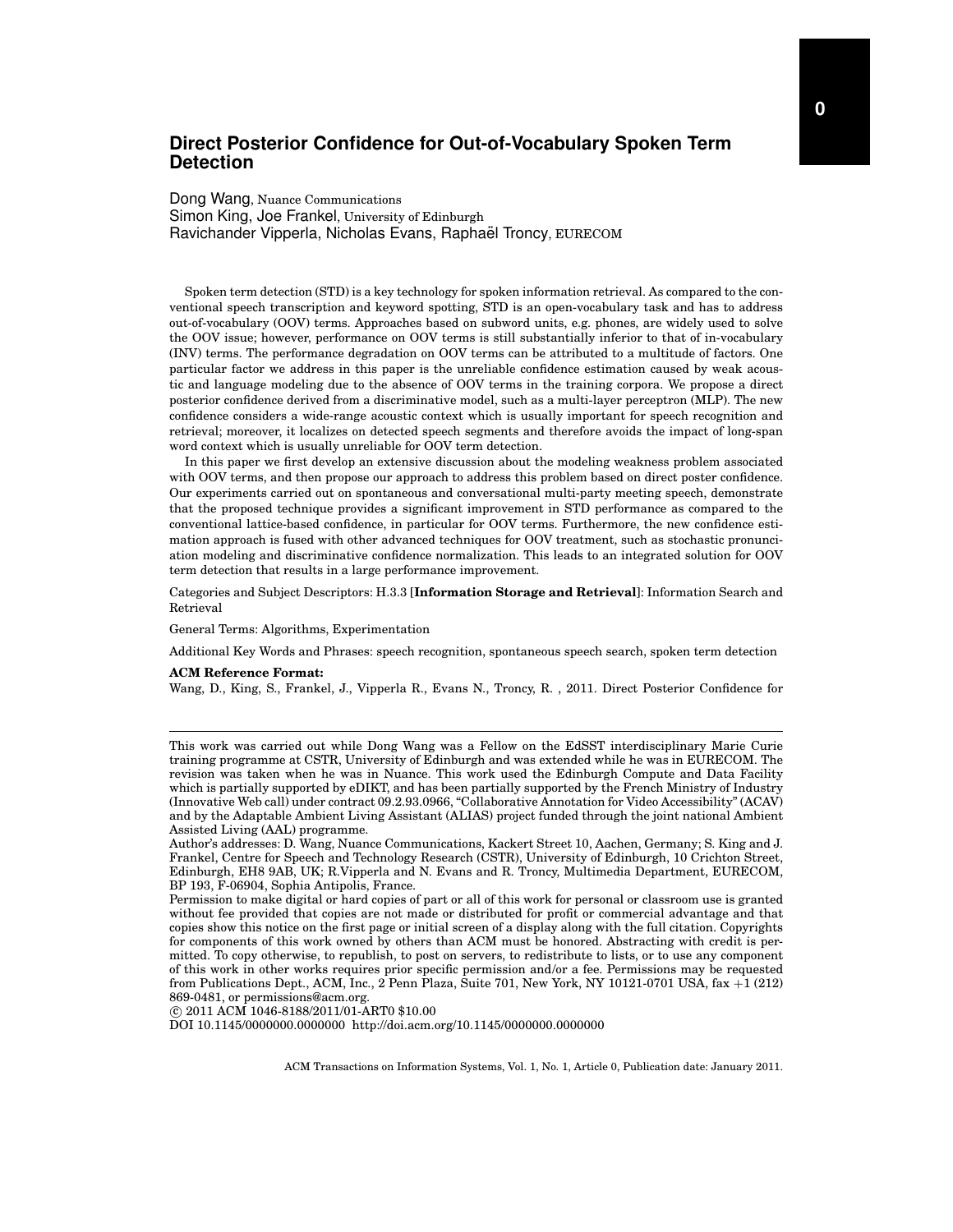Dong Wang, Nuance Communications Simon King, Joe Frankel, University of Edinburgh Ravichander Vipperla, Nicholas Evans, Raphaël Troncy, EURECOM

Spoken term detection (STD) is a key technology for spoken information retrieval. As compared to the conventional speech transcription and keyword spotting, STD is an open-vocabulary task and has to address out-of-vocabulary (OOV) terms. Approaches based on subword units, e.g. phones, are widely used to solve the OOV issue; however, performance on OOV terms is still substantially inferior to that of in-vocabulary (INV) terms. The performance degradation on OOV terms can be attributed to a multitude of factors. One particular factor we address in this paper is the unreliable confidence estimation caused by weak acoustic and language modeling due to the absence of OOV terms in the training corpora. We propose a direct posterior confidence derived from a discriminative model, such as a multi-layer perceptron (MLP). The new confidence considers a wide-range acoustic context which is usually important for speech recognition and retrieval; moreover, it localizes on detected speech segments and therefore avoids the impact of long-span word context which is usually unreliable for OOV term detection.

In this paper we first develop an extensive discussion about the modeling weakness problem associated with OOV terms, and then propose our approach to address this problem based on direct poster confidence. Our experiments carried out on spontaneous and conversational multi-party meeting speech, demonstrate that the proposed technique provides a significant improvement in STD performance as compared to the conventional lattice-based confidence, in particular for OOV terms. Furthermore, the new confidence estimation approach is fused with other advanced techniques for OOV treatment, such as stochastic pronunciation modeling and discriminative confidence normalization. This leads to an integrated solution for OOV term detection that results in a large performance improvement.

Categories and Subject Descriptors: H.3.3 [**Information Storage and Retrieval**]: Information Search and Retrieval

General Terms: Algorithms, Experimentation

Additional Key Words and Phrases: speech recognition, spontaneous speech search, spoken term detection

#### **ACM Reference Format:**

Wang, D., King, S., Frankel, J., Vipperla R., Evans N., Troncy, R. , 2011. Direct Posterior Confidence for

c 2011 ACM 1046-8188/2011/01-ART0 \$10.00

DOI 10.1145/0000000.0000000 http://doi.acm.org/10.1145/0000000.0000000

This work was carried out while Dong Wang was a Fellow on the EdSST interdisciplinary Marie Curie training programme at CSTR, University of Edinburgh and was extended while he was in EURECOM. The revision was taken when he was in Nuance. This work used the Edinburgh Compute and Data Facility which is partially supported by eDIKT, and has been partially supported by the French Ministry of Industry (Innovative Web call) under contract 09.2.93.0966, "Collaborative Annotation for Video Accessibility" (ACAV) and by the Adaptable Ambient Living Assistant (ALIAS) project funded through the joint national Ambient Assisted Living (AAL) programme.

Author's addresses: D. Wang, Nuance Communications, Kackert Street 10, Aachen, Germany; S. King and J. Frankel, Centre for Speech and Technology Research (CSTR), University of Edinburgh, 10 Crichton Street, Edinburgh, EH8 9AB, UK; R.Vipperla and N. Evans and R. Troncy, Multimedia Department, EURECOM, BP 193, F-06904, Sophia Antipolis, France.

Permission to make digital or hard copies of part or all of this work for personal or classroom use is granted without fee provided that copies are not made or distributed for profit or commercial advantage and that copies show this notice on the first page or initial screen of a display along with the full citation. Copyrights for components of this work owned by others than ACM must be honored. Abstracting with credit is permitted. To copy otherwise, to republish, to post on servers, to redistribute to lists, or to use any component of this work in other works requires prior specific permission and/or a fee. Permissions may be requested from Publications Dept., ACM, Inc., 2 Penn Plaza, Suite 701, New York, NY 10121-0701 USA, fax +1 (212) 869-0481, or permissions@acm.org.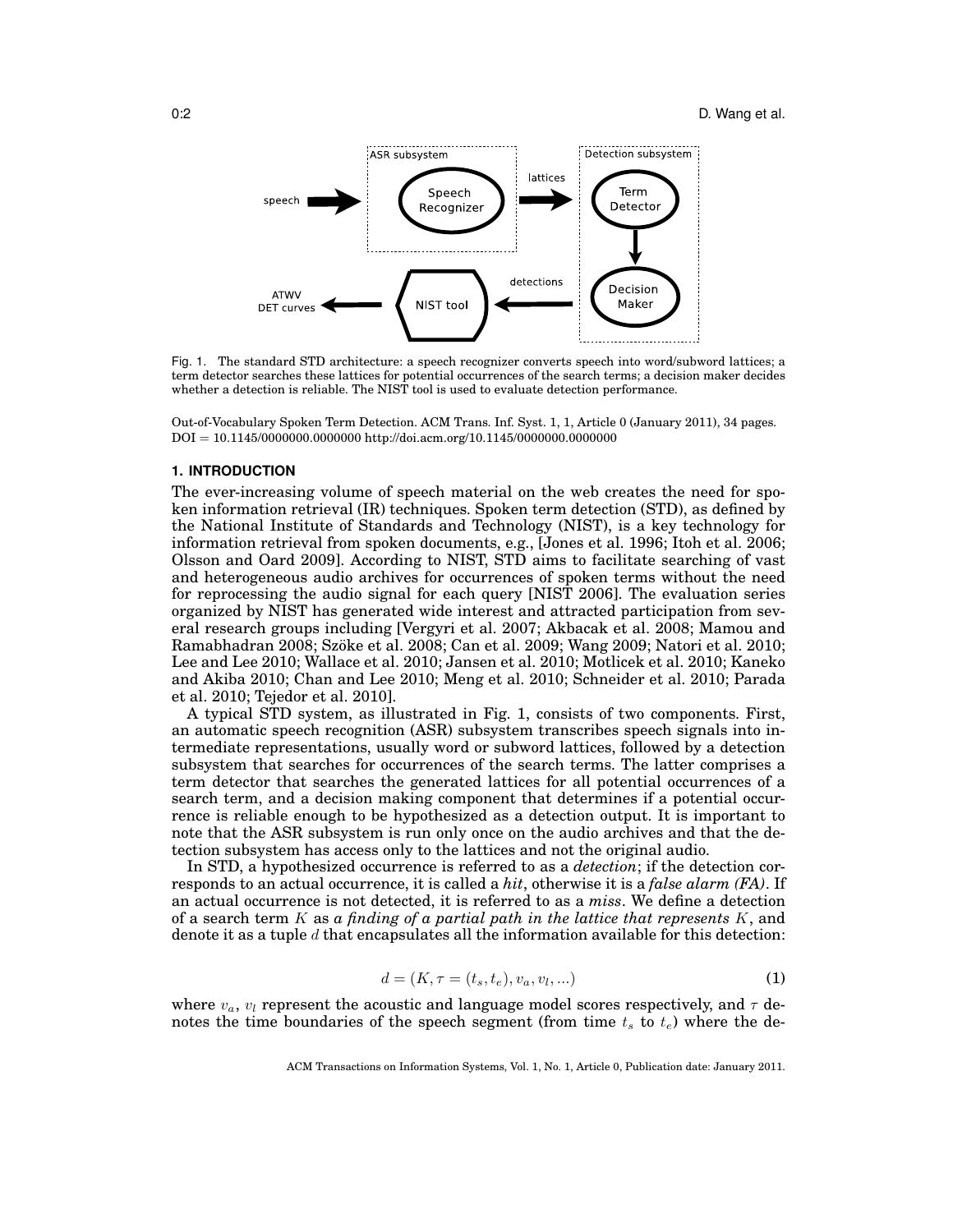

Fig. 1. The standard STD architecture: a speech recognizer converts speech into word/subword lattices; a term detector searches these lattices for potential occurrences of the search terms; a decision maker decides whether a detection is reliable. The NIST tool is used to evaluate detection performance.

Out-of-Vocabulary Spoken Term Detection. ACM Trans. Inf. Syst. 1, 1, Article 0 (January 2011), 34 pages. DOI = 10.1145/0000000.0000000 http://doi.acm.org/10.1145/0000000.0000000

#### **1. INTRODUCTION**

The ever-increasing volume of speech material on the web creates the need for spoken information retrieval (IR) techniques. Spoken term detection (STD), as defined by the National Institute of Standards and Technology (NIST), is a key technology for information retrieval from spoken documents, e.g., [Jones et al. 1996; Itoh et al. 2006; Olsson and Oard 2009]. According to NIST, STD aims to facilitate searching of vast and heterogeneous audio archives for occurrences of spoken terms without the need for reprocessing the audio signal for each query [NIST 2006]. The evaluation series organized by NIST has generated wide interest and attracted participation from several research groups including [Vergyri et al. 2007; Akbacak et al. 2008; Mamou and Ramabhadran 2008; Szoke et al. 2008; Can et al. 2009; Wang 2009; Natori et al. 2010; ¨ Lee and Lee 2010; Wallace et al. 2010; Jansen et al. 2010; Motlicek et al. 2010; Kaneko and Akiba 2010; Chan and Lee 2010; Meng et al. 2010; Schneider et al. 2010; Parada et al. 2010; Tejedor et al. 2010].

A typical STD system, as illustrated in Fig. 1, consists of two components. First, an automatic speech recognition (ASR) subsystem transcribes speech signals into intermediate representations, usually word or subword lattices, followed by a detection subsystem that searches for occurrences of the search terms. The latter comprises a term detector that searches the generated lattices for all potential occurrences of a search term, and a decision making component that determines if a potential occurrence is reliable enough to be hypothesized as a detection output. It is important to note that the ASR subsystem is run only once on the audio archives and that the detection subsystem has access only to the lattices and not the original audio.

In STD, a hypothesized occurrence is referred to as a *detection*; if the detection corresponds to an actual occurrence, it is called a *hit*, otherwise it is a *false alarm (FA)*. If an actual occurrence is not detected, it is referred to as a *miss*. We define a detection of a search term K as *a finding of a partial path in the lattice that represents* K, and denote it as a tuple  $d$  that encapsulates all the information available for this detection:

$$
d = (K, \tau = (t_s, t_e), v_a, v_l, \ldots)
$$
 (1)

where  $v_a$ ,  $v_l$  represent the acoustic and language model scores respectively, and  $\tau$  denotes the time boundaries of the speech segment (from time  $t_s$  to  $t_e$ ) where the de-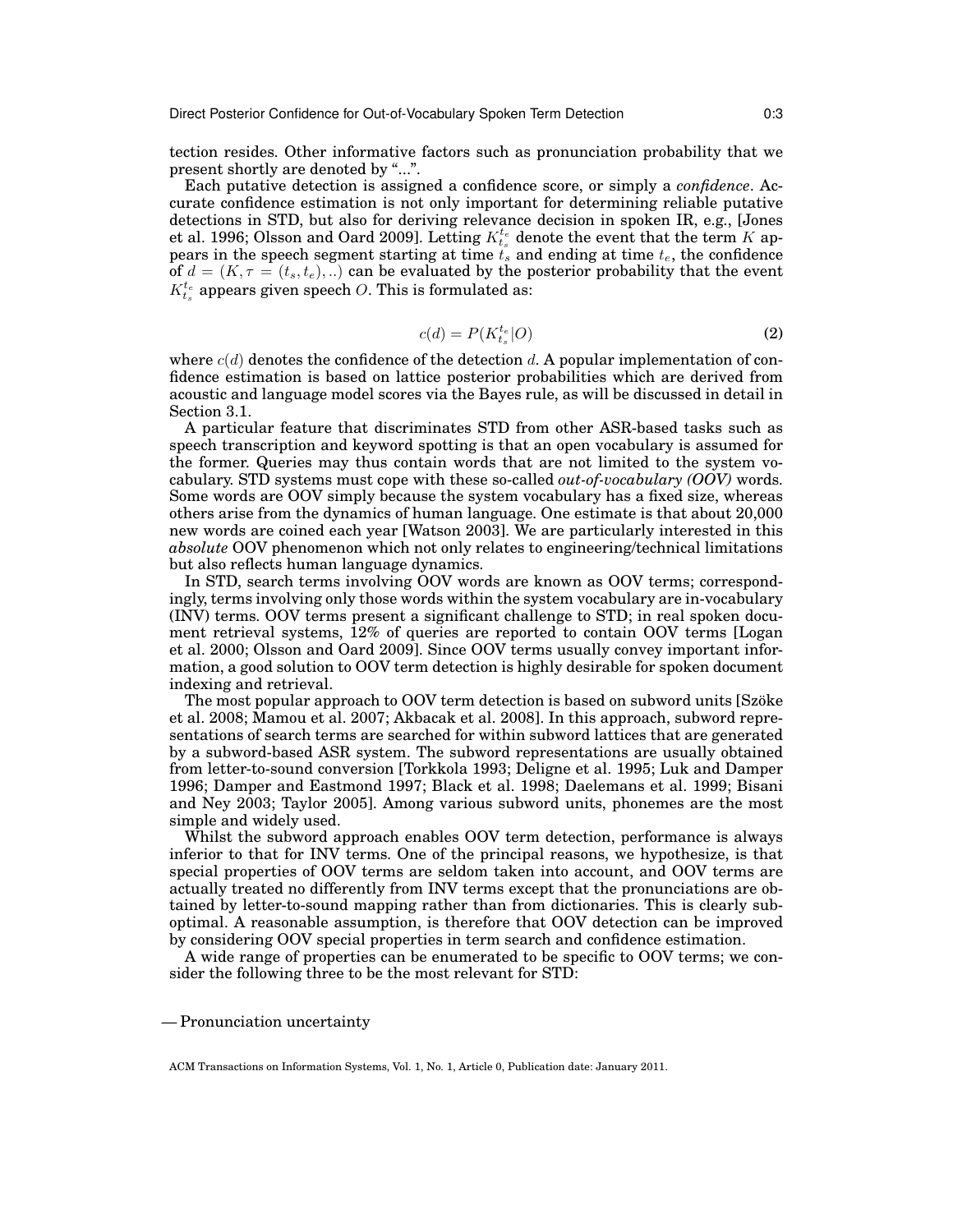tection resides. Other informative factors such as pronunciation probability that we present shortly are denoted by "...".

Each putative detection is assigned a confidence score, or simply a *confidence*. Accurate confidence estimation is not only important for determining reliable putative detections in STD, but also for deriving relevance decision in spoken IR, e.g., [Jones et al. 1996; Olsson and Oard 2009]. Letting  $K_t^{t_e}$  denote the event that the term  $K$  appears in the speech segment starting at time  $t_s$  and ending at time  $t_e$ , the confidence of  $d = (K, \tau = (t_s, t_e), ...)$  can be evaluated by the posterior probability that the event  $K_{t_s}^{t_e}$  appears given speech O. This is formulated as:

$$
c(d) = P(K_{t_s}^{t_e}|O)
$$
\n<sup>(2)</sup>

where  $c(d)$  denotes the confidence of the detection d. A popular implementation of confidence estimation is based on lattice posterior probabilities which are derived from acoustic and language model scores via the Bayes rule, as will be discussed in detail in Section 3.1.

A particular feature that discriminates STD from other ASR-based tasks such as speech transcription and keyword spotting is that an open vocabulary is assumed for the former. Queries may thus contain words that are not limited to the system vocabulary. STD systems must cope with these so-called *out-of-vocabulary (OOV)* words. Some words are OOV simply because the system vocabulary has a fixed size, whereas others arise from the dynamics of human language. One estimate is that about 20,000 new words are coined each year [Watson 2003]. We are particularly interested in this *absolute* OOV phenomenon which not only relates to engineering/technical limitations but also reflects human language dynamics.

In STD, search terms involving OOV words are known as OOV terms; correspondingly, terms involving only those words within the system vocabulary are in-vocabulary (INV) terms. OOV terms present a significant challenge to STD; in real spoken document retrieval systems, 12% of queries are reported to contain OOV terms [Logan et al. 2000; Olsson and Oard 2009]. Since OOV terms usually convey important information, a good solution to OOV term detection is highly desirable for spoken document indexing and retrieval.

The most popular approach to OOV term detection is based on subword units [Szöke] et al. 2008; Mamou et al. 2007; Akbacak et al. 2008]. In this approach, subword representations of search terms are searched for within subword lattices that are generated by a subword-based ASR system. The subword representations are usually obtained from letter-to-sound conversion [Torkkola 1993; Deligne et al. 1995; Luk and Damper 1996; Damper and Eastmond 1997; Black et al. 1998; Daelemans et al. 1999; Bisani and Ney 2003; Taylor 2005]. Among various subword units, phonemes are the most simple and widely used.

Whilst the subword approach enables OOV term detection, performance is always inferior to that for INV terms. One of the principal reasons, we hypothesize, is that special properties of OOV terms are seldom taken into account, and OOV terms are actually treated no differently from INV terms except that the pronunciations are obtained by letter-to-sound mapping rather than from dictionaries. This is clearly suboptimal. A reasonable assumption, is therefore that OOV detection can be improved by considering OOV special properties in term search and confidence estimation.

A wide range of properties can be enumerated to be specific to OOV terms; we consider the following three to be the most relevant for STD:

— Pronunciation uncertainty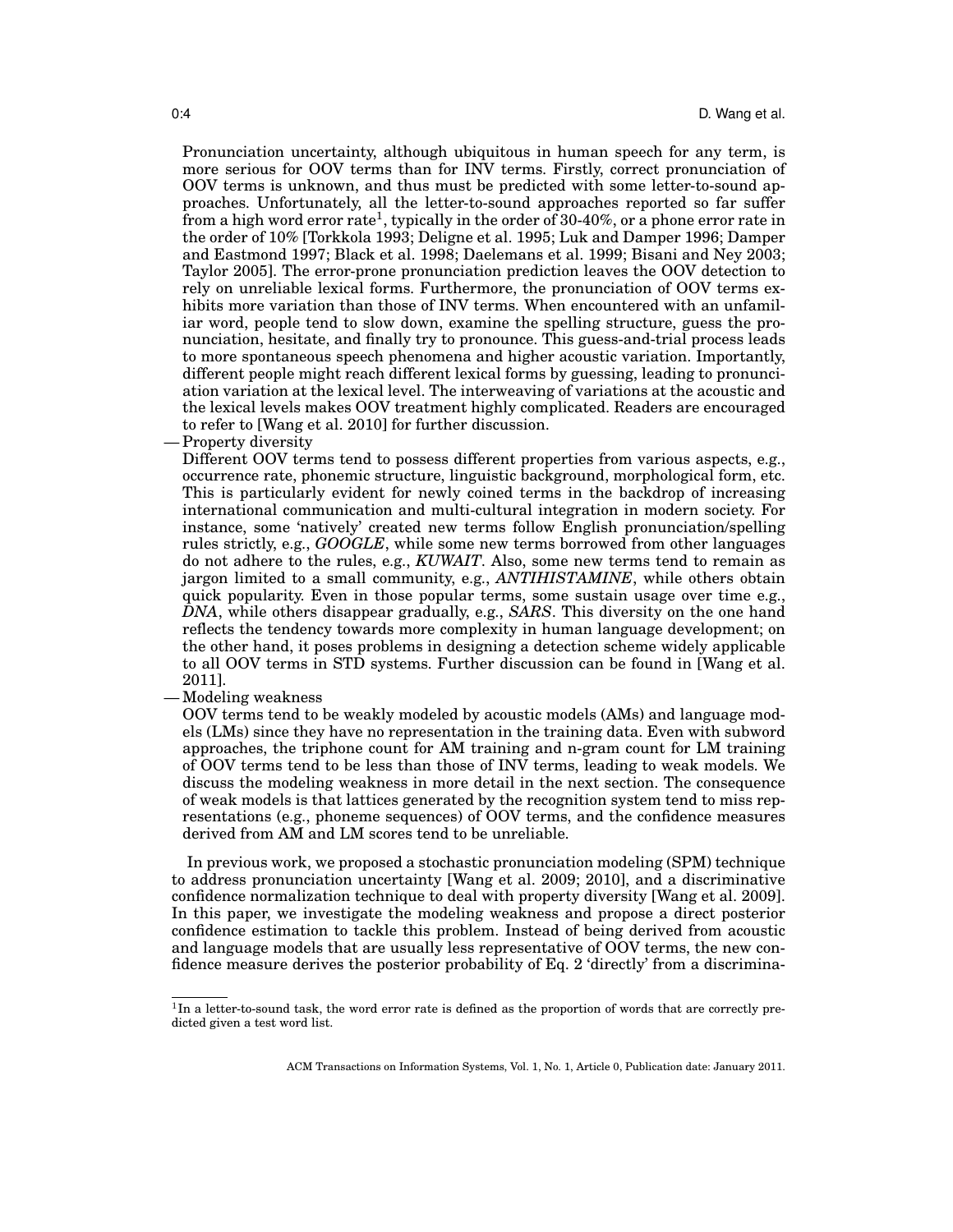Pronunciation uncertainty, although ubiquitous in human speech for any term, is more serious for OOV terms than for INV terms. Firstly, correct pronunciation of OOV terms is unknown, and thus must be predicted with some letter-to-sound approaches. Unfortunately, all the letter-to-sound approaches reported so far suffer from a high word error rate<sup>1</sup>, typically in the order of 30-40%, or a phone error rate in the order of 10% [Torkkola 1993; Deligne et al. 1995; Luk and Damper 1996; Damper and Eastmond 1997; Black et al. 1998; Daelemans et al. 1999; Bisani and Ney 2003; Taylor 2005]. The error-prone pronunciation prediction leaves the OOV detection to rely on unreliable lexical forms. Furthermore, the pronunciation of OOV terms exhibits more variation than those of INV terms. When encountered with an unfamiliar word, people tend to slow down, examine the spelling structure, guess the pronunciation, hesitate, and finally try to pronounce. This guess-and-trial process leads to more spontaneous speech phenomena and higher acoustic variation. Importantly, different people might reach different lexical forms by guessing, leading to pronunciation variation at the lexical level. The interweaving of variations at the acoustic and the lexical levels makes OOV treatment highly complicated. Readers are encouraged to refer to [Wang et al. 2010] for further discussion.

— Property diversity

Different OOV terms tend to possess different properties from various aspects, e.g., occurrence rate, phonemic structure, linguistic background, morphological form, etc. This is particularly evident for newly coined terms in the backdrop of increasing international communication and multi-cultural integration in modern society. For instance, some 'natively' created new terms follow English pronunciation/spelling rules strictly, e.g., *GOOGLE*, while some new terms borrowed from other languages do not adhere to the rules, e.g., *KUWAIT*. Also, some new terms tend to remain as jargon limited to a small community, e.g., *ANTIHISTAMINE*, while others obtain quick popularity. Even in those popular terms, some sustain usage over time e.g., *DNA*, while others disappear gradually, e.g., *SARS*. This diversity on the one hand reflects the tendency towards more complexity in human language development; on the other hand, it poses problems in designing a detection scheme widely applicable to all OOV terms in STD systems. Further discussion can be found in [Wang et al. 2011].

### — Modeling weakness

OOV terms tend to be weakly modeled by acoustic models (AMs) and language models (LMs) since they have no representation in the training data. Even with subword approaches, the triphone count for AM training and n-gram count for LM training of OOV terms tend to be less than those of INV terms, leading to weak models. We discuss the modeling weakness in more detail in the next section. The consequence of weak models is that lattices generated by the recognition system tend to miss representations (e.g., phoneme sequences) of OOV terms, and the confidence measures derived from AM and LM scores tend to be unreliable.

In previous work, we proposed a stochastic pronunciation modeling (SPM) technique to address pronunciation uncertainty [Wang et al. 2009; 2010], and a discriminative confidence normalization technique to deal with property diversity [Wang et al. 2009]. In this paper, we investigate the modeling weakness and propose a direct posterior confidence estimation to tackle this problem. Instead of being derived from acoustic and language models that are usually less representative of OOV terms, the new confidence measure derives the posterior probability of Eq. 2 'directly' from a discrimina-

<sup>&</sup>lt;sup>1</sup>In a letter-to-sound task, the word error rate is defined as the proportion of words that are correctly predicted given a test word list.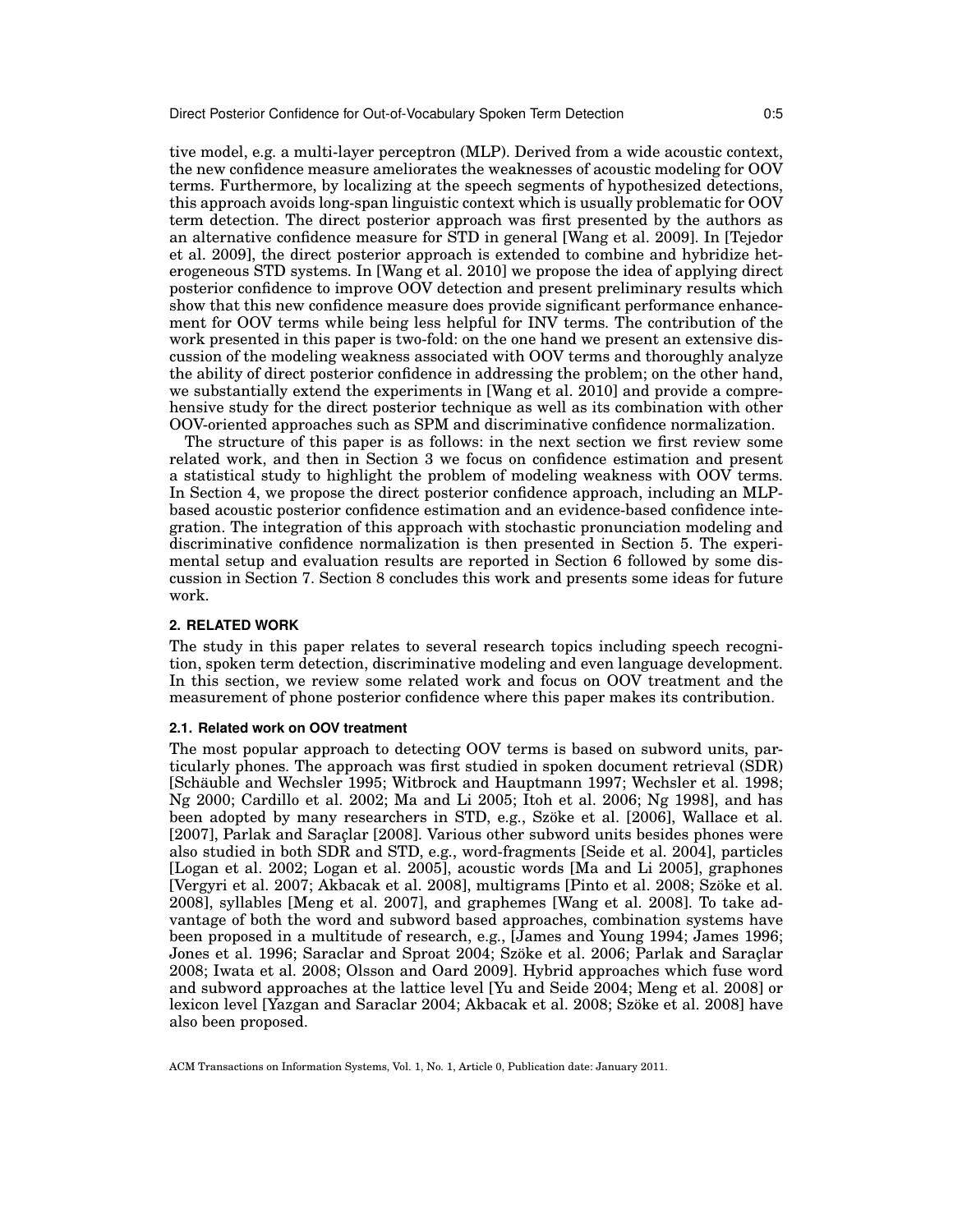tive model, e.g. a multi-layer perceptron (MLP). Derived from a wide acoustic context, the new confidence measure ameliorates the weaknesses of acoustic modeling for OOV terms. Furthermore, by localizing at the speech segments of hypothesized detections, this approach avoids long-span linguistic context which is usually problematic for OOV term detection. The direct posterior approach was first presented by the authors as an alternative confidence measure for STD in general [Wang et al. 2009]. In [Tejedor et al. 2009], the direct posterior approach is extended to combine and hybridize heterogeneous STD systems. In [Wang et al. 2010] we propose the idea of applying direct posterior confidence to improve OOV detection and present preliminary results which show that this new confidence measure does provide significant performance enhancement for OOV terms while being less helpful for INV terms. The contribution of the work presented in this paper is two-fold: on the one hand we present an extensive discussion of the modeling weakness associated with OOV terms and thoroughly analyze the ability of direct posterior confidence in addressing the problem; on the other hand, we substantially extend the experiments in [Wang et al. 2010] and provide a comprehensive study for the direct posterior technique as well as its combination with other OOV-oriented approaches such as SPM and discriminative confidence normalization.

The structure of this paper is as follows: in the next section we first review some related work, and then in Section 3 we focus on confidence estimation and present a statistical study to highlight the problem of modeling weakness with OOV terms. In Section 4, we propose the direct posterior confidence approach, including an MLPbased acoustic posterior confidence estimation and an evidence-based confidence integration. The integration of this approach with stochastic pronunciation modeling and discriminative confidence normalization is then presented in Section 5. The experimental setup and evaluation results are reported in Section 6 followed by some discussion in Section 7. Section 8 concludes this work and presents some ideas for future work.

#### **2. RELATED WORK**

The study in this paper relates to several research topics including speech recognition, spoken term detection, discriminative modeling and even language development. In this section, we review some related work and focus on OOV treatment and the measurement of phone posterior confidence where this paper makes its contribution.

### **2.1. Related work on OOV treatment**

The most popular approach to detecting OOV terms is based on subword units, particularly phones. The approach was first studied in spoken document retrieval (SDR) [Schäuble and Wechsler 1995; Witbrock and Hauptmann 1997; Wechsler et al. 1998; Ng 2000; Cardillo et al. 2002; Ma and Li 2005; Itoh et al. 2006; Ng 1998], and has been adopted by many researchers in STD, e.g., Szöke et al. [2006], Wallace et al. [2007], Parlak and Saraçlar [2008]. Various other subword units besides phones were also studied in both SDR and STD, e.g., word-fragments [Seide et al. 2004], particles [Logan et al. 2002; Logan et al. 2005], acoustic words [Ma and Li 2005], graphones [Vergyri et al. 2007; Akbacak et al. 2008], multigrams [Pinto et al. 2008; Szöke et al. 2008], syllables [Meng et al. 2007], and graphemes [Wang et al. 2008]. To take advantage of both the word and subword based approaches, combination systems have been proposed in a multitude of research, e.g., [James and Young 1994; James 1996; Jones et al. 1996; Saraclar and Sproat 2004; Szöke et al. 2006; Parlak and Saraçlar 2008; Iwata et al. 2008; Olsson and Oard 2009]. Hybrid approaches which fuse word and subword approaches at the lattice level [Yu and Seide 2004; Meng et al. 2008] or lexicon level [Yazgan and Saraclar 2004; Akbacak et al. 2008; Szoke et al. 2008] have ¨ also been proposed.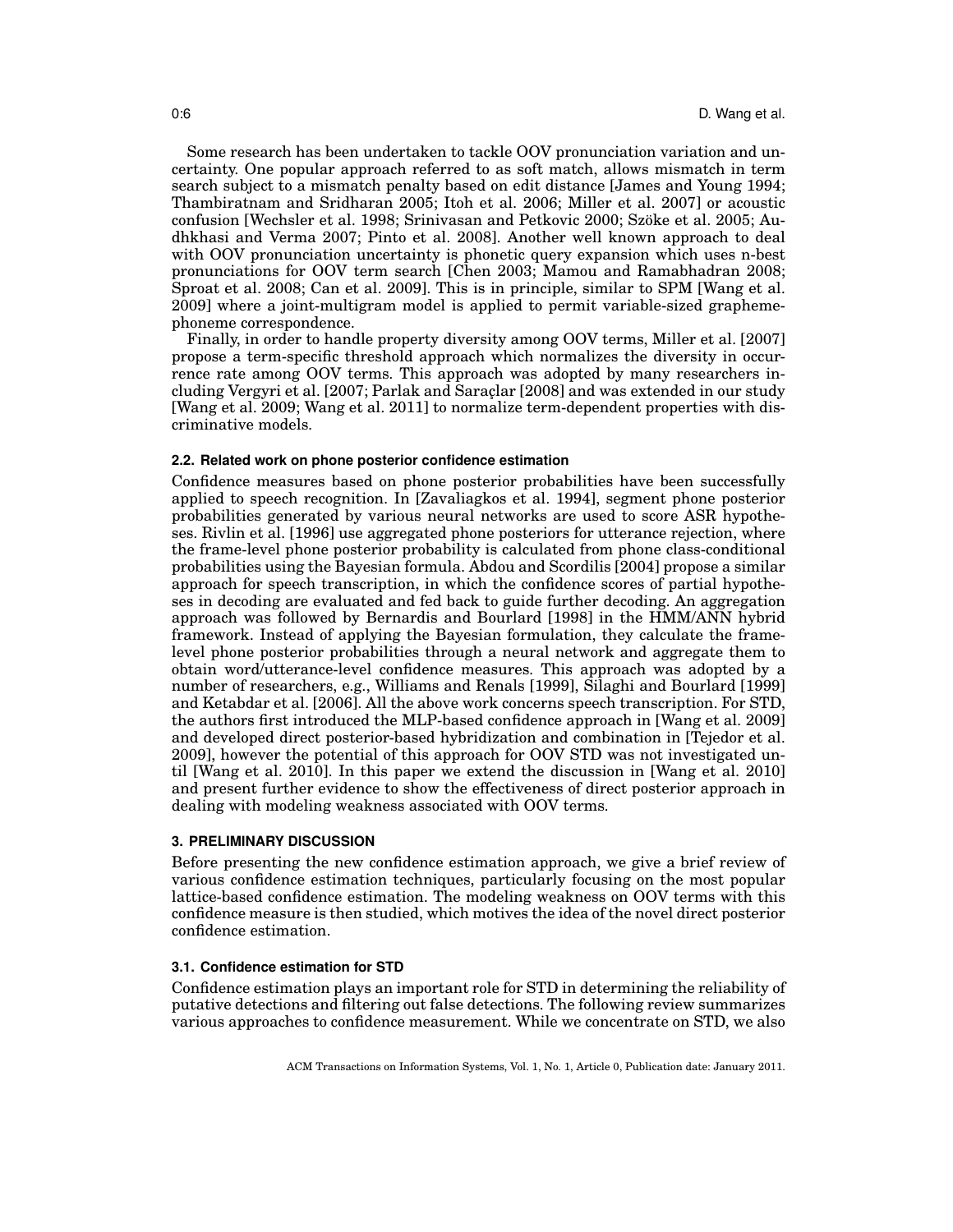Some research has been undertaken to tackle OOV pronunciation variation and uncertainty. One popular approach referred to as soft match, allows mismatch in term search subject to a mismatch penalty based on edit distance [James and Young 1994; Thambiratnam and Sridharan 2005; Itoh et al. 2006; Miller et al. 2007] or acoustic confusion [Wechsler et al. 1998; Srinivasan and Petkovic 2000; Szoke et al. 2005; Au- ¨ dhkhasi and Verma 2007; Pinto et al. 2008]. Another well known approach to deal with OOV pronunciation uncertainty is phonetic query expansion which uses n-best pronunciations for OOV term search [Chen 2003; Mamou and Ramabhadran 2008; Sproat et al. 2008; Can et al. 2009]. This is in principle, similar to SPM [Wang et al. 2009] where a joint-multigram model is applied to permit variable-sized graphemephoneme correspondence.

Finally, in order to handle property diversity among OOV terms, Miller et al. [2007] propose a term-specific threshold approach which normalizes the diversity in occurrence rate among OOV terms. This approach was adopted by many researchers including Vergyri et al. [2007; Parlak and Saraclar [2008] and was extended in our study [Wang et al. 2009; Wang et al. 2011] to normalize term-dependent properties with discriminative models.

#### **2.2. Related work on phone posterior confidence estimation**

Confidence measures based on phone posterior probabilities have been successfully applied to speech recognition. In [Zavaliagkos et al. 1994], segment phone posterior probabilities generated by various neural networks are used to score ASR hypotheses. Rivlin et al. [1996] use aggregated phone posteriors for utterance rejection, where the frame-level phone posterior probability is calculated from phone class-conditional probabilities using the Bayesian formula. Abdou and Scordilis [2004] propose a similar approach for speech transcription, in which the confidence scores of partial hypotheses in decoding are evaluated and fed back to guide further decoding. An aggregation approach was followed by Bernardis and Bourlard [1998] in the HMM/ANN hybrid framework. Instead of applying the Bayesian formulation, they calculate the framelevel phone posterior probabilities through a neural network and aggregate them to obtain word/utterance-level confidence measures. This approach was adopted by a number of researchers, e.g., Williams and Renals [1999], Silaghi and Bourlard [1999] and Ketabdar et al. [2006]. All the above work concerns speech transcription. For STD, the authors first introduced the MLP-based confidence approach in [Wang et al. 2009] and developed direct posterior-based hybridization and combination in [Tejedor et al. 2009], however the potential of this approach for OOV STD was not investigated until [Wang et al. 2010]. In this paper we extend the discussion in [Wang et al. 2010] and present further evidence to show the effectiveness of direct posterior approach in dealing with modeling weakness associated with OOV terms.

#### **3. PRELIMINARY DISCUSSION**

Before presenting the new confidence estimation approach, we give a brief review of various confidence estimation techniques, particularly focusing on the most popular lattice-based confidence estimation. The modeling weakness on OOV terms with this confidence measure is then studied, which motives the idea of the novel direct posterior confidence estimation.

## **3.1. Confidence estimation for STD**

Confidence estimation plays an important role for STD in determining the reliability of putative detections and filtering out false detections. The following review summarizes various approaches to confidence measurement. While we concentrate on STD, we also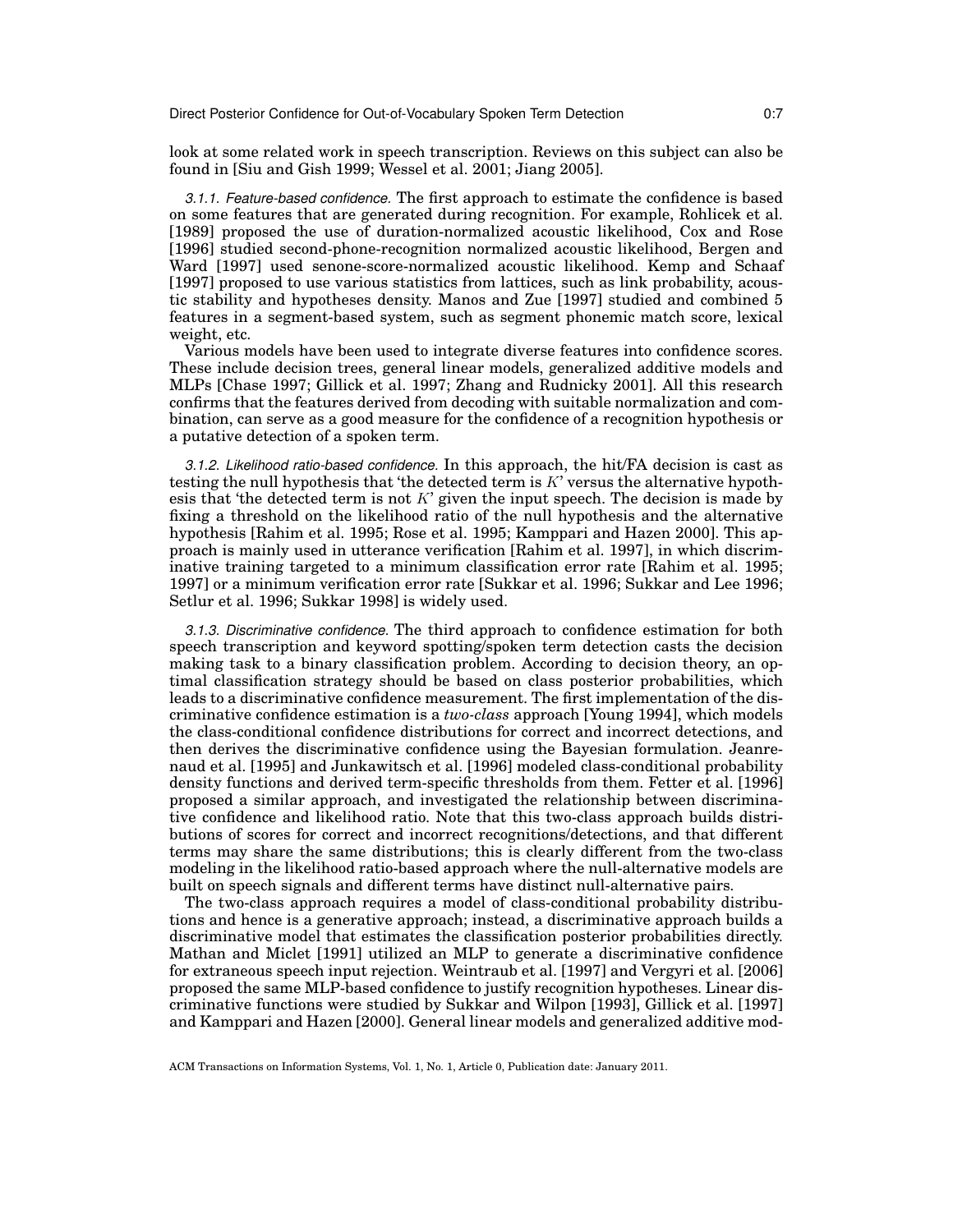look at some related work in speech transcription. Reviews on this subject can also be found in [Siu and Gish 1999; Wessel et al. 2001; Jiang 2005].

*3.1.1. Feature-based confidence.* The first approach to estimate the confidence is based on some features that are generated during recognition. For example, Rohlicek et al. [1989] proposed the use of duration-normalized acoustic likelihood, Cox and Rose [1996] studied second-phone-recognition normalized acoustic likelihood, Bergen and Ward [1997] used senone-score-normalized acoustic likelihood. Kemp and Schaaf [1997] proposed to use various statistics from lattices, such as link probability, acoustic stability and hypotheses density. Manos and Zue [1997] studied and combined 5 features in a segment-based system, such as segment phonemic match score, lexical weight, etc.

Various models have been used to integrate diverse features into confidence scores. These include decision trees, general linear models, generalized additive models and MLPs [Chase 1997; Gillick et al. 1997; Zhang and Rudnicky 2001]. All this research confirms that the features derived from decoding with suitable normalization and combination, can serve as a good measure for the confidence of a recognition hypothesis or a putative detection of a spoken term.

*3.1.2. Likelihood ratio-based confidence.* In this approach, the hit/FA decision is cast as testing the null hypothesis that 'the detected term is  $K'$  versus the alternative hypothesis that 'the detected term is not  $K'$  given the input speech. The decision is made by fixing a threshold on the likelihood ratio of the null hypothesis and the alternative hypothesis [Rahim et al. 1995; Rose et al. 1995; Kamppari and Hazen 2000]. This approach is mainly used in utterance verification [Rahim et al. 1997], in which discriminative training targeted to a minimum classification error rate [Rahim et al. 1995; 1997] or a minimum verification error rate [Sukkar et al. 1996; Sukkar and Lee 1996; Setlur et al. 1996; Sukkar 1998] is widely used.

*3.1.3. Discriminative confidence.* The third approach to confidence estimation for both speech transcription and keyword spotting/spoken term detection casts the decision making task to a binary classification problem. According to decision theory, an optimal classification strategy should be based on class posterior probabilities, which leads to a discriminative confidence measurement. The first implementation of the discriminative confidence estimation is a *two-class* approach [Young 1994], which models the class-conditional confidence distributions for correct and incorrect detections, and then derives the discriminative confidence using the Bayesian formulation. Jeanrenaud et al. [1995] and Junkawitsch et al. [1996] modeled class-conditional probability density functions and derived term-specific thresholds from them. Fetter et al. [1996] proposed a similar approach, and investigated the relationship between discriminative confidence and likelihood ratio. Note that this two-class approach builds distributions of scores for correct and incorrect recognitions/detections, and that different terms may share the same distributions; this is clearly different from the two-class modeling in the likelihood ratio-based approach where the null-alternative models are built on speech signals and different terms have distinct null-alternative pairs.

The two-class approach requires a model of class-conditional probability distributions and hence is a generative approach; instead, a discriminative approach builds a discriminative model that estimates the classification posterior probabilities directly. Mathan and Miclet [1991] utilized an MLP to generate a discriminative confidence for extraneous speech input rejection. Weintraub et al. [1997] and Vergyri et al. [2006] proposed the same MLP-based confidence to justify recognition hypotheses. Linear discriminative functions were studied by Sukkar and Wilpon [1993], Gillick et al. [1997] and Kamppari and Hazen [2000]. General linear models and generalized additive mod-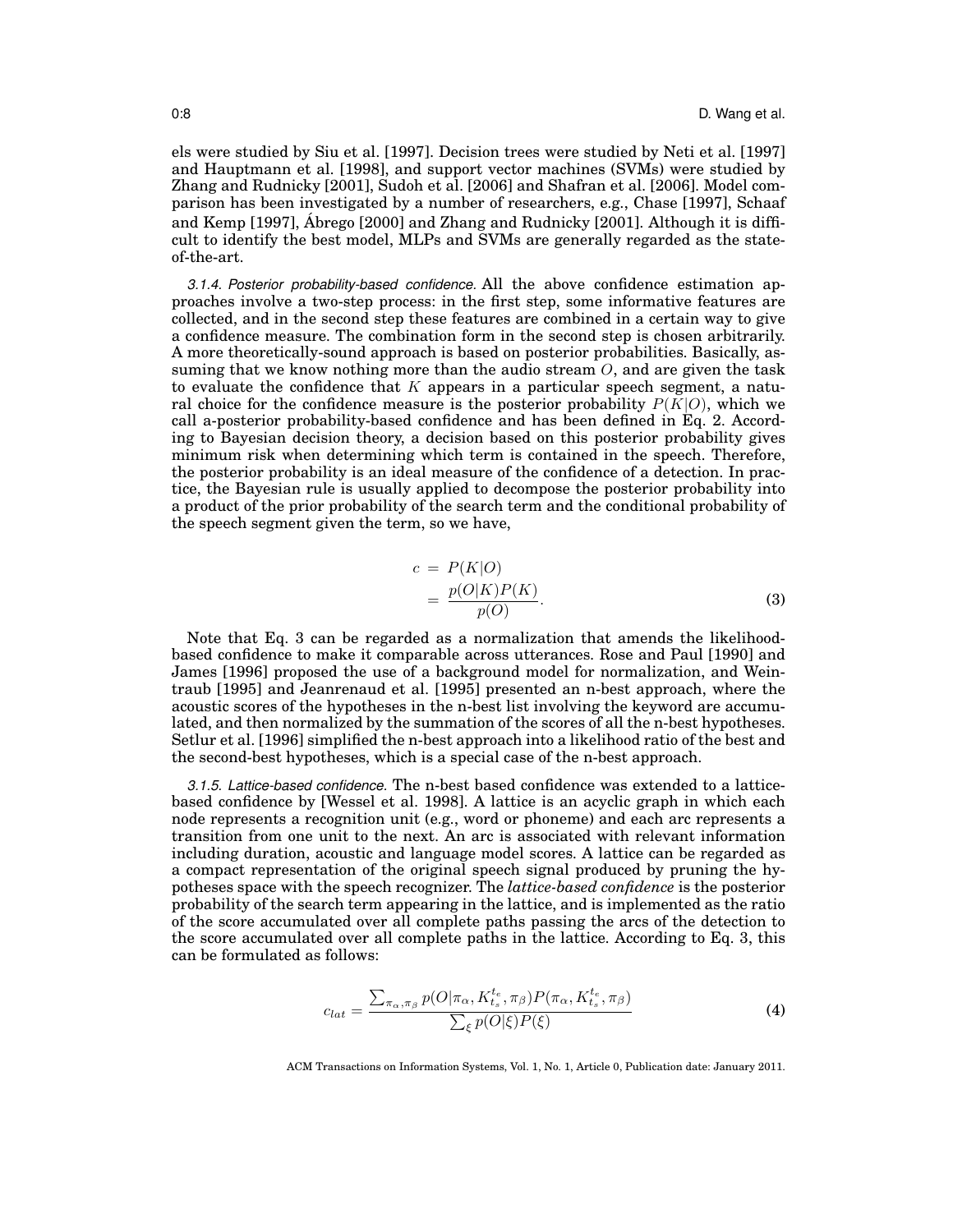els were studied by Siu et al. [1997]. Decision trees were studied by Neti et al. [1997] and Hauptmann et al. [1998], and support vector machines (SVMs) were studied by Zhang and Rudnicky [2001], Sudoh et al. [2006] and Shafran et al. [2006]. Model comparison has been investigated by a number of researchers, e.g., Chase [1997], Schaaf and Kemp [1997], Abrego [2000] and Zhang and Rudnicky [2001]. Although it is diffi- ´ cult to identify the best model, MLPs and SVMs are generally regarded as the stateof-the-art.

*3.1.4. Posterior probability-based confidence.* All the above confidence estimation approaches involve a two-step process: in the first step, some informative features are collected, and in the second step these features are combined in a certain way to give a confidence measure. The combination form in the second step is chosen arbitrarily. A more theoretically-sound approach is based on posterior probabilities. Basically, assuming that we know nothing more than the audio stream  $O$ , and are given the task to evaluate the confidence that  $K$  appears in a particular speech segment, a natural choice for the confidence measure is the posterior probability  $P(K|O)$ , which we call a-posterior probability-based confidence and has been defined in Eq. 2. According to Bayesian decision theory, a decision based on this posterior probability gives minimum risk when determining which term is contained in the speech. Therefore, the posterior probability is an ideal measure of the confidence of a detection. In practice, the Bayesian rule is usually applied to decompose the posterior probability into a product of the prior probability of the search term and the conditional probability of the speech segment given the term, so we have,

$$
c = P(K|O)
$$
  
= 
$$
\frac{p(O|K)P(K)}{p(O)}.
$$
 (3)

Note that Eq. 3 can be regarded as a normalization that amends the likelihoodbased confidence to make it comparable across utterances. Rose and Paul [1990] and James [1996] proposed the use of a background model for normalization, and Weintraub [1995] and Jeanrenaud et al. [1995] presented an n-best approach, where the acoustic scores of the hypotheses in the n-best list involving the keyword are accumulated, and then normalized by the summation of the scores of all the n-best hypotheses. Setlur et al. [1996] simplified the n-best approach into a likelihood ratio of the best and the second-best hypotheses, which is a special case of the n-best approach.

*3.1.5. Lattice-based confidence.* The n-best based confidence was extended to a latticebased confidence by [Wessel et al. 1998]. A lattice is an acyclic graph in which each node represents a recognition unit (e.g., word or phoneme) and each arc represents a transition from one unit to the next. An arc is associated with relevant information including duration, acoustic and language model scores. A lattice can be regarded as a compact representation of the original speech signal produced by pruning the hypotheses space with the speech recognizer. The *lattice-based confidence* is the posterior probability of the search term appearing in the lattice, and is implemented as the ratio of the score accumulated over all complete paths passing the arcs of the detection to the score accumulated over all complete paths in the lattice. According to Eq. 3, this can be formulated as follows:

$$
c_{lat} = \frac{\sum_{\pi_{\alpha}, \pi_{\beta}} p(O|\pi_{\alpha}, K_{t_s}^{t_e}, \pi_{\beta}) P(\pi_{\alpha}, K_{t_s}^{t_e}, \pi_{\beta})}{\sum_{\xi} p(O|\xi) P(\xi)} \tag{4}
$$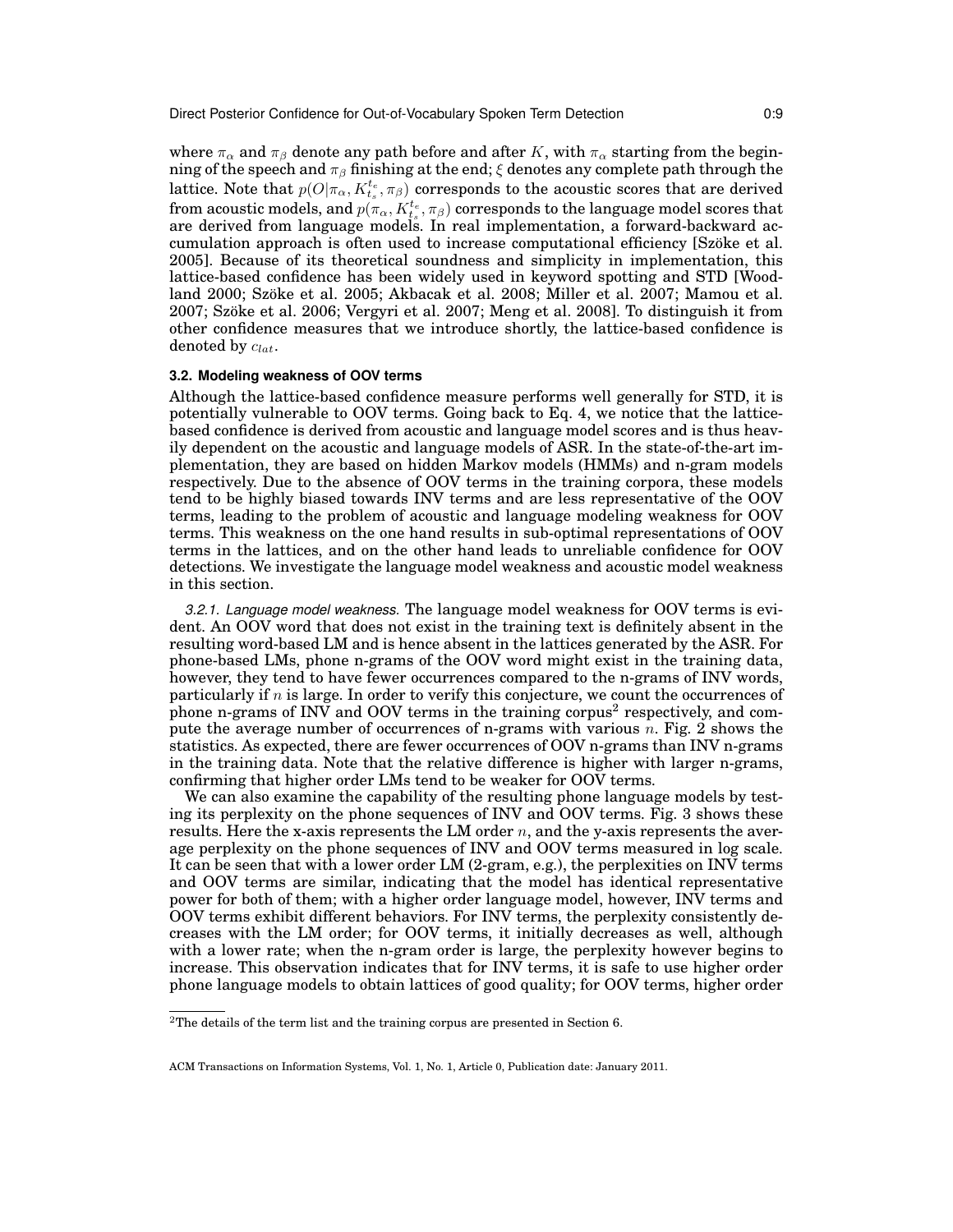where  $\pi_{\alpha}$  and  $\pi_{\beta}$  denote any path before and after K, with  $\pi_{\alpha}$  starting from the beginning of the speech and  $\pi_\beta$  finishing at the end;  $\xi$  denotes any complete path through the lattice. Note that  $p(O | \pi_\alpha, K_{t_s}^{t_e}, \pi_\beta)$  corresponds to the acoustic scores that are derived from acoustic models, and  $p(\pi_{\alpha}, K^{t_e}_{t_s}, \pi_{\beta})$  corresponds to the language model scores that are derived from language models. In real implementation, a forward-backward accumulation approach is often used to increase computational efficiency [Szöke et al. 2005]. Because of its theoretical soundness and simplicity in implementation, this lattice-based confidence has been widely used in keyword spotting and STD [Woodland 2000; Szöke et al. 2005; Akbacak et al. 2008; Miller et al. 2007; Mamou et al. 2007; Szoke et al. 2006; Vergyri et al. 2007; Meng et al. 2008]. To distinguish it from ¨ other confidence measures that we introduce shortly, the lattice-based confidence is denoted by  $c_{lat}$ .

## **3.2. Modeling weakness of OOV terms**

Although the lattice-based confidence measure performs well generally for STD, it is potentially vulnerable to OOV terms. Going back to Eq. 4, we notice that the latticebased confidence is derived from acoustic and language model scores and is thus heavily dependent on the acoustic and language models of ASR. In the state-of-the-art implementation, they are based on hidden Markov models (HMMs) and n-gram models respectively. Due to the absence of OOV terms in the training corpora, these models tend to be highly biased towards INV terms and are less representative of the OOV terms, leading to the problem of acoustic and language modeling weakness for OOV terms. This weakness on the one hand results in sub-optimal representations of OOV terms in the lattices, and on the other hand leads to unreliable confidence for OOV detections. We investigate the language model weakness and acoustic model weakness in this section.

*3.2.1. Language model weakness.* The language model weakness for OOV terms is evident. An OOV word that does not exist in the training text is definitely absent in the resulting word-based LM and is hence absent in the lattices generated by the ASR. For phone-based LMs, phone n-grams of the OOV word might exist in the training data, however, they tend to have fewer occurrences compared to the n-grams of INV words, particularly if  $n$  is large. In order to verify this conjecture, we count the occurrences of phone n-grams of INV and OOV terms in the training corpus<sup>2</sup> respectively, and compute the average number of occurrences of n-grams with various  $n$ . Fig. 2 shows the statistics. As expected, there are fewer occurrences of OOV n-grams than INV n-grams in the training data. Note that the relative difference is higher with larger n-grams, confirming that higher order LMs tend to be weaker for OOV terms.

We can also examine the capability of the resulting phone language models by testing its perplexity on the phone sequences of INV and OOV terms. Fig. 3 shows these results. Here the x-axis represents the LM order  $n$ , and the y-axis represents the average perplexity on the phone sequences of INV and OOV terms measured in log scale. It can be seen that with a lower order LM (2-gram, e.g.), the perplexities on INV terms and OOV terms are similar, indicating that the model has identical representative power for both of them; with a higher order language model, however, INV terms and OOV terms exhibit different behaviors. For INV terms, the perplexity consistently decreases with the LM order; for OOV terms, it initially decreases as well, although with a lower rate; when the n-gram order is large, the perplexity however begins to increase. This observation indicates that for INV terms, it is safe to use higher order phone language models to obtain lattices of good quality; for OOV terms, higher order

<sup>&</sup>lt;sup>2</sup>The details of the term list and the training corpus are presented in Section 6.

ACM Transactions on Information Systems, Vol. 1, No. 1, Article 0, Publication date: January 2011.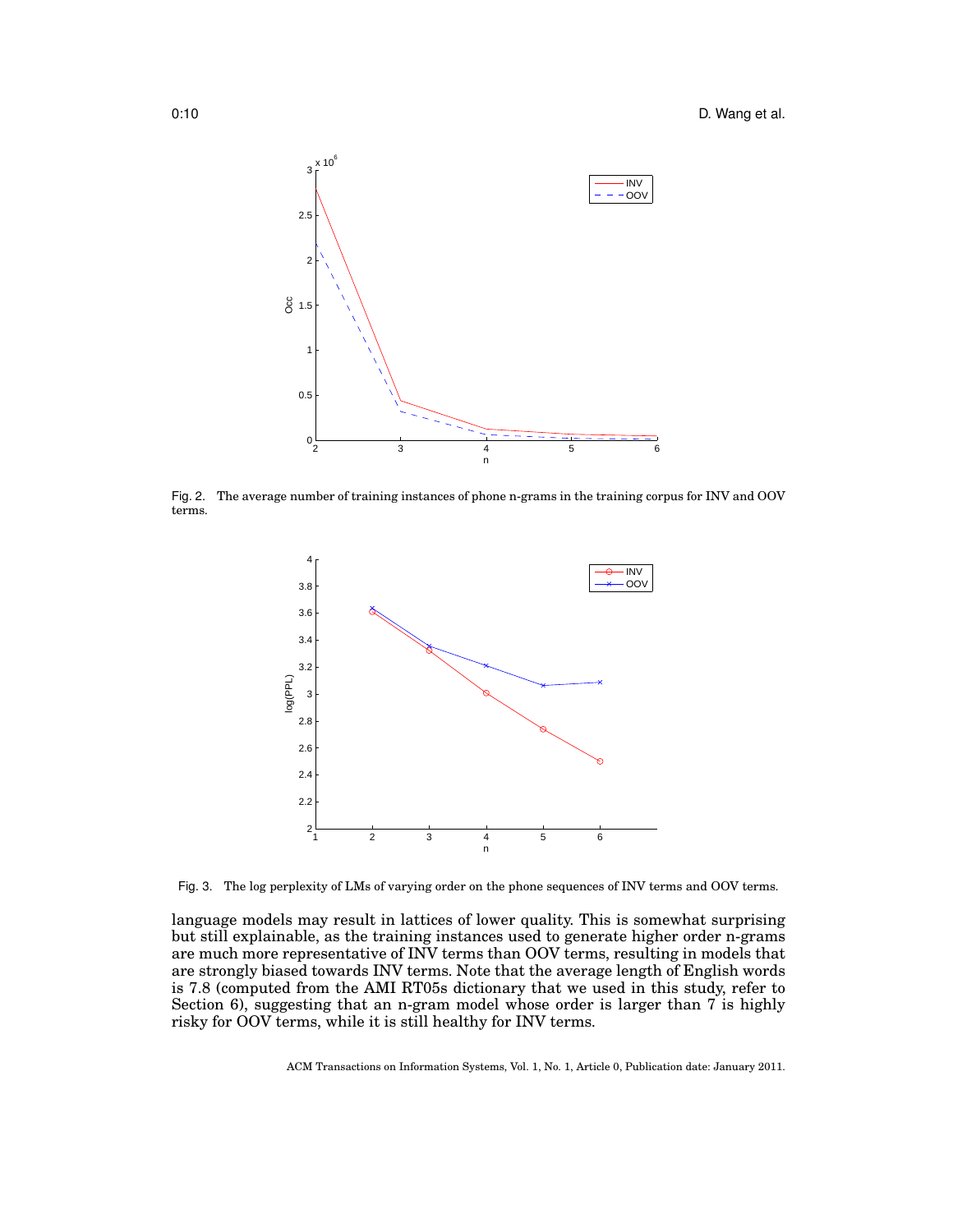

Fig. 2. The average number of training instances of phone n-grams in the training corpus for INV and OOV terms.



Fig. 3. The log perplexity of LMs of varying order on the phone sequences of INV terms and OOV terms.

language models may result in lattices of lower quality. This is somewhat surprising but still explainable, as the training instances used to generate higher order n-grams are much more representative of INV terms than OOV terms, resulting in models that are strongly biased towards INV terms. Note that the average length of English words is 7.8 (computed from the AMI RT05s dictionary that we used in this study, refer to Section 6), suggesting that an n-gram model whose order is larger than 7 is highly risky for OOV terms, while it is still healthy for INV terms.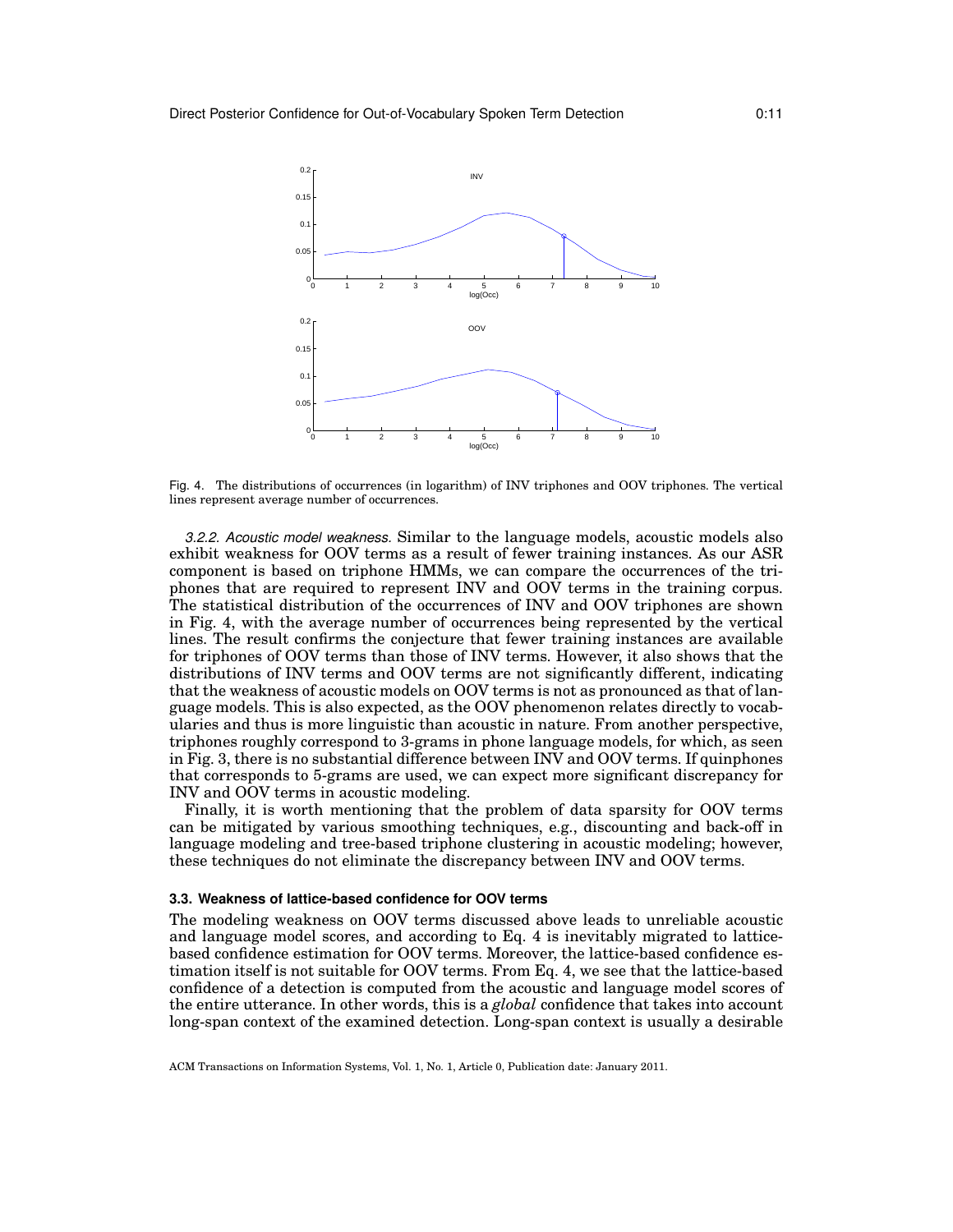

Fig. 4. The distributions of occurrences (in logarithm) of INV triphones and OOV triphones. The vertical lines represent average number of occurrences.

*3.2.2. Acoustic model weakness.* Similar to the language models, acoustic models also exhibit weakness for OOV terms as a result of fewer training instances. As our ASR component is based on triphone HMMs, we can compare the occurrences of the triphones that are required to represent INV and OOV terms in the training corpus. The statistical distribution of the occurrences of INV and OOV triphones are shown in Fig. 4, with the average number of occurrences being represented by the vertical lines. The result confirms the conjecture that fewer training instances are available for triphones of OOV terms than those of INV terms. However, it also shows that the distributions of INV terms and OOV terms are not significantly different, indicating that the weakness of acoustic models on OOV terms is not as pronounced as that of language models. This is also expected, as the OOV phenomenon relates directly to vocabularies and thus is more linguistic than acoustic in nature. From another perspective, triphones roughly correspond to 3-grams in phone language models, for which, as seen in Fig. 3, there is no substantial difference between INV and OOV terms. If quinphones that corresponds to 5-grams are used, we can expect more significant discrepancy for INV and OOV terms in acoustic modeling.

Finally, it is worth mentioning that the problem of data sparsity for OOV terms can be mitigated by various smoothing techniques, e.g., discounting and back-off in language modeling and tree-based triphone clustering in acoustic modeling; however, these techniques do not eliminate the discrepancy between INV and OOV terms.

#### **3.3. Weakness of lattice-based confidence for OOV terms**

The modeling weakness on OOV terms discussed above leads to unreliable acoustic and language model scores, and according to Eq. 4 is inevitably migrated to latticebased confidence estimation for OOV terms. Moreover, the lattice-based confidence estimation itself is not suitable for OOV terms. From Eq. 4, we see that the lattice-based confidence of a detection is computed from the acoustic and language model scores of the entire utterance. In other words, this is a *global* confidence that takes into account long-span context of the examined detection. Long-span context is usually a desirable

ACM Transactions on Information Systems, Vol. 1, No. 1, Article 0, Publication date: January 2011.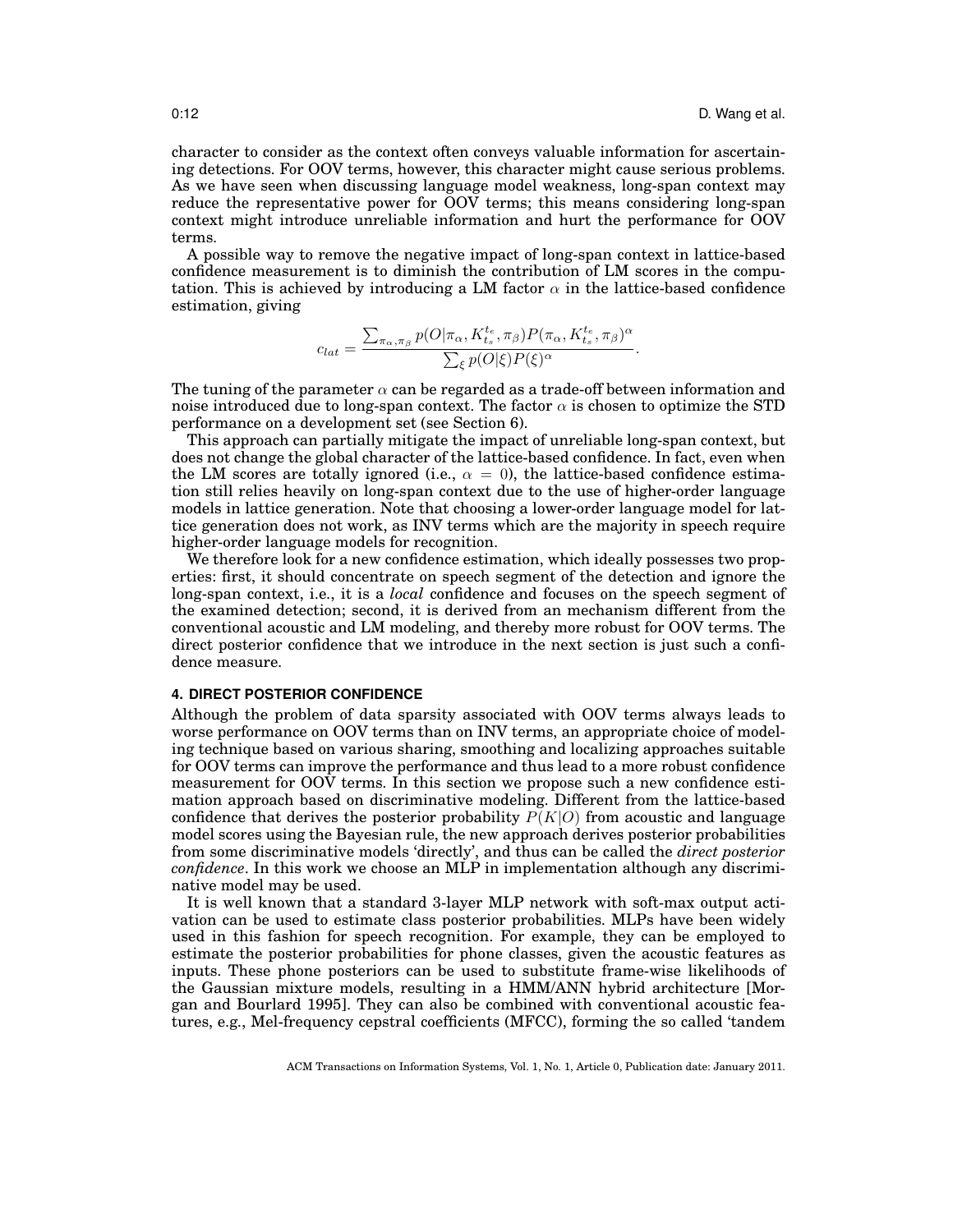character to consider as the context often conveys valuable information for ascertaining detections. For OOV terms, however, this character might cause serious problems. As we have seen when discussing language model weakness, long-span context may reduce the representative power for OOV terms; this means considering long-span context might introduce unreliable information and hurt the performance for OOV terms.

A possible way to remove the negative impact of long-span context in lattice-based confidence measurement is to diminish the contribution of LM scores in the computation. This is achieved by introducing a LM factor  $\alpha$  in the lattice-based confidence estimation, giving

$$
c_{lat} = \frac{\sum_{\pi_{\alpha},\pi_{\beta}} p(O|\pi_{\alpha},K^{t_e}_{t_s},\pi_{\beta}) P(\pi_{\alpha},K^{t_e}_{t_s},\pi_{\beta})^{\alpha}}{\sum_{\xi} p(O|\xi) P(\xi)^{\alpha}}.
$$

The tuning of the parameter  $\alpha$  can be regarded as a trade-off between information and noise introduced due to long-span context. The factor  $\alpha$  is chosen to optimize the STD performance on a development set (see Section 6).

This approach can partially mitigate the impact of unreliable long-span context, but does not change the global character of the lattice-based confidence. In fact, even when the LM scores are totally ignored (i.e.,  $\alpha = 0$ ), the lattice-based confidence estimation still relies heavily on long-span context due to the use of higher-order language models in lattice generation. Note that choosing a lower-order language model for lattice generation does not work, as INV terms which are the majority in speech require higher-order language models for recognition.

We therefore look for a new confidence estimation, which ideally possesses two properties: first, it should concentrate on speech segment of the detection and ignore the long-span context, i.e., it is a *local* confidence and focuses on the speech segment of the examined detection; second, it is derived from an mechanism different from the conventional acoustic and LM modeling, and thereby more robust for OOV terms. The direct posterior confidence that we introduce in the next section is just such a confidence measure.

#### **4. DIRECT POSTERIOR CONFIDENCE**

Although the problem of data sparsity associated with OOV terms always leads to worse performance on OOV terms than on INV terms, an appropriate choice of modeling technique based on various sharing, smoothing and localizing approaches suitable for OOV terms can improve the performance and thus lead to a more robust confidence measurement for OOV terms. In this section we propose such a new confidence estimation approach based on discriminative modeling. Different from the lattice-based confidence that derives the posterior probability  $P(K|O)$  from acoustic and language model scores using the Bayesian rule, the new approach derives posterior probabilities from some discriminative models 'directly', and thus can be called the *direct posterior confidence*. In this work we choose an MLP in implementation although any discriminative model may be used.

It is well known that a standard 3-layer MLP network with soft-max output activation can be used to estimate class posterior probabilities. MLPs have been widely used in this fashion for speech recognition. For example, they can be employed to estimate the posterior probabilities for phone classes, given the acoustic features as inputs. These phone posteriors can be used to substitute frame-wise likelihoods of the Gaussian mixture models, resulting in a HMM/ANN hybrid architecture [Morgan and Bourlard 1995]. They can also be combined with conventional acoustic features, e.g., Mel-frequency cepstral coefficients (MFCC), forming the so called 'tandem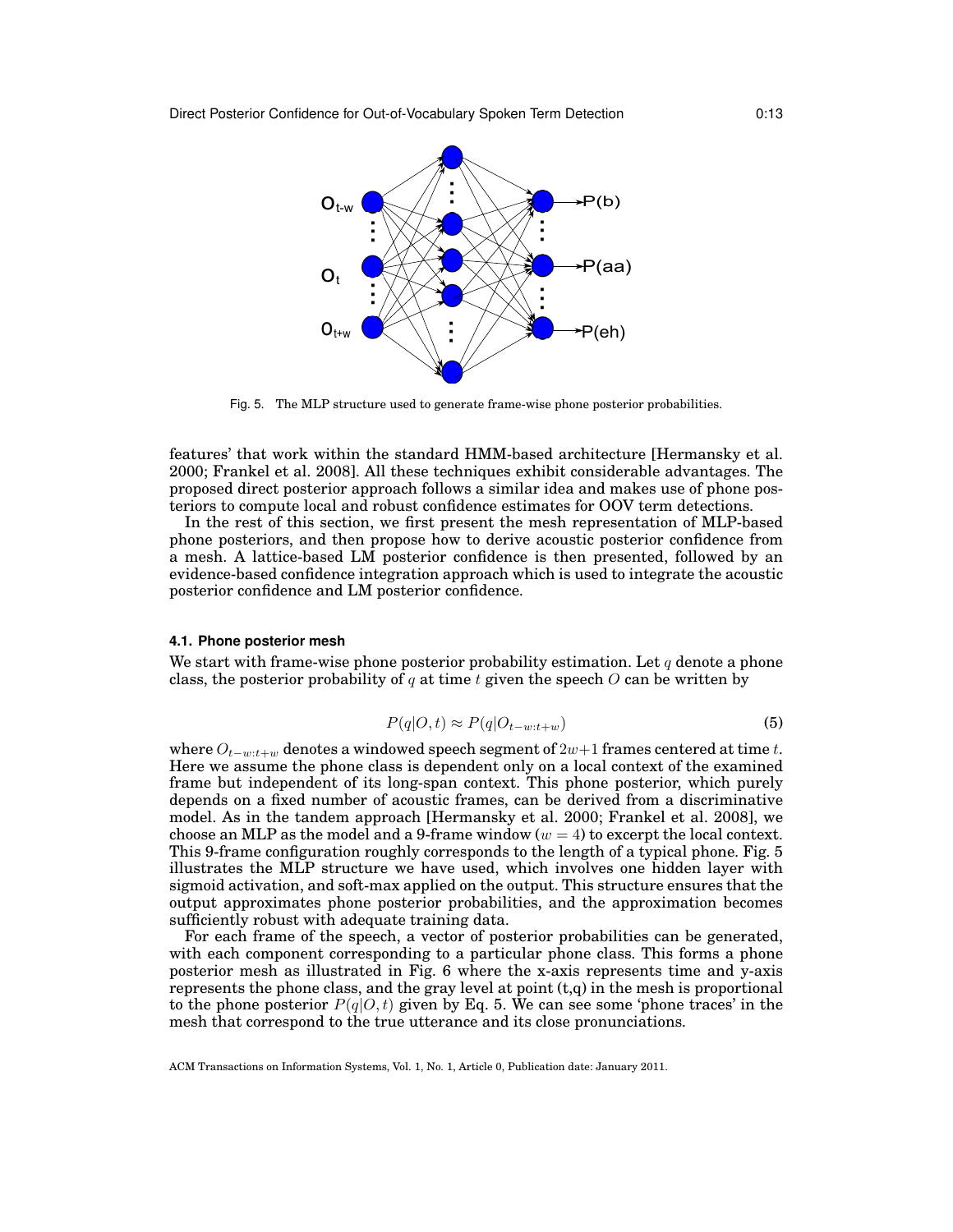

Fig. 5. The MLP structure used to generate frame-wise phone posterior probabilities.

features' that work within the standard HMM-based architecture [Hermansky et al. 2000; Frankel et al. 2008]. All these techniques exhibit considerable advantages. The proposed direct posterior approach follows a similar idea and makes use of phone posteriors to compute local and robust confidence estimates for OOV term detections.

In the rest of this section, we first present the mesh representation of MLP-based phone posteriors, and then propose how to derive acoustic posterior confidence from a mesh. A lattice-based LM posterior confidence is then presented, followed by an evidence-based confidence integration approach which is used to integrate the acoustic posterior confidence and LM posterior confidence.

#### **4.1. Phone posterior mesh**

We start with frame-wise phone posterior probability estimation. Let  $q$  denote a phone class, the posterior probability of q at time t given the speech  $O$  can be written by

$$
P(q|O,t) \approx P(q|O_{t-w:t+w})\tag{5}
$$

where  $O_{t-w:t+w}$  denotes a windowed speech segment of 2w+1 frames centered at time t. Here we assume the phone class is dependent only on a local context of the examined frame but independent of its long-span context. This phone posterior, which purely depends on a fixed number of acoustic frames, can be derived from a discriminative model. As in the tandem approach [Hermansky et al. 2000; Frankel et al. 2008], we choose an MLP as the model and a 9-frame window  $(w = 4)$  to excerpt the local context. This 9-frame configuration roughly corresponds to the length of a typical phone. Fig. 5 illustrates the MLP structure we have used, which involves one hidden layer with sigmoid activation, and soft-max applied on the output. This structure ensures that the output approximates phone posterior probabilities, and the approximation becomes sufficiently robust with adequate training data.

For each frame of the speech, a vector of posterior probabilities can be generated, with each component corresponding to a particular phone class. This forms a phone posterior mesh as illustrated in Fig. 6 where the x-axis represents time and y-axis represents the phone class, and the gray level at point  $(t,q)$  in the mesh is proportional to the phone posterior  $P(q|O, t)$  given by Eq. 5. We can see some 'phone traces' in the mesh that correspond to the true utterance and its close pronunciations.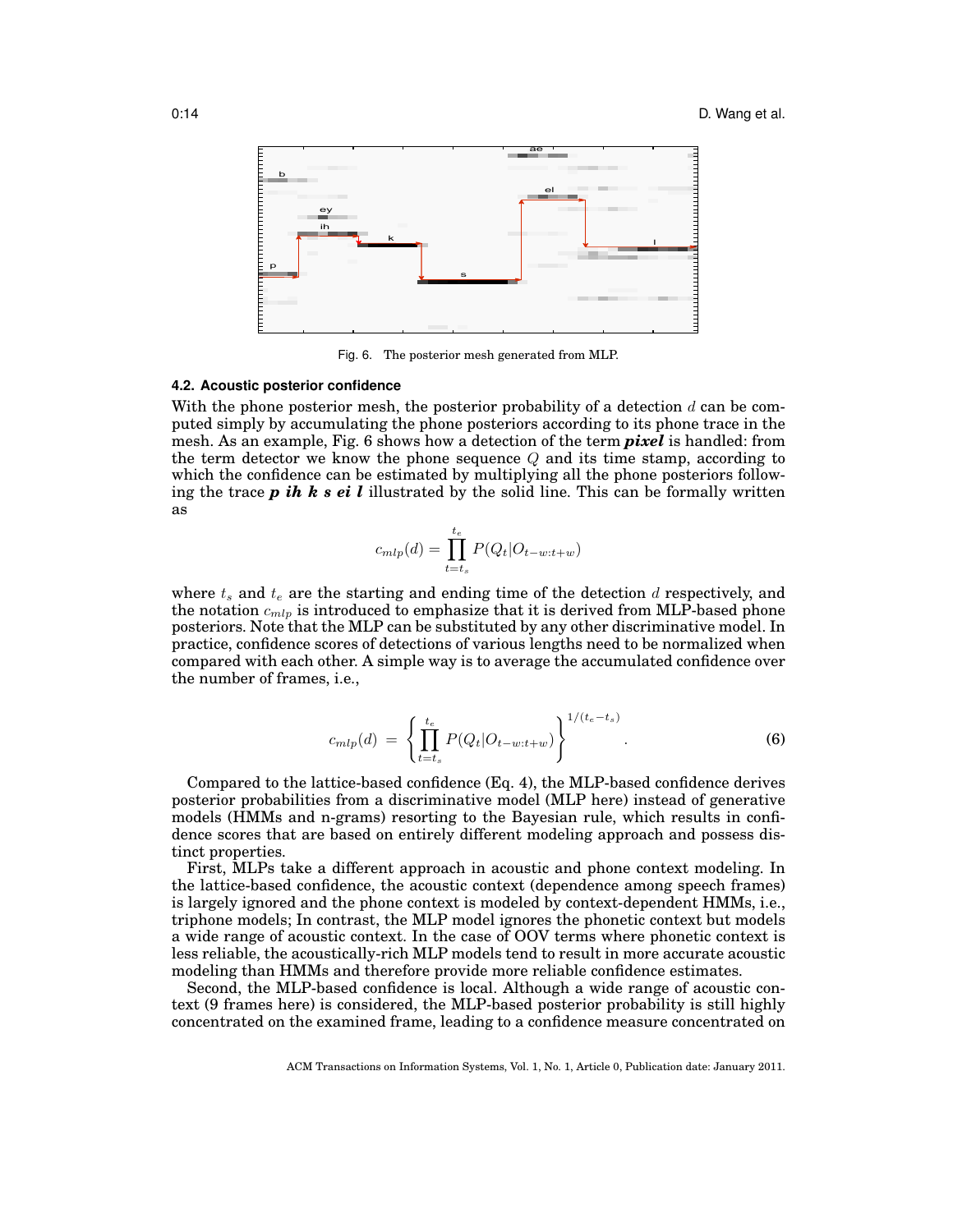

Fig. 6. The posterior mesh generated from MLP.

### **4.2. Acoustic posterior confidence**

With the phone posterior mesh, the posterior probability of a detection  $d$  can be computed simply by accumulating the phone posteriors according to its phone trace in the mesh. As an example, Fig. 6 shows how a detection of the term *pixel* is handled: from the term detector we know the phone sequence  $Q$  and its time stamp, according to which the confidence can be estimated by multiplying all the phone posteriors following the trace *p ih k s ei l* illustrated by the solid line. This can be formally written as

$$
c_{mlp}(d) = \prod_{t=t_s}^{t_e} P(Q_t | O_{t-w:t+w})
$$

where  $t_s$  and  $t_e$  are the starting and ending time of the detection d respectively, and the notation  $c_{mlp}$  is introduced to emphasize that it is derived from MLP-based phone posteriors. Note that the MLP can be substituted by any other discriminative model. In practice, confidence scores of detections of various lengths need to be normalized when compared with each other. A simple way is to average the accumulated confidence over the number of frames, i.e.,

$$
c_{mlp}(d) = \left\{ \prod_{t=t_s}^{t_e} P(Q_t | O_{t-w:t+w}) \right\}^{1/(t_e - t_s)}.
$$
 (6)

Compared to the lattice-based confidence (Eq. 4), the MLP-based confidence derives posterior probabilities from a discriminative model (MLP here) instead of generative models (HMMs and n-grams) resorting to the Bayesian rule, which results in confidence scores that are based on entirely different modeling approach and possess distinct properties.

First, MLPs take a different approach in acoustic and phone context modeling. In the lattice-based confidence, the acoustic context (dependence among speech frames) is largely ignored and the phone context is modeled by context-dependent HMMs, i.e., triphone models; In contrast, the MLP model ignores the phonetic context but models a wide range of acoustic context. In the case of OOV terms where phonetic context is less reliable, the acoustically-rich MLP models tend to result in more accurate acoustic modeling than HMMs and therefore provide more reliable confidence estimates.

Second, the MLP-based confidence is local. Although a wide range of acoustic context (9 frames here) is considered, the MLP-based posterior probability is still highly concentrated on the examined frame, leading to a confidence measure concentrated on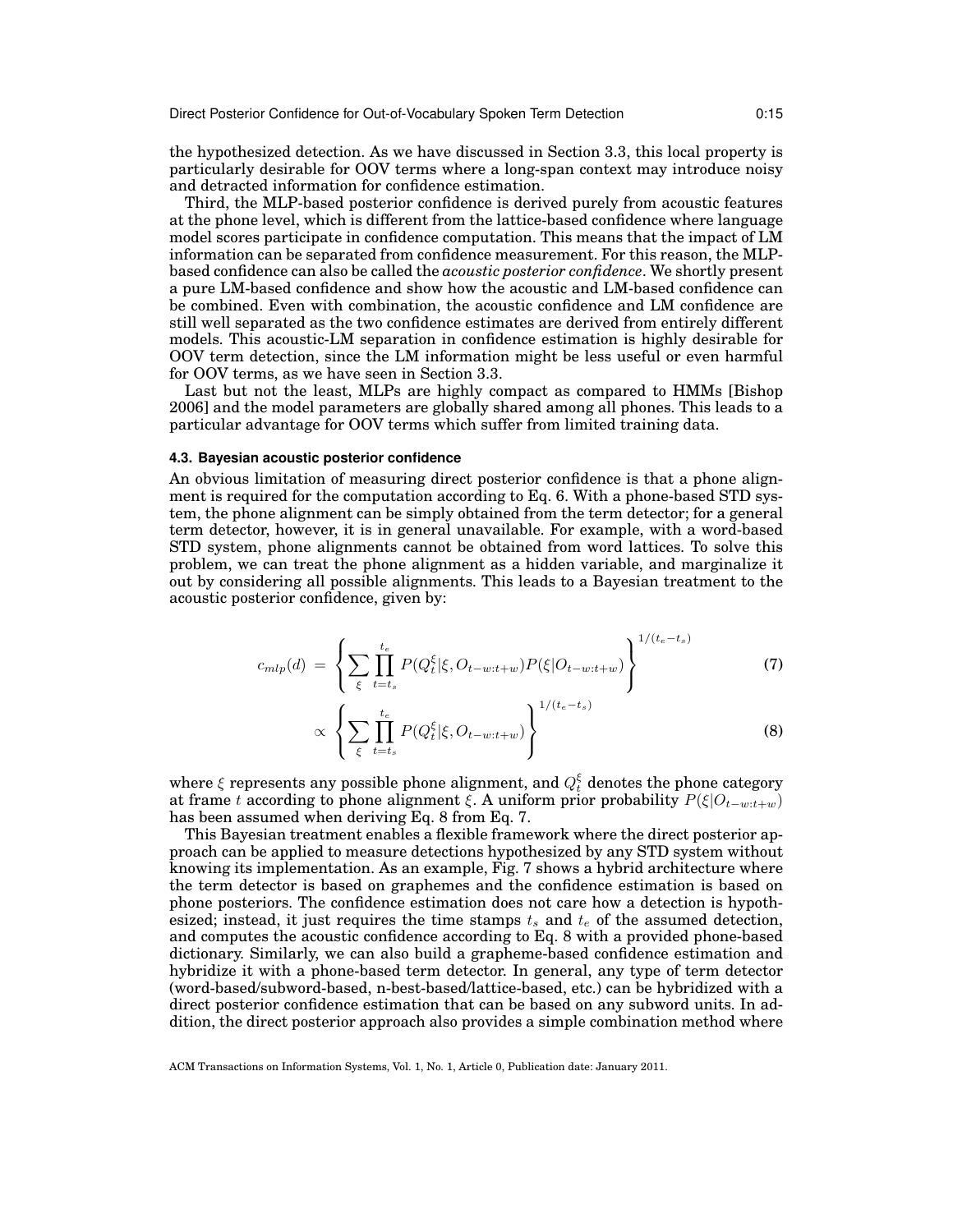the hypothesized detection. As we have discussed in Section 3.3, this local property is particularly desirable for OOV terms where a long-span context may introduce noisy and detracted information for confidence estimation.

Third, the MLP-based posterior confidence is derived purely from acoustic features at the phone level, which is different from the lattice-based confidence where language model scores participate in confidence computation. This means that the impact of LM information can be separated from confidence measurement. For this reason, the MLPbased confidence can also be called the *acoustic posterior confidence*. We shortly present a pure LM-based confidence and show how the acoustic and LM-based confidence can be combined. Even with combination, the acoustic confidence and LM confidence are still well separated as the two confidence estimates are derived from entirely different models. This acoustic-LM separation in confidence estimation is highly desirable for OOV term detection, since the LM information might be less useful or even harmful for OOV terms, as we have seen in Section 3.3.

Last but not the least, MLPs are highly compact as compared to HMMs [Bishop 2006] and the model parameters are globally shared among all phones. This leads to a particular advantage for OOV terms which suffer from limited training data.

#### **4.3. Bayesian acoustic posterior confidence**

An obvious limitation of measuring direct posterior confidence is that a phone alignment is required for the computation according to Eq. 6. With a phone-based STD system, the phone alignment can be simply obtained from the term detector; for a general term detector, however, it is in general unavailable. For example, with a word-based STD system, phone alignments cannot be obtained from word lattices. To solve this problem, we can treat the phone alignment as a hidden variable, and marginalize it out by considering all possible alignments. This leads to a Bayesian treatment to the acoustic posterior confidence, given by:

$$
c_{mlp}(d) = \left\{ \sum_{\xi} \prod_{t=t_s}^{t_e} P(Q_t^{\xi}|\xi, O_{t-w:t+w}) P(\xi|O_{t-w:t+w}) \right\}^{1/(t_e - t_s)}
$$
(7)

$$
\propto \left\{ \sum_{\xi} \prod_{t=t_s}^{t_e} P(Q_t^{\xi}|\xi, O_{t-w:t+w}) \right\}^{1/(t_e - t_s)}
$$
(8)

where  $\xi$  represents any possible phone alignment, and  $Q_t^\xi$  denotes the phone category at frame t according to phone alignment  $\xi$ . A uniform prior probability  $P(\xi|O_{t-w:t+w})$ has been assumed when deriving Eq. 8 from Eq. 7.

This Bayesian treatment enables a flexible framework where the direct posterior approach can be applied to measure detections hypothesized by any STD system without knowing its implementation. As an example, Fig. 7 shows a hybrid architecture where the term detector is based on graphemes and the confidence estimation is based on phone posteriors. The confidence estimation does not care how a detection is hypothesized; instead, it just requires the time stamps  $t_s$  and  $t_e$  of the assumed detection, and computes the acoustic confidence according to Eq. 8 with a provided phone-based dictionary. Similarly, we can also build a grapheme-based confidence estimation and hybridize it with a phone-based term detector. In general, any type of term detector (word-based/subword-based, n-best-based/lattice-based, etc.) can be hybridized with a direct posterior confidence estimation that can be based on any subword units. In addition, the direct posterior approach also provides a simple combination method where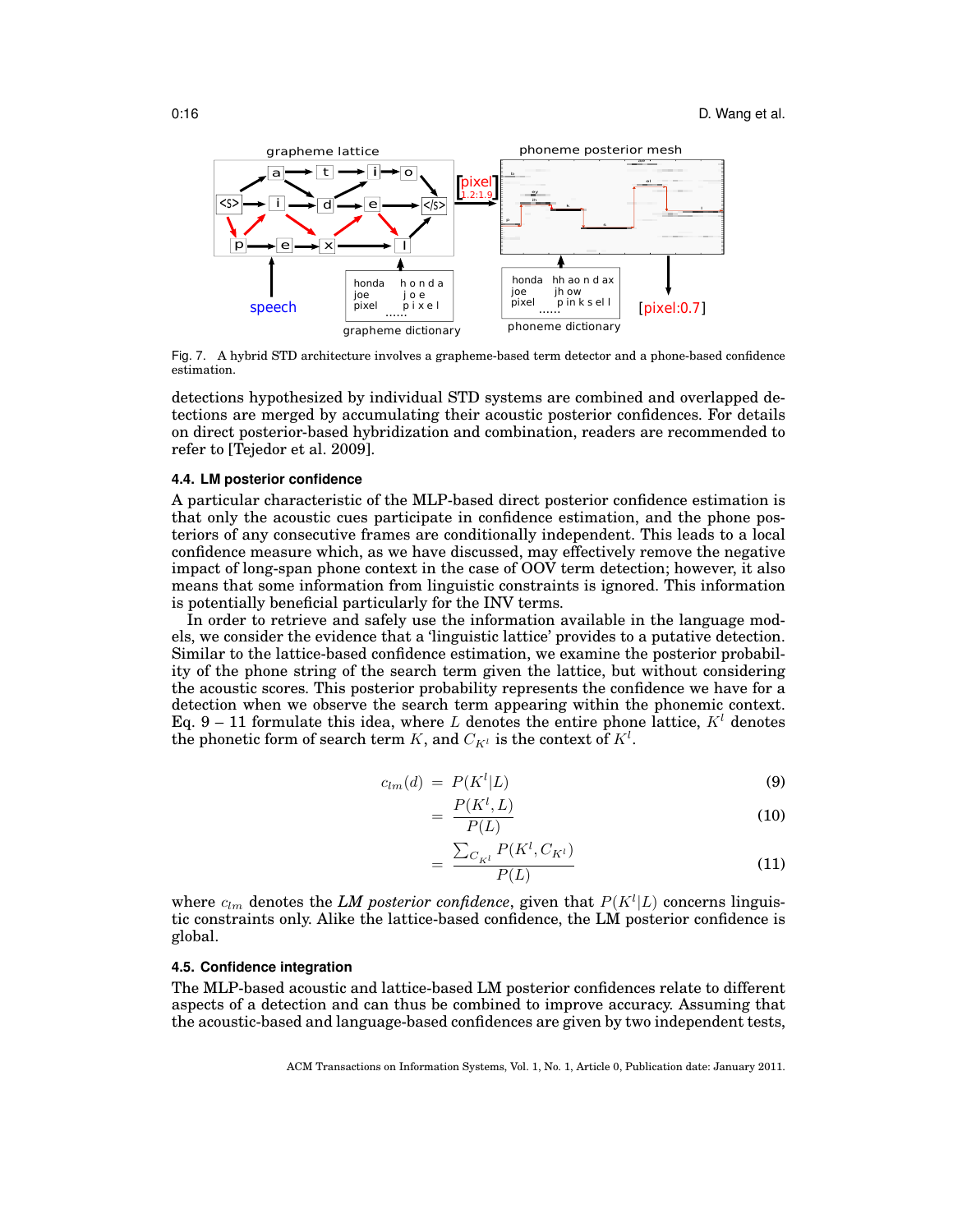

Fig. 7. A hybrid STD architecture involves a grapheme-based term detector and a phone-based confidence estimation.

detections hypothesized by individual STD systems are combined and overlapped detections are merged by accumulating their acoustic posterior confidences. For details on direct posterior-based hybridization and combination, readers are recommended to refer to [Tejedor et al. 2009].

### **4.4. LM posterior confidence**

A particular characteristic of the MLP-based direct posterior confidence estimation is that only the acoustic cues participate in confidence estimation, and the phone posteriors of any consecutive frames are conditionally independent. This leads to a local confidence measure which, as we have discussed, may effectively remove the negative impact of long-span phone context in the case of OOV term detection; however, it also means that some information from linguistic constraints is ignored. This information is potentially beneficial particularly for the INV terms.

In order to retrieve and safely use the information available in the language models, we consider the evidence that a 'linguistic lattice' provides to a putative detection. Similar to the lattice-based confidence estimation, we examine the posterior probability of the phone string of the search term given the lattice, but without considering the acoustic scores. This posterior probability represents the confidence we have for a detection when we observe the search term appearing within the phonemic context. Eq. 9 – 11 formulate this idea, where L denotes the entire phone lattice,  $K^l$  denotes the phonetic form of search term  $K$ , and  $C_{K^l}$  is the context of  $K^l.$ 

$$
c_{lm}(d) = P(K^l|L) \tag{9}
$$

$$
=\frac{P(K^l, L)}{P(L)}\tag{10}
$$

$$
=\frac{\sum_{C_{K^l}} P(K^l, C_{K^l})}{P(L)}
$$
(11)

where  $c_{lm}$  denotes the LM posterior confidence, given that  $P(K^l|L)$  concerns linguistic constraints only. Alike the lattice-based confidence, the LM posterior confidence is global.

### **4.5. Confidence integration**

The MLP-based acoustic and lattice-based LM posterior confidences relate to different aspects of a detection and can thus be combined to improve accuracy. Assuming that the acoustic-based and language-based confidences are given by two independent tests,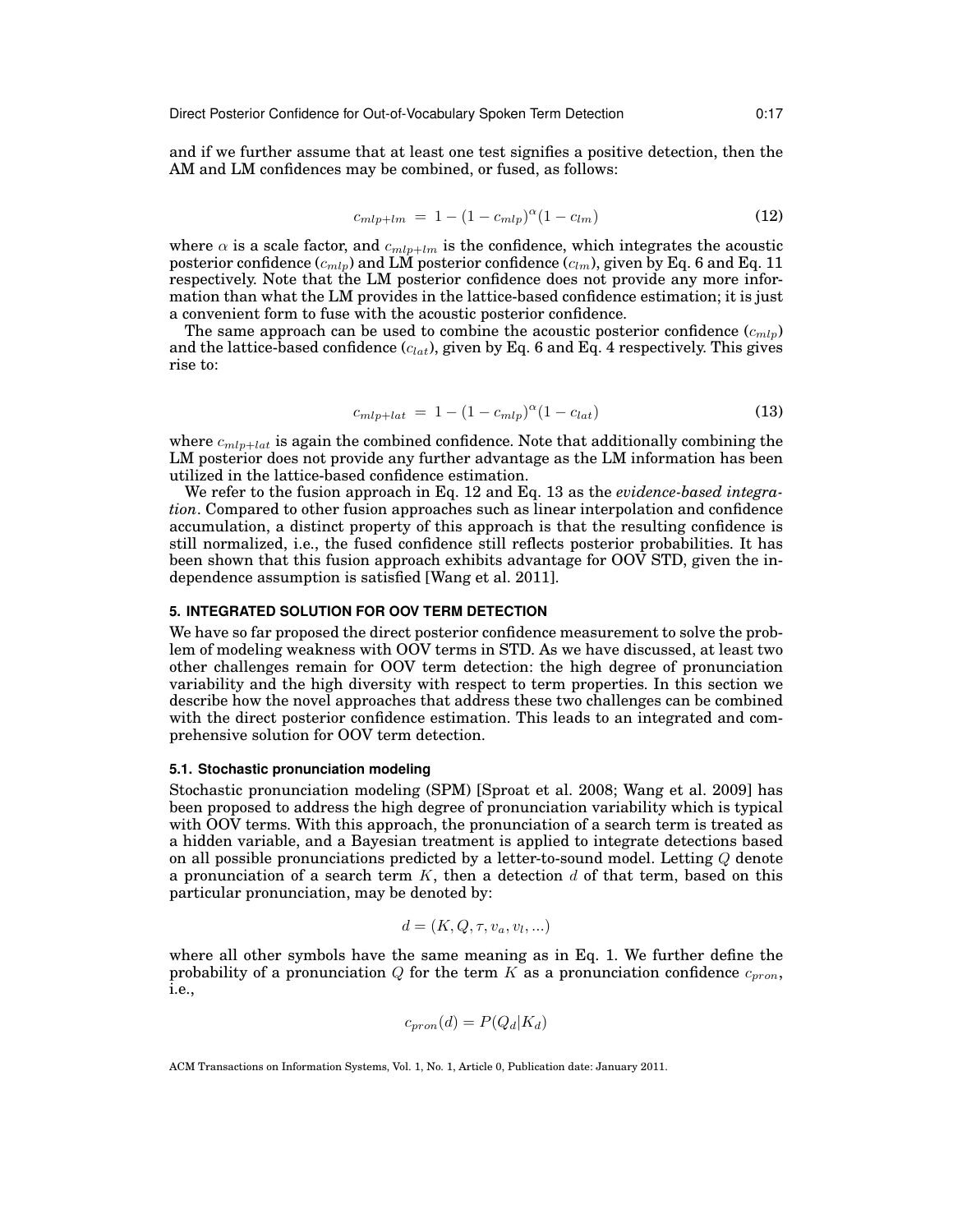and if we further assume that at least one test signifies a positive detection, then the AM and LM confidences may be combined, or fused, as follows:

$$
c_{mlp+lm} = 1 - (1 - c_{mlp})^{\alpha} (1 - c_{lm}) \tag{12}
$$

where  $\alpha$  is a scale factor, and  $c_{mlp+lm}$  is the confidence, which integrates the acoustic posterior confidence  $(c_{mlp})$  and LM posterior confidence  $(c_{lm})$ , given by Eq. 6 and Eq. 11 respectively. Note that the LM posterior confidence does not provide any more information than what the LM provides in the lattice-based confidence estimation; it is just a convenient form to fuse with the acoustic posterior confidence.

The same approach can be used to combine the acoustic posterior confidence  $(c_{mlp})$ and the lattice-based confidence  $(c_{lat})$ , given by Eq. 6 and Eq. 4 respectively. This gives rise to:

$$
c_{mlp+lat} = 1 - (1 - c_{mlp})^{\alpha} (1 - c_{lat}) \tag{13}
$$

where  $c_{mlp+lat}$  is again the combined confidence. Note that additionally combining the LM posterior does not provide any further advantage as the LM information has been utilized in the lattice-based confidence estimation.

We refer to the fusion approach in Eq. 12 and Eq. 13 as the *evidence-based integration*. Compared to other fusion approaches such as linear interpolation and confidence accumulation, a distinct property of this approach is that the resulting confidence is still normalized, i.e., the fused confidence still reflects posterior probabilities. It has been shown that this fusion approach exhibits advantage for OOV STD, given the independence assumption is satisfied [Wang et al. 2011].

### **5. INTEGRATED SOLUTION FOR OOV TERM DETECTION**

We have so far proposed the direct posterior confidence measurement to solve the problem of modeling weakness with OOV terms in STD. As we have discussed, at least two other challenges remain for OOV term detection: the high degree of pronunciation variability and the high diversity with respect to term properties. In this section we describe how the novel approaches that address these two challenges can be combined with the direct posterior confidence estimation. This leads to an integrated and comprehensive solution for OOV term detection.

### **5.1. Stochastic pronunciation modeling**

Stochastic pronunciation modeling (SPM) [Sproat et al. 2008; Wang et al. 2009] has been proposed to address the high degree of pronunciation variability which is typical with OOV terms. With this approach, the pronunciation of a search term is treated as a hidden variable, and a Bayesian treatment is applied to integrate detections based on all possible pronunciations predicted by a letter-to-sound model. Letting Q denote a pronunciation of a search term  $K$ , then a detection  $d$  of that term, based on this particular pronunciation, may be denoted by:

$$
d = (K, Q, \tau, v_a, v_l, \ldots)
$$

where all other symbols have the same meaning as in Eq. 1. We further define the probability of a pronunciation  $Q$  for the term  $K$  as a pronunciation confidence  $c_{pron}$ , i.e.,

$$
c_{pron}(d) = P(Q_d|K_d)
$$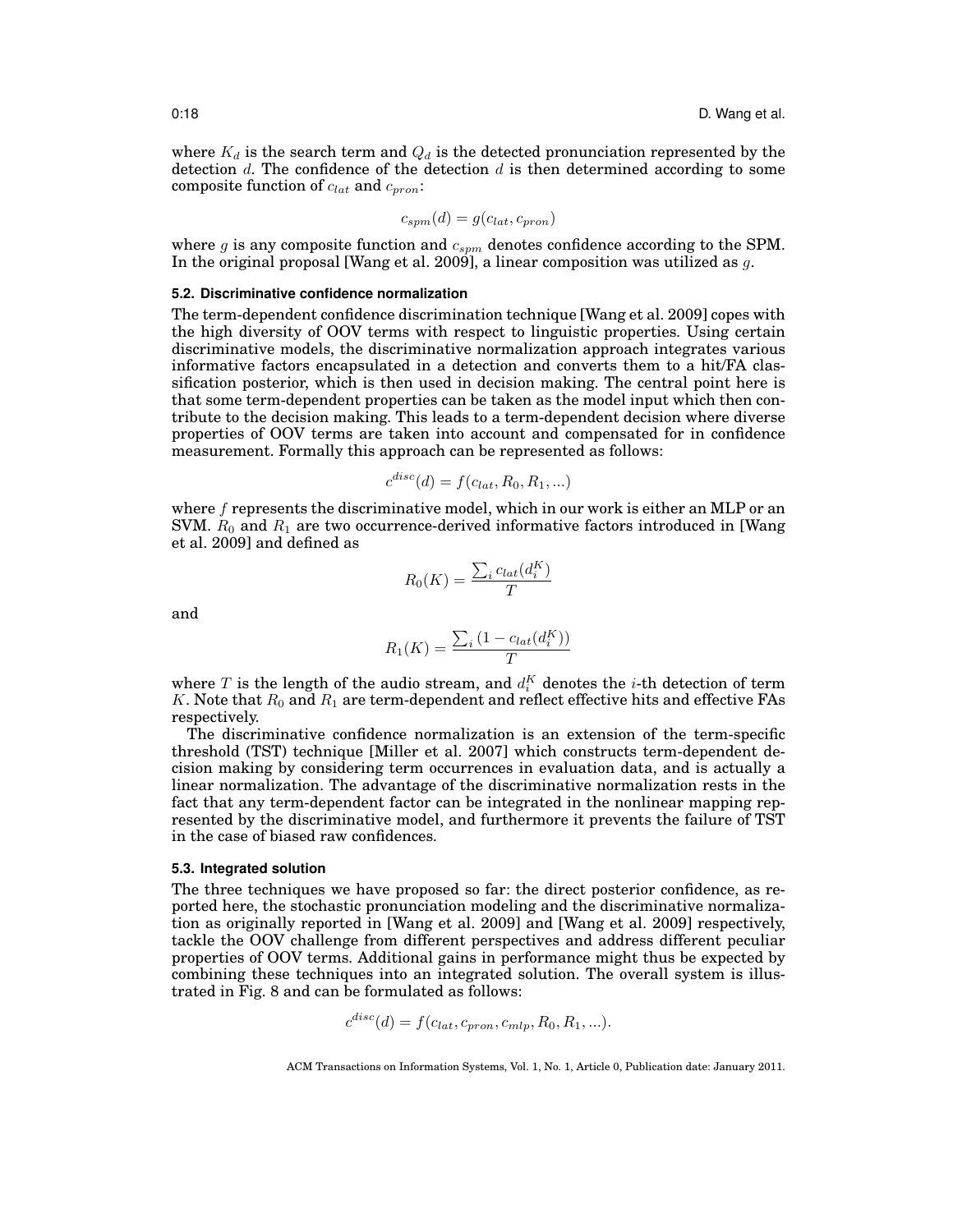where  $K_d$  is the search term and  $Q_d$  is the detected pronunciation represented by the detection  $d$ . The confidence of the detection  $d$  is then determined according to some composite function of  $c_{lat}$  and  $c_{pron}$ :

$$
c_{spm}(d) = g(c_{lat}, c_{pron})
$$

where  $g$  is any composite function and  $c_{sym}$  denotes confidence according to the SPM. In the original proposal [Wang et al. 2009], a linear composition was utilized as  $q$ .

#### **5.2. Discriminative confidence normalization**

The term-dependent confidence discrimination technique [Wang et al. 2009] copes with the high diversity of OOV terms with respect to linguistic properties. Using certain discriminative models, the discriminative normalization approach integrates various informative factors encapsulated in a detection and converts them to a hit/FA classification posterior, which is then used in decision making. The central point here is that some term-dependent properties can be taken as the model input which then contribute to the decision making. This leads to a term-dependent decision where diverse properties of OOV terms are taken into account and compensated for in confidence measurement. Formally this approach can be represented as follows:

$$
c^{disc}(d) = f(c_{lat}, R_0, R_1, \ldots)
$$

where  $f$  represents the discriminative model, which in our work is either an MLP or an SVM.  $R_0$  and  $R_1$  are two occurrence-derived informative factors introduced in [Wang et al. 2009] and defined as

$$
R_0(K) = \frac{\sum_i c_{lat}(d_i^K)}{T}
$$

and

$$
R_1(K) = \frac{\sum_i (1 - c_{lat}(d_i^K))}{T}
$$

where  $T$  is the length of the audio stream, and  $d_i^K$  denotes the i-th detection of term K. Note that  $R_0$  and  $R_1$  are term-dependent and reflect effective hits and effective FAs respectively.

The discriminative confidence normalization is an extension of the term-specific threshold (TST) technique [Miller et al. 2007] which constructs term-dependent decision making by considering term occurrences in evaluation data, and is actually a linear normalization. The advantage of the discriminative normalization rests in the fact that any term-dependent factor can be integrated in the nonlinear mapping represented by the discriminative model, and furthermore it prevents the failure of TST in the case of biased raw confidences.

### **5.3. Integrated solution**

The three techniques we have proposed so far: the direct posterior confidence, as reported here, the stochastic pronunciation modeling and the discriminative normalization as originally reported in [Wang et al. 2009] and [Wang et al. 2009] respectively, tackle the OOV challenge from different perspectives and address different peculiar properties of OOV terms. Additional gains in performance might thus be expected by combining these techniques into an integrated solution. The overall system is illustrated in Fig. 8 and can be formulated as follows:

$$
c^{disc}(d) = f(c_{lat}, c_{pron}, c_{mlp}, R_0, R_1, \ldots).
$$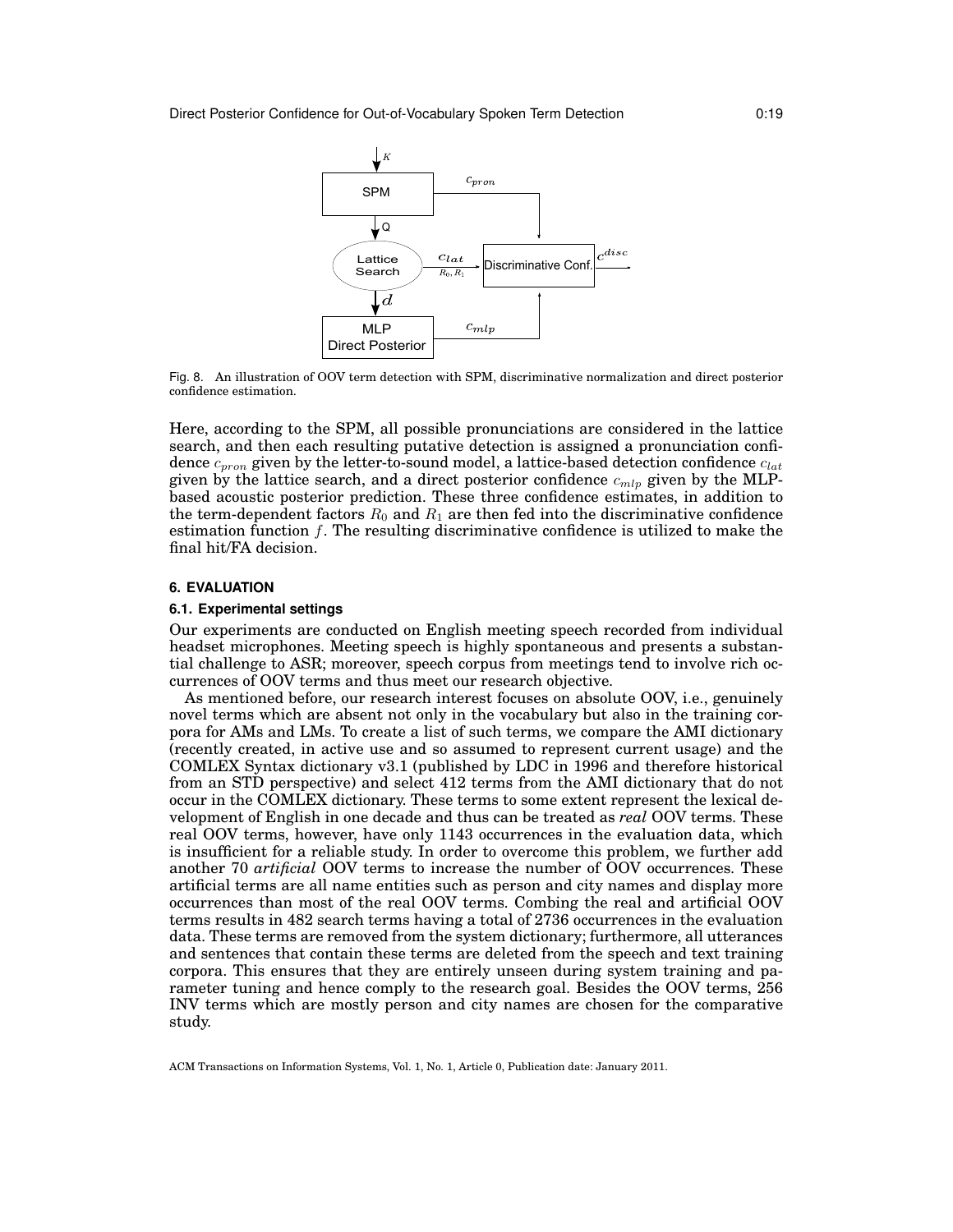

Fig. 8. An illustration of OOV term detection with SPM, discriminative normalization and direct posterior confidence estimation.

Here, according to the SPM, all possible pronunciations are considered in the lattice search, and then each resulting putative detection is assigned a pronunciation confidence  $c_{pron}$  given by the letter-to-sound model, a lattice-based detection confidence  $c_{lat}$ given by the lattice search, and a direct posterior confidence  $c_{mlp}$  given by the MLPbased acoustic posterior prediction. These three confidence estimates, in addition to the term-dependent factors  $R_0$  and  $R_1$  are then fed into the discriminative confidence estimation function  $f$ . The resulting discriminative confidence is utilized to make the final hit/FA decision.

#### **6. EVALUATION**

#### **6.1. Experimental settings**

Our experiments are conducted on English meeting speech recorded from individual headset microphones. Meeting speech is highly spontaneous and presents a substantial challenge to ASR; moreover, speech corpus from meetings tend to involve rich occurrences of OOV terms and thus meet our research objective.

As mentioned before, our research interest focuses on absolute OOV, i.e., genuinely novel terms which are absent not only in the vocabulary but also in the training corpora for AMs and LMs. To create a list of such terms, we compare the AMI dictionary (recently created, in active use and so assumed to represent current usage) and the COMLEX Syntax dictionary v3.1 (published by LDC in 1996 and therefore historical from an STD perspective) and select 412 terms from the AMI dictionary that do not occur in the COMLEX dictionary. These terms to some extent represent the lexical development of English in one decade and thus can be treated as *real* OOV terms. These real OOV terms, however, have only 1143 occurrences in the evaluation data, which is insufficient for a reliable study. In order to overcome this problem, we further add another 70 *artificial* OOV terms to increase the number of OOV occurrences. These artificial terms are all name entities such as person and city names and display more occurrences than most of the real OOV terms. Combing the real and artificial OOV terms results in 482 search terms having a total of 2736 occurrences in the evaluation data. These terms are removed from the system dictionary; furthermore, all utterances and sentences that contain these terms are deleted from the speech and text training corpora. This ensures that they are entirely unseen during system training and parameter tuning and hence comply to the research goal. Besides the OOV terms, 256 INV terms which are mostly person and city names are chosen for the comparative study.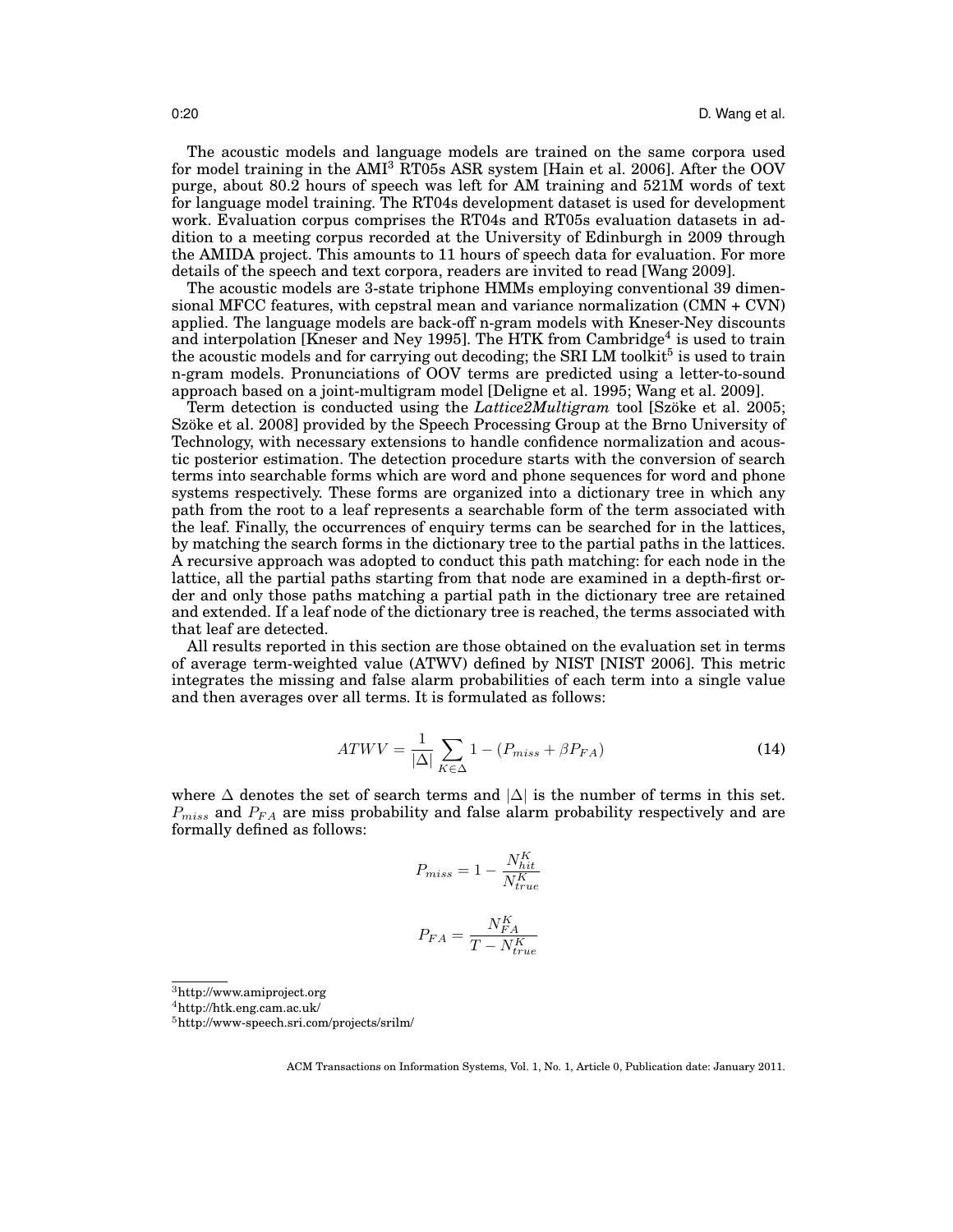The acoustic models and language models are trained on the same corpora used for model training in the  $AMI<sup>3</sup>$  RT05s ASR system [Hain et al. 2006]. After the OOV purge, about 80.2 hours of speech was left for AM training and 521M words of text for language model training. The RT04s development dataset is used for development work. Evaluation corpus comprises the RT04s and RT05s evaluation datasets in addition to a meeting corpus recorded at the University of Edinburgh in 2009 through the AMIDA project. This amounts to 11 hours of speech data for evaluation. For more details of the speech and text corpora, readers are invited to read [Wang 2009].

The acoustic models are 3-state triphone HMMs employing conventional 39 dimensional MFCC features, with cepstral mean and variance normalization (CMN + CVN) applied. The language models are back-off n-gram models with Kneser-Ney discounts and interpolation [Kneser and Ney 1995]. The HTK from Cambridge<sup>4</sup> is used to train the acoustic models and for carrying out decoding; the SRI LM toolkit<sup>5</sup> is used to train n-gram models. Pronunciations of OOV terms are predicted using a letter-to-sound approach based on a joint-multigram model [Deligne et al. 1995; Wang et al. 2009].

Term detection is conducted using the *Lattice2Multigram* tool [Szöke et al. 2005; Szöke et al. 2008] provided by the Speech Processing Group at the Brno University of Technology, with necessary extensions to handle confidence normalization and acoustic posterior estimation. The detection procedure starts with the conversion of search terms into searchable forms which are word and phone sequences for word and phone systems respectively. These forms are organized into a dictionary tree in which any path from the root to a leaf represents a searchable form of the term associated with the leaf. Finally, the occurrences of enquiry terms can be searched for in the lattices, by matching the search forms in the dictionary tree to the partial paths in the lattices. A recursive approach was adopted to conduct this path matching: for each node in the lattice, all the partial paths starting from that node are examined in a depth-first order and only those paths matching a partial path in the dictionary tree are retained and extended. If a leaf node of the dictionary tree is reached, the terms associated with that leaf are detected.

All results reported in this section are those obtained on the evaluation set in terms of average term-weighted value (ATWV) defined by NIST [NIST 2006]. This metric integrates the missing and false alarm probabilities of each term into a single value and then averages over all terms. It is formulated as follows:

$$
ATWV = \frac{1}{|\Delta|} \sum_{K \in \Delta} 1 - (P_{miss} + \beta P_{FA})
$$
\n(14)

where  $\Delta$  denotes the set of search terms and  $|\Delta|$  is the number of terms in this set.  $P_{miss}$  and  $P_{FA}$  are miss probability and false alarm probability respectively and are formally defined as follows:

$$
P_{miss} = 1 - \frac{N_{hit}^K}{N_{true}^K}
$$
 
$$
P_{FA} = \frac{N_{FA}^K}{T - N_{true}^K}
$$

<sup>3</sup>http://www.amiproject.org

<sup>4</sup>http://htk.eng.cam.ac.uk/

<sup>5</sup>http://www-speech.sri.com/projects/srilm/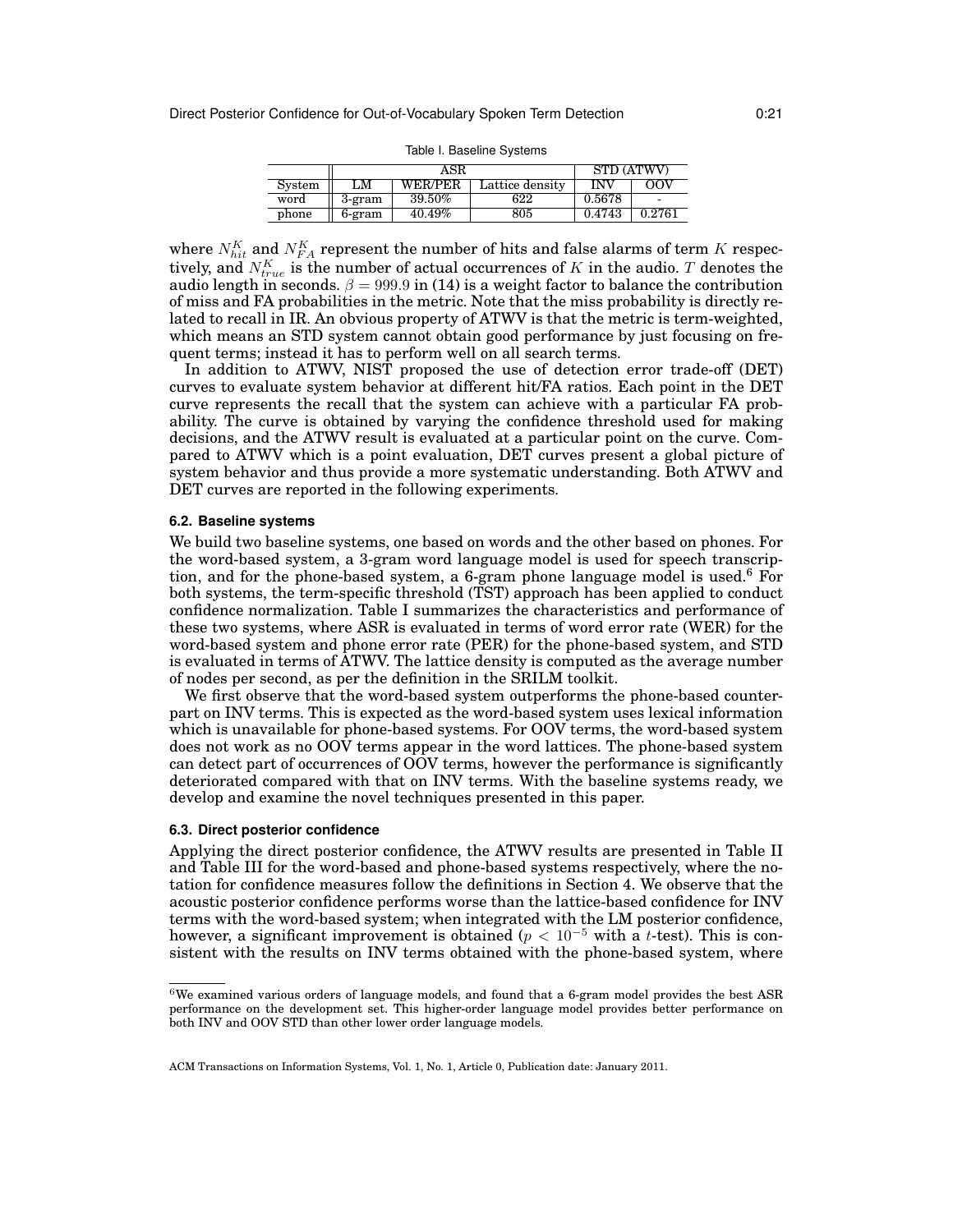|        | ASR    |                |                 | STD (ATWV) |        |
|--------|--------|----------------|-----------------|------------|--------|
| System | LM     | <b>WER/PER</b> | Lattice density | INV        | oov    |
| word   | 3-gram | 39.50%         | 622             | 0.5678     |        |
| phone  | 6-gram | 40.49%         | 805             | 0.4743     | 0.2761 |

Table I. Baseline Systems

where  $N_{hit}^K$  and  $N_{FA}^K$  represent the number of hits and false alarms of term K respectively, and  $N^K_{true}$  is the number of actual occurrences of  $K$  in the audio.  $T$  denotes the audio length in seconds.  $\beta = 999.9$  in (14) is a weight factor to balance the contribution of miss and FA probabilities in the metric. Note that the miss probability is directly related to recall in IR. An obvious property of ATWV is that the metric is term-weighted, which means an STD system cannot obtain good performance by just focusing on frequent terms; instead it has to perform well on all search terms.

In addition to ATWV, NIST proposed the use of detection error trade-off (DET) curves to evaluate system behavior at different hit/FA ratios. Each point in the DET curve represents the recall that the system can achieve with a particular FA probability. The curve is obtained by varying the confidence threshold used for making decisions, and the ATWV result is evaluated at a particular point on the curve. Compared to ATWV which is a point evaluation, DET curves present a global picture of system behavior and thus provide a more systematic understanding. Both ATWV and DET curves are reported in the following experiments.

### **6.2. Baseline systems**

We build two baseline systems, one based on words and the other based on phones. For the word-based system, a 3-gram word language model is used for speech transcription, and for the phone-based system, a 6-gram phone language model is used.<sup>6</sup> For both systems, the term-specific threshold (TST) approach has been applied to conduct confidence normalization. Table I summarizes the characteristics and performance of these two systems, where ASR is evaluated in terms of word error rate (WER) for the word-based system and phone error rate (PER) for the phone-based system, and STD is evaluated in terms of ATWV. The lattice density is computed as the average number of nodes per second, as per the definition in the SRILM toolkit.

We first observe that the word-based system outperforms the phone-based counterpart on INV terms. This is expected as the word-based system uses lexical information which is unavailable for phone-based systems. For OOV terms, the word-based system does not work as no OOV terms appear in the word lattices. The phone-based system can detect part of occurrences of OOV terms, however the performance is significantly deteriorated compared with that on INV terms. With the baseline systems ready, we develop and examine the novel techniques presented in this paper.

#### **6.3. Direct posterior confidence**

Applying the direct posterior confidence, the ATWV results are presented in Table II and Table III for the word-based and phone-based systems respectively, where the notation for confidence measures follow the definitions in Section 4. We observe that the acoustic posterior confidence performs worse than the lattice-based confidence for INV terms with the word-based system; when integrated with the LM posterior confidence, however, a significant improvement is obtained ( $p < 10^{-5}$  with a t-test). This is consistent with the results on INV terms obtained with the phone-based system, where

 $6$ We examined various orders of language models, and found that a 6-gram model provides the best ASR performance on the development set. This higher-order language model provides better performance on both INV and OOV STD than other lower order language models.

ACM Transactions on Information Systems, Vol. 1, No. 1, Article 0, Publication date: January 2011.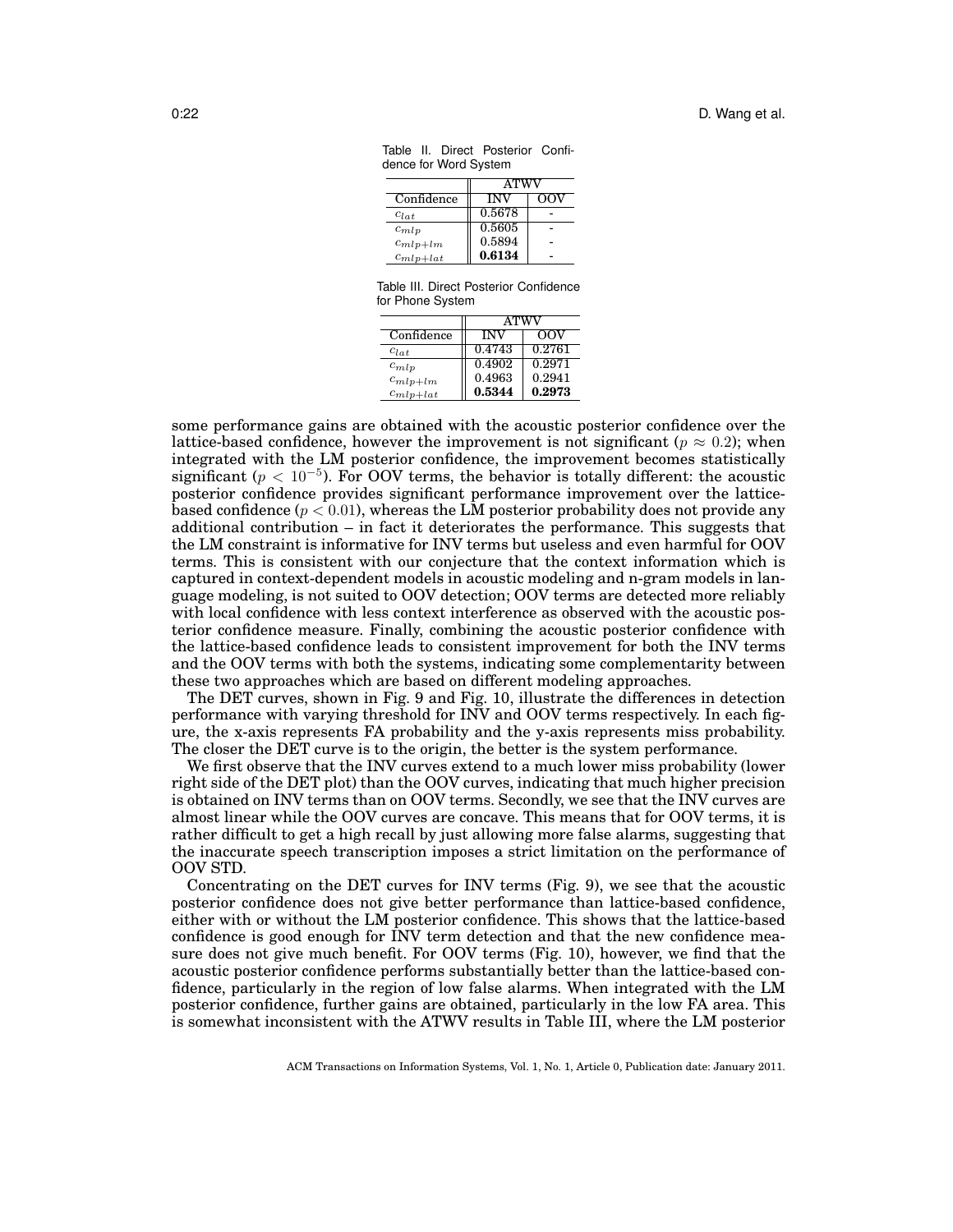|               | <b>ATWV</b> |     |  |
|---------------|-------------|-----|--|
| Confidence    | <b>INV</b>  | OOV |  |
| $C_{l}$       | 0.5678      |     |  |
| $c_{mlp}$     | 0.5605      |     |  |
| $c_{mlp+lm}$  | 0.5894      |     |  |
| $c_{mlp+lat}$ | 0.6134      |     |  |

Table II. Direct Posterior Confidence for Word System

Table III. Direct Posterior Confidence for Phone System

|               | <b>ATWV</b> |        |  |
|---------------|-------------|--------|--|
| Confidence    | <b>INV</b>  | 00V    |  |
| $c_{lat}$     | 0.4743      | 0.2761 |  |
| $c_{mlp}$     | 0.4902      | 0.2971 |  |
| $c_{mlp+lm}$  | 0.4963      | 0.2941 |  |
| $c_{mlp+lat}$ | 0.5344      | 0.2973 |  |

some performance gains are obtained with the acoustic posterior confidence over the lattice-based confidence, however the improvement is not significant ( $p \approx 0.2$ ); when integrated with the LM posterior confidence, the improvement becomes statistically significant ( $p < 10^{-5}$ ). For OOV terms, the behavior is totally different: the acoustic posterior confidence provides significant performance improvement over the latticebased confidence ( $p < 0.01$ ), whereas the LM posterior probability does not provide any additional contribution – in fact it deteriorates the performance. This suggests that the LM constraint is informative for INV terms but useless and even harmful for OOV terms. This is consistent with our conjecture that the context information which is captured in context-dependent models in acoustic modeling and n-gram models in language modeling, is not suited to OOV detection; OOV terms are detected more reliably with local confidence with less context interference as observed with the acoustic posterior confidence measure. Finally, combining the acoustic posterior confidence with the lattice-based confidence leads to consistent improvement for both the INV terms and the OOV terms with both the systems, indicating some complementarity between these two approaches which are based on different modeling approaches.

The DET curves, shown in Fig. 9 and Fig. 10, illustrate the differences in detection performance with varying threshold for INV and OOV terms respectively. In each figure, the x-axis represents FA probability and the y-axis represents miss probability. The closer the DET curve is to the origin, the better is the system performance.

We first observe that the INV curves extend to a much lower miss probability (lower right side of the DET plot) than the OOV curves, indicating that much higher precision is obtained on INV terms than on OOV terms. Secondly, we see that the INV curves are almost linear while the OOV curves are concave. This means that for OOV terms, it is rather difficult to get a high recall by just allowing more false alarms, suggesting that the inaccurate speech transcription imposes a strict limitation on the performance of OOV STD.

Concentrating on the DET curves for INV terms (Fig. 9), we see that the acoustic posterior confidence does not give better performance than lattice-based confidence, either with or without the LM posterior confidence. This shows that the lattice-based confidence is good enough for INV term detection and that the new confidence measure does not give much benefit. For OOV terms (Fig. 10), however, we find that the acoustic posterior confidence performs substantially better than the lattice-based confidence, particularly in the region of low false alarms. When integrated with the LM posterior confidence, further gains are obtained, particularly in the low FA area. This is somewhat inconsistent with the ATWV results in Table III, where the LM posterior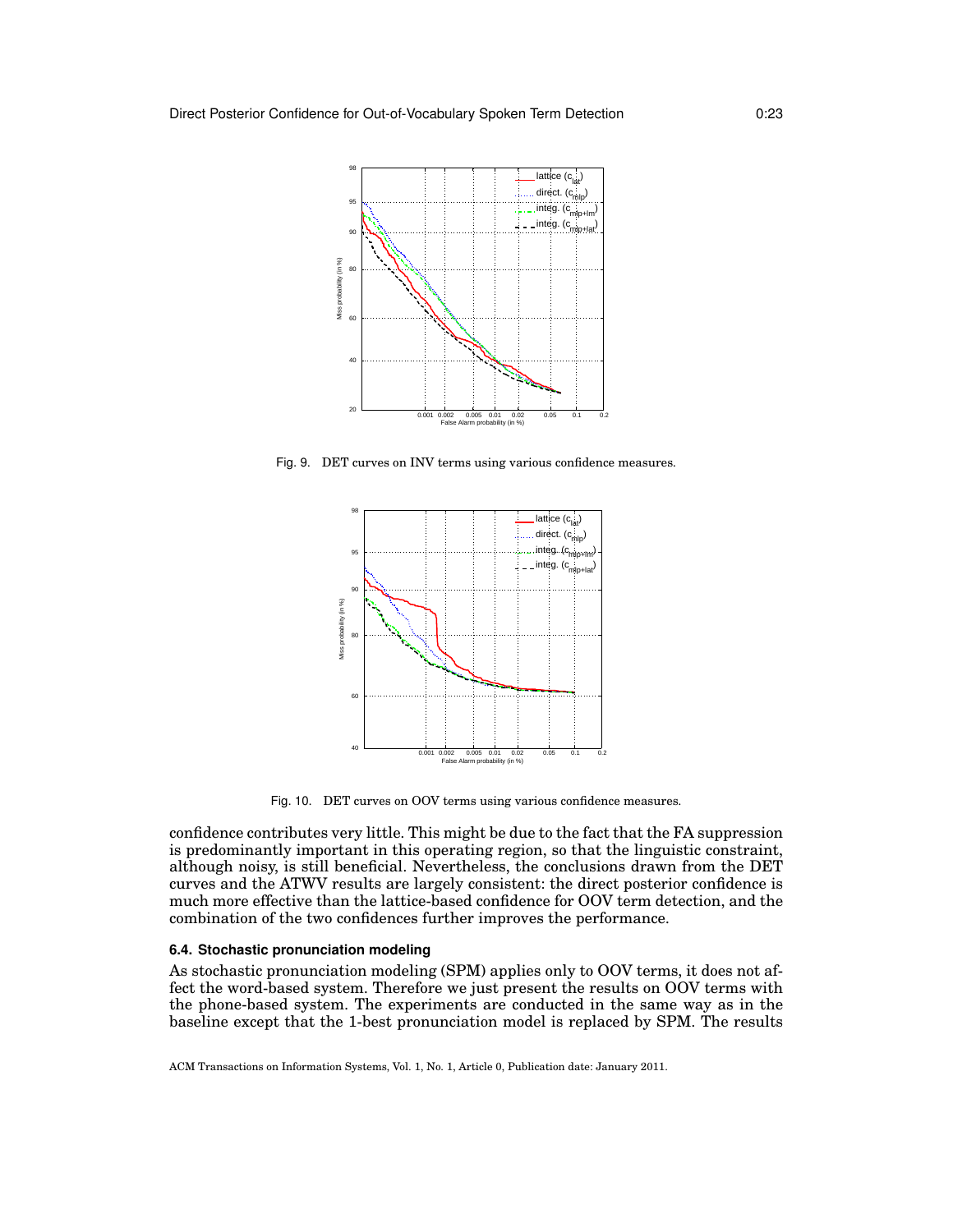

Fig. 9. DET curves on INV terms using various confidence measures.



Fig. 10. DET curves on OOV terms using various confidence measures.

confidence contributes very little. This might be due to the fact that the FA suppression is predominantly important in this operating region, so that the linguistic constraint, although noisy, is still beneficial. Nevertheless, the conclusions drawn from the DET curves and the ATWV results are largely consistent: the direct posterior confidence is much more effective than the lattice-based confidence for OOV term detection, and the combination of the two confidences further improves the performance.

## **6.4. Stochastic pronunciation modeling**

As stochastic pronunciation modeling (SPM) applies only to OOV terms, it does not affect the word-based system. Therefore we just present the results on OOV terms with the phone-based system. The experiments are conducted in the same way as in the baseline except that the 1-best pronunciation model is replaced by SPM. The results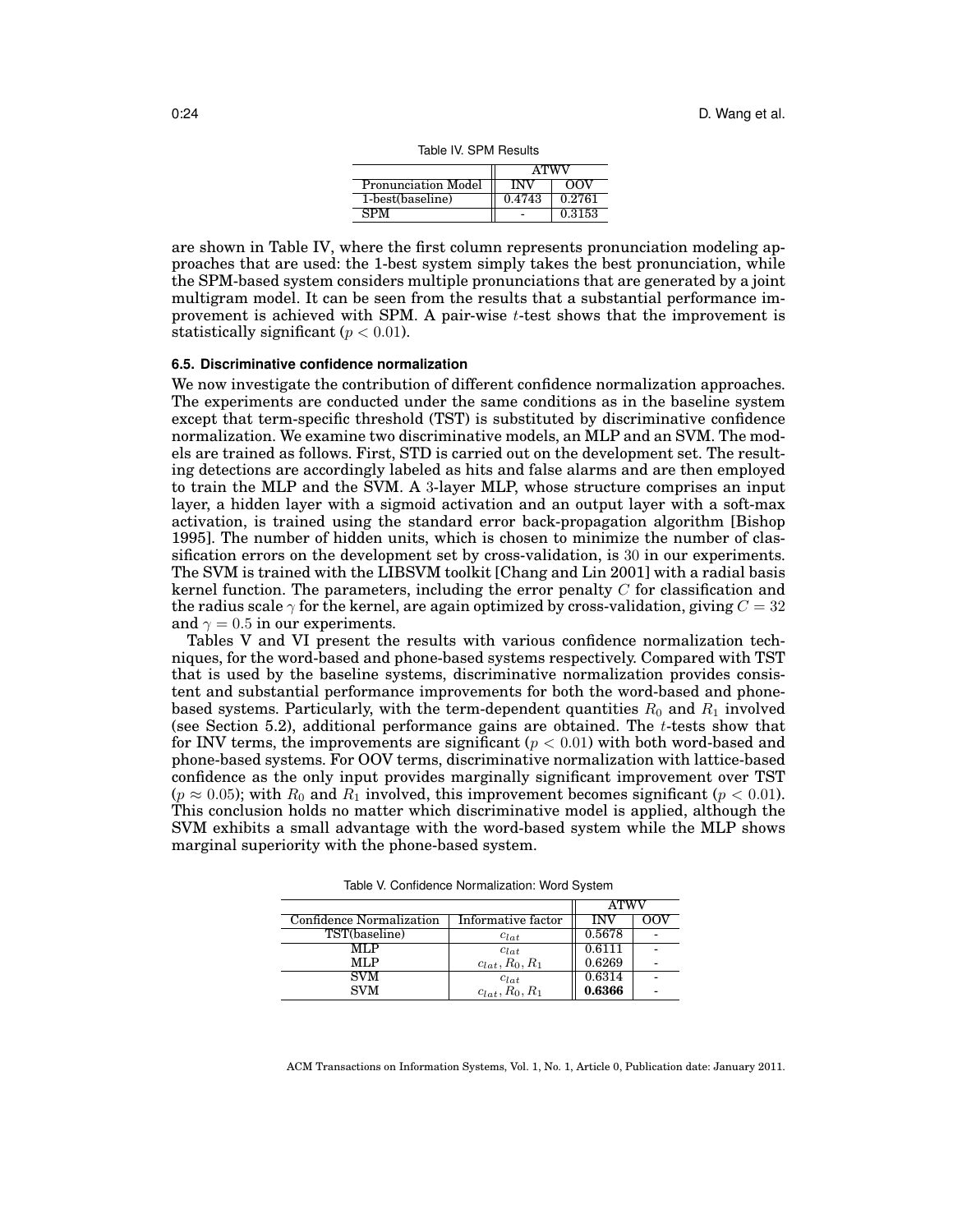|                            | ATWV       |        |
|----------------------------|------------|--------|
| <b>Pronunciation Model</b> | <b>INV</b> | OOV    |
| 1-best(baseline)           | 0.4743     | 0.2761 |
| SРM                        |            | 0.3153 |

Table IV. SPM Results

are shown in Table IV, where the first column represents pronunciation modeling approaches that are used: the 1-best system simply takes the best pronunciation, while the SPM-based system considers multiple pronunciations that are generated by a joint multigram model. It can be seen from the results that a substantial performance improvement is achieved with SPM. A pair-wise  $t$ -test shows that the improvement is statistically significant ( $p < 0.01$ ).

#### **6.5. Discriminative confidence normalization**

We now investigate the contribution of different confidence normalization approaches. The experiments are conducted under the same conditions as in the baseline system except that term-specific threshold (TST) is substituted by discriminative confidence normalization. We examine two discriminative models, an MLP and an SVM. The models are trained as follows. First, STD is carried out on the development set. The resulting detections are accordingly labeled as hits and false alarms and are then employed to train the MLP and the SVM. A 3-layer MLP, whose structure comprises an input layer, a hidden layer with a sigmoid activation and an output layer with a soft-max activation, is trained using the standard error back-propagation algorithm [Bishop 1995]. The number of hidden units, which is chosen to minimize the number of classification errors on the development set by cross-validation, is 30 in our experiments. The SVM is trained with the LIBSVM toolkit [Chang and Lin 2001] with a radial basis kernel function. The parameters, including the error penalty  $C$  for classification and the radius scale  $\gamma$  for the kernel, are again optimized by cross-validation, giving  $C = 32$ and  $\gamma = 0.5$  in our experiments.

Tables V and VI present the results with various confidence normalization techniques, for the word-based and phone-based systems respectively. Compared with TST that is used by the baseline systems, discriminative normalization provides consistent and substantial performance improvements for both the word-based and phonebased systems. Particularly, with the term-dependent quantities  $R_0$  and  $R_1$  involved (see Section 5.2), additional performance gains are obtained. The  $t$ -tests show that for INV terms, the improvements are significant ( $p < 0.01$ ) with both word-based and phone-based systems. For OOV terms, discriminative normalization with lattice-based confidence as the only input provides marginally significant improvement over TST ( $p \approx 0.05$ ); with  $R_0$  and  $R_1$  involved, this improvement becomes significant ( $p < 0.01$ ). This conclusion holds no matter which discriminative model is applied, although the SVM exhibits a small advantage with the word-based system while the MLP shows marginal superiority with the phone-based system.

|                                 |                     |        | <b>ATWV</b> |  |
|---------------------------------|---------------------|--------|-------------|--|
| <b>Confidence Normalization</b> | Informative factor  | INV    |             |  |
| TST(baseline)                   | $c_{lat}$           | 0.5678 |             |  |
| MLP                             | $c_{lat}$           | 0.6111 |             |  |
| MLP                             | $c_{lat}, R_0, R_1$ | 0.6269 |             |  |
| <b>SVM</b>                      | $c_{lat}$           | 0.6314 |             |  |
| <b>SVM</b>                      | $c_{lat}, R_0, R_1$ | 0.6366 |             |  |

Table V. Confidence Normalization: Word System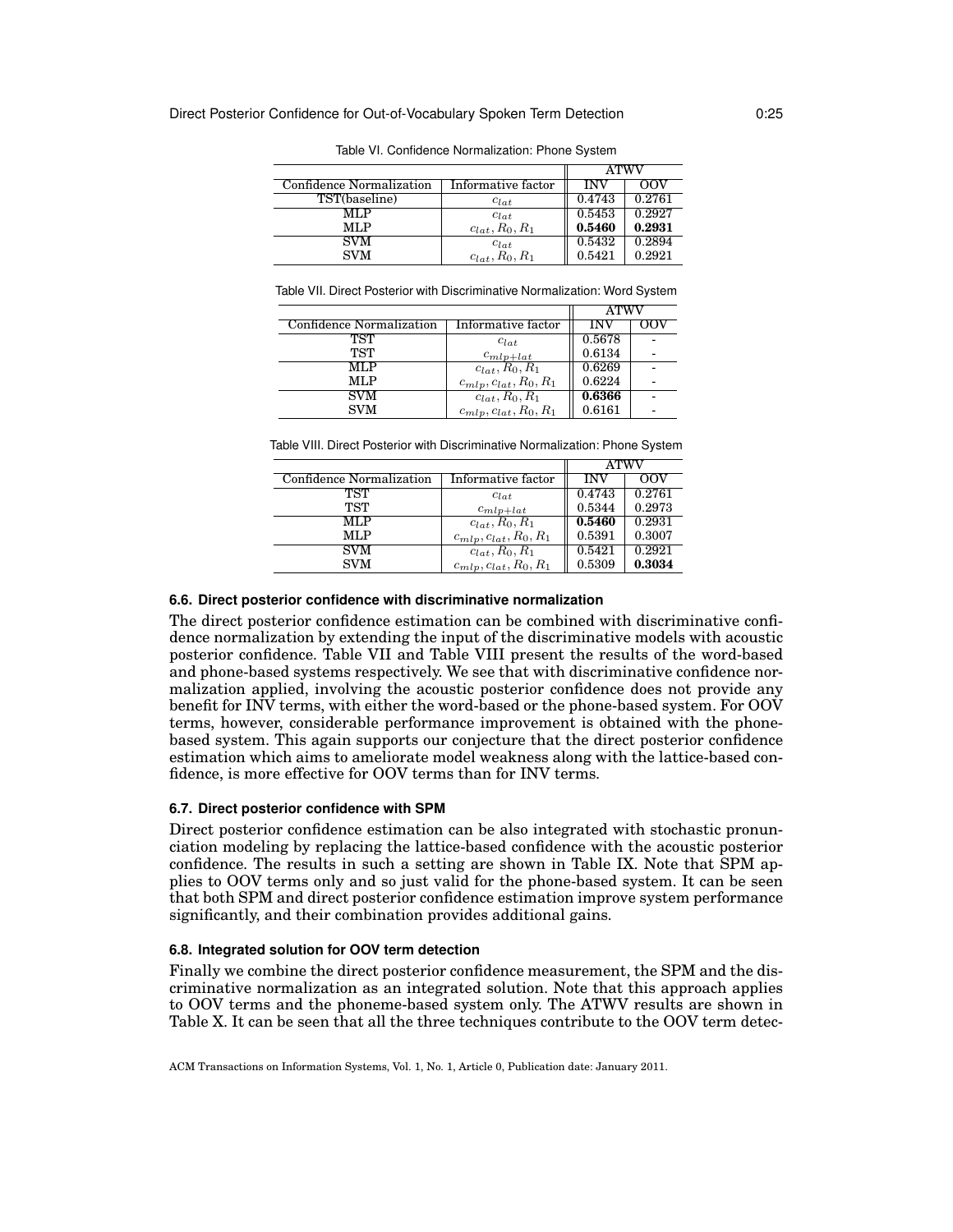|                          |                     | ATWV   |        |
|--------------------------|---------------------|--------|--------|
| Confidence Normalization | Informative factor  | INV    | OOV    |
| TST(baseline)            | $c_{lat}$           | 0.4743 | 0.2761 |
| MLP                      | $c_{lat}$           | 0.5453 | 0.2927 |
| MLP                      | $c_{lat}, R_0, R_1$ | 0.5460 | 0.2931 |
| SVM                      | $c_{lat}$           | 0.5432 | 0.2894 |
| <b>SVM</b>               | $c_{lat}, R_0, R_1$ | 0.5421 | 0.2921 |

Table VI. Confidence Normalization: Phone System

Table VII. Direct Posterior with Discriminative Normalization: Word System

|                          |                              | <b>ATWV</b> |  |
|--------------------------|------------------------------|-------------|--|
| Confidence Normalization | Informative factor           | INV         |  |
| TST                      | $c_{lat}$                    | 0.5678      |  |
| TST                      | $c_{mlp+lat}$                | 0.6134      |  |
| MLP                      | $c_{lat}, R_0, R_1$          | 0.6269      |  |
| MLP                      | $c_{mlp}, c_{lat}, R_0, R_1$ | 0.6224      |  |
| <b>SVM</b>               | $c_{lat}, R_0, R_1$          | 0.6366      |  |
| <b>SVM</b>               | $c_{mlp}, c_{lat}, R_0, R_1$ | 0.6161      |  |

Table VIII. Direct Posterior with Discriminative Normalization: Phone System

|                          |                              | <b>ATWV</b> |        |
|--------------------------|------------------------------|-------------|--------|
| Confidence Normalization | Informative factor           | <b>INV</b>  | OOV    |
| TST                      | $c_{lat}$                    | 0.4743      | 0.2761 |
| TST                      | $c_{mlp+lat}$                | 0.5344      | 0.2973 |
| <b>MLP</b>               | $c_{lat}, R_0, R_1$          | 0.5460      | 0.2931 |
| MLP                      | $c_{mlp}, c_{lat}, R_0, R_1$ | 0.5391      | 0.3007 |
| SVM                      | $c_{lat}, R_0, R_1$          | 0.5421      | 0.2921 |
| SVM                      | $c_{mlp}, c_{lat}, R_0, R_1$ | 0.5309      | 0.3034 |

## **6.6. Direct posterior confidence with discriminative normalization**

The direct posterior confidence estimation can be combined with discriminative confidence normalization by extending the input of the discriminative models with acoustic posterior confidence. Table VII and Table VIII present the results of the word-based and phone-based systems respectively. We see that with discriminative confidence normalization applied, involving the acoustic posterior confidence does not provide any benefit for INV terms, with either the word-based or the phone-based system. For OOV terms, however, considerable performance improvement is obtained with the phonebased system. This again supports our conjecture that the direct posterior confidence estimation which aims to ameliorate model weakness along with the lattice-based confidence, is more effective for OOV terms than for INV terms.

### **6.7. Direct posterior confidence with SPM**

Direct posterior confidence estimation can be also integrated with stochastic pronunciation modeling by replacing the lattice-based confidence with the acoustic posterior confidence. The results in such a setting are shown in Table IX. Note that SPM applies to OOV terms only and so just valid for the phone-based system. It can be seen that both SPM and direct posterior confidence estimation improve system performance significantly, and their combination provides additional gains.

## **6.8. Integrated solution for OOV term detection**

Finally we combine the direct posterior confidence measurement, the SPM and the discriminative normalization as an integrated solution. Note that this approach applies to OOV terms and the phoneme-based system only. The ATWV results are shown in Table X. It can be seen that all the three techniques contribute to the OOV term detec-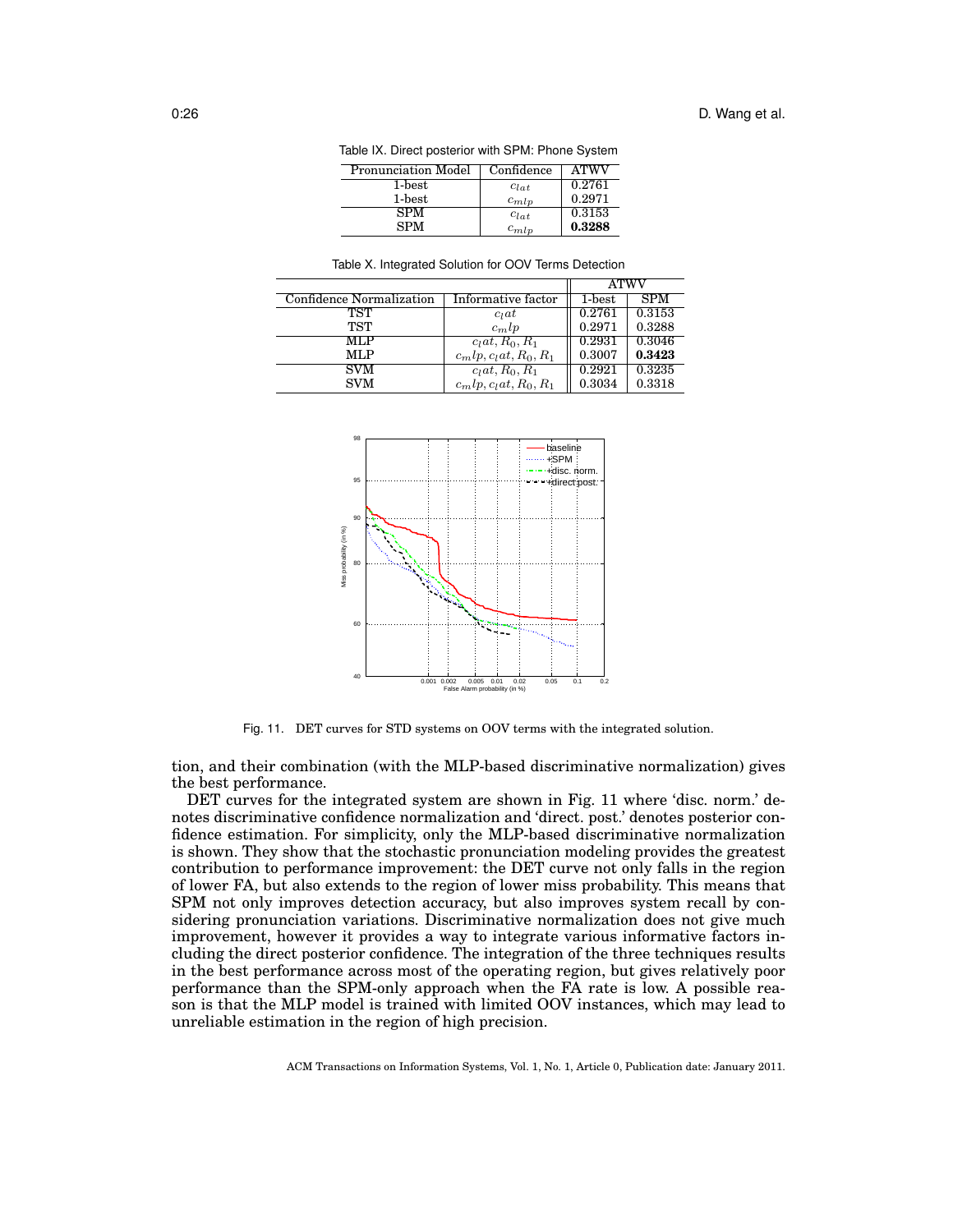| Table IX. Direct posterior with SPM: Phone System |            |             |  |  |
|---------------------------------------------------|------------|-------------|--|--|
| Pronunciation Model                               | Confidence | <b>ATWV</b> |  |  |
| 1-best                                            | $c_{lat}$  | 0.2761      |  |  |
| 1-best                                            | $c_{mlp}$  | 0.2971      |  |  |
| <b>SPM</b>                                        | $c_{lat}$  | 0.3153      |  |  |
| <b>SPM</b>                                        | $c_{mlp}$  | 0.3288      |  |  |

| <u>. abio 70. ografod Obiation ibi OO F Tornio Dotoblion</u> |                          |             |            |  |  |
|--------------------------------------------------------------|--------------------------|-------------|------------|--|--|
|                                                              |                          | <b>ATWV</b> |            |  |  |
| Confidence Normalization                                     | Informative factor       | $1$ -best   | <b>SPM</b> |  |  |
| TST                                                          | $c_l$ at                 | 0.2761      | 0.3153     |  |  |
| TST                                                          | $c_mlp$                  | 0.2971      | 0.3288     |  |  |
| MLP                                                          | $clat, R0, R1$           | 0.2931      | 0.3046     |  |  |
| <b>MLP</b>                                                   | $c_mlp, c_lat, R_0, R_1$ | 0.3007      | 0.3423     |  |  |
| <b>SVM</b>                                                   | $clat, R0, R1$           | 0.2921      | 0.3235     |  |  |
| <b>SVM</b>                                                   | $c_mlp, c_lat, R_0, R_1$ | 0.3034      | 0.3318     |  |  |

Table X. Integrated Solution for OOV Terms Detection



Fig. 11. DET curves for STD systems on OOV terms with the integrated solution.

tion, and their combination (with the MLP-based discriminative normalization) gives the best performance.

DET curves for the integrated system are shown in Fig. 11 where 'disc. norm.' denotes discriminative confidence normalization and 'direct. post.' denotes posterior confidence estimation. For simplicity, only the MLP-based discriminative normalization is shown. They show that the stochastic pronunciation modeling provides the greatest contribution to performance improvement: the DET curve not only falls in the region of lower FA, but also extends to the region of lower miss probability. This means that SPM not only improves detection accuracy, but also improves system recall by considering pronunciation variations. Discriminative normalization does not give much improvement, however it provides a way to integrate various informative factors including the direct posterior confidence. The integration of the three techniques results in the best performance across most of the operating region, but gives relatively poor performance than the SPM-only approach when the FA rate is low. A possible reason is that the MLP model is trained with limited OOV instances, which may lead to unreliable estimation in the region of high precision.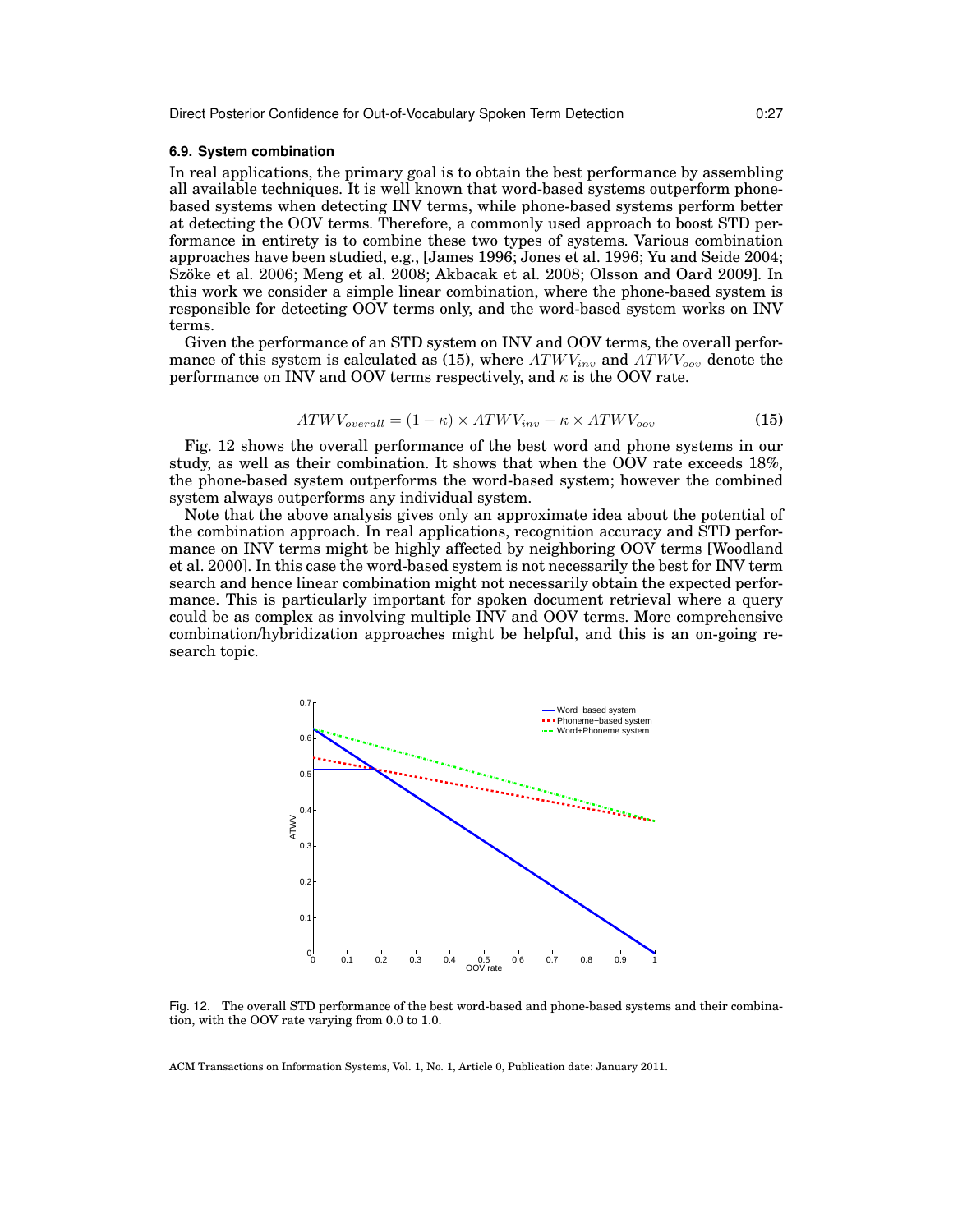#### **6.9. System combination**

In real applications, the primary goal is to obtain the best performance by assembling all available techniques. It is well known that word-based systems outperform phonebased systems when detecting INV terms, while phone-based systems perform better at detecting the OOV terms. Therefore, a commonly used approach to boost STD performance in entirety is to combine these two types of systems. Various combination approaches have been studied, e.g., [James 1996; Jones et al. 1996; Yu and Seide 2004; Szöke et al. 2006; Meng et al. 2008; Akbacak et al. 2008; Olsson and Oard 2009]. In this work we consider a simple linear combination, where the phone-based system is responsible for detecting OOV terms only, and the word-based system works on INV terms.

Given the performance of an STD system on INV and OOV terms, the overall performance of this system is calculated as (15), where  $ATWV_{inv}$  and  $ATWV_{ov}$  denote the performance on INV and OOV terms respectively, and  $\kappa$  is the OOV rate.

$$
ATWV_{overall} = (1 - \kappa) \times ATWV_{inv} + \kappa \times ATWV_{oov}
$$
\n
$$
\tag{15}
$$

Fig. 12 shows the overall performance of the best word and phone systems in our study, as well as their combination. It shows that when the OOV rate exceeds 18%, the phone-based system outperforms the word-based system; however the combined system always outperforms any individual system.

Note that the above analysis gives only an approximate idea about the potential of the combination approach. In real applications, recognition accuracy and STD performance on INV terms might be highly affected by neighboring OOV terms [Woodland et al. 2000]. In this case the word-based system is not necessarily the best for INV term search and hence linear combination might not necessarily obtain the expected performance. This is particularly important for spoken document retrieval where a query could be as complex as involving multiple INV and OOV terms. More comprehensive combination/hybridization approaches might be helpful, and this is an on-going research topic.



Fig. 12. The overall STD performance of the best word-based and phone-based systems and their combination, with the OOV rate varying from 0.0 to 1.0.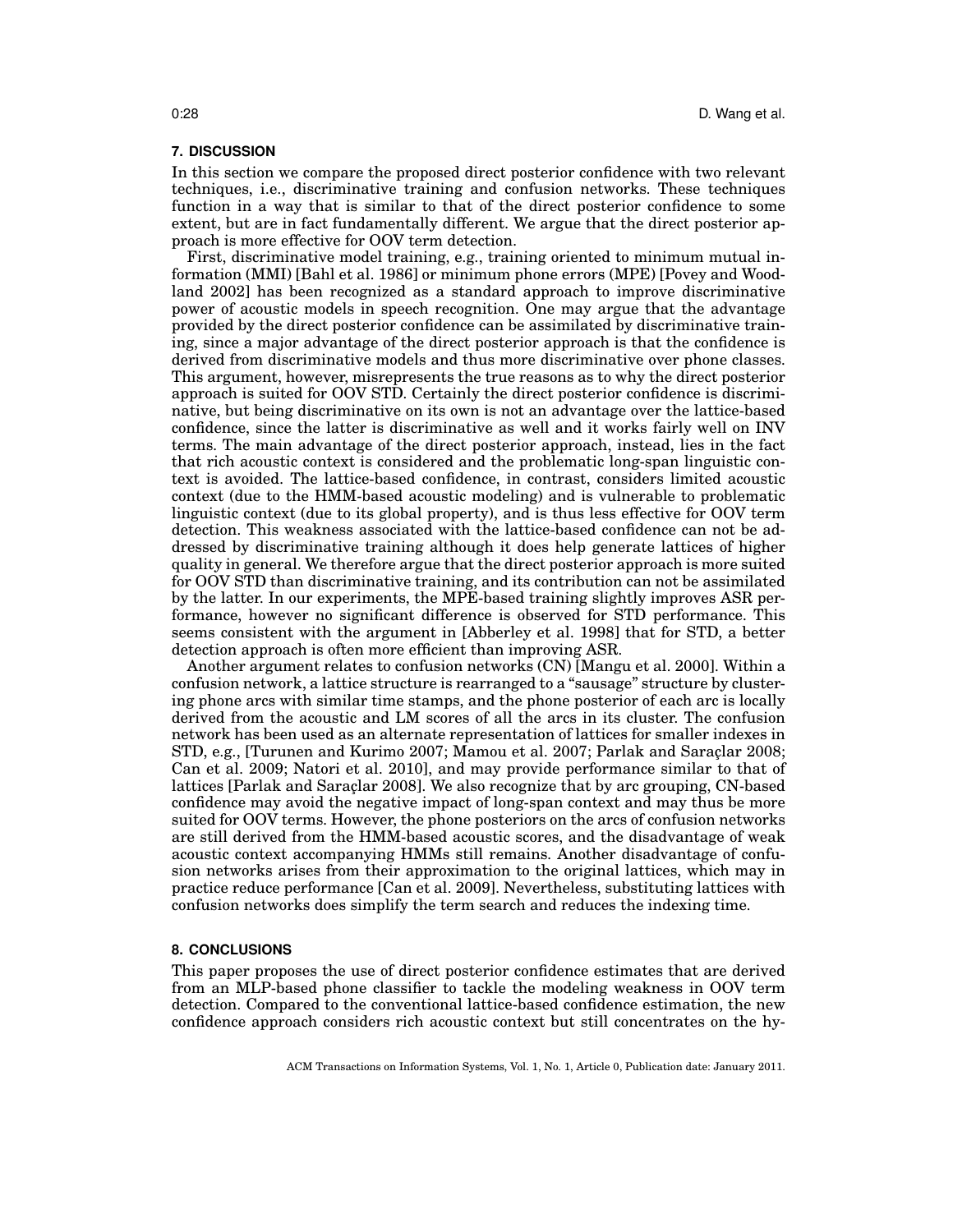#### **7. DISCUSSION**

In this section we compare the proposed direct posterior confidence with two relevant techniques, i.e., discriminative training and confusion networks. These techniques function in a way that is similar to that of the direct posterior confidence to some extent, but are in fact fundamentally different. We argue that the direct posterior approach is more effective for OOV term detection.

First, discriminative model training, e.g., training oriented to minimum mutual information (MMI) [Bahl et al. 1986] or minimum phone errors (MPE) [Povey and Woodland 2002] has been recognized as a standard approach to improve discriminative power of acoustic models in speech recognition. One may argue that the advantage provided by the direct posterior confidence can be assimilated by discriminative training, since a major advantage of the direct posterior approach is that the confidence is derived from discriminative models and thus more discriminative over phone classes. This argument, however, misrepresents the true reasons as to why the direct posterior approach is suited for OOV STD. Certainly the direct posterior confidence is discriminative, but being discriminative on its own is not an advantage over the lattice-based confidence, since the latter is discriminative as well and it works fairly well on INV terms. The main advantage of the direct posterior approach, instead, lies in the fact that rich acoustic context is considered and the problematic long-span linguistic context is avoided. The lattice-based confidence, in contrast, considers limited acoustic context (due to the HMM-based acoustic modeling) and is vulnerable to problematic linguistic context (due to its global property), and is thus less effective for OOV term detection. This weakness associated with the lattice-based confidence can not be addressed by discriminative training although it does help generate lattices of higher quality in general. We therefore argue that the direct posterior approach is more suited for OOV STD than discriminative training, and its contribution can not be assimilated by the latter. In our experiments, the MPE-based training slightly improves ASR performance, however no significant difference is observed for STD performance. This seems consistent with the argument in [Abberley et al. 1998] that for STD, a better detection approach is often more efficient than improving ASR.

Another argument relates to confusion networks (CN) [Mangu et al. 2000]. Within a confusion network, a lattice structure is rearranged to a "sausage" structure by clustering phone arcs with similar time stamps, and the phone posterior of each arc is locally derived from the acoustic and LM scores of all the arcs in its cluster. The confusion network has been used as an alternate representation of lattices for smaller indexes in STD, e.g., [Turunen and Kurimo 2007; Mamou et al. 2007; Parlak and Saraçlar 2008; Can et al. 2009; Natori et al. 2010], and may provide performance similar to that of lattices [Parlak and Saraçlar 2008]. We also recognize that by arc grouping, CN-based confidence may avoid the negative impact of long-span context and may thus be more suited for OOV terms. However, the phone posteriors on the arcs of confusion networks are still derived from the HMM-based acoustic scores, and the disadvantage of weak acoustic context accompanying HMMs still remains. Another disadvantage of confusion networks arises from their approximation to the original lattices, which may in practice reduce performance [Can et al. 2009]. Nevertheless, substituting lattices with confusion networks does simplify the term search and reduces the indexing time.

## **8. CONCLUSIONS**

This paper proposes the use of direct posterior confidence estimates that are derived from an MLP-based phone classifier to tackle the modeling weakness in OOV term detection. Compared to the conventional lattice-based confidence estimation, the new confidence approach considers rich acoustic context but still concentrates on the hy-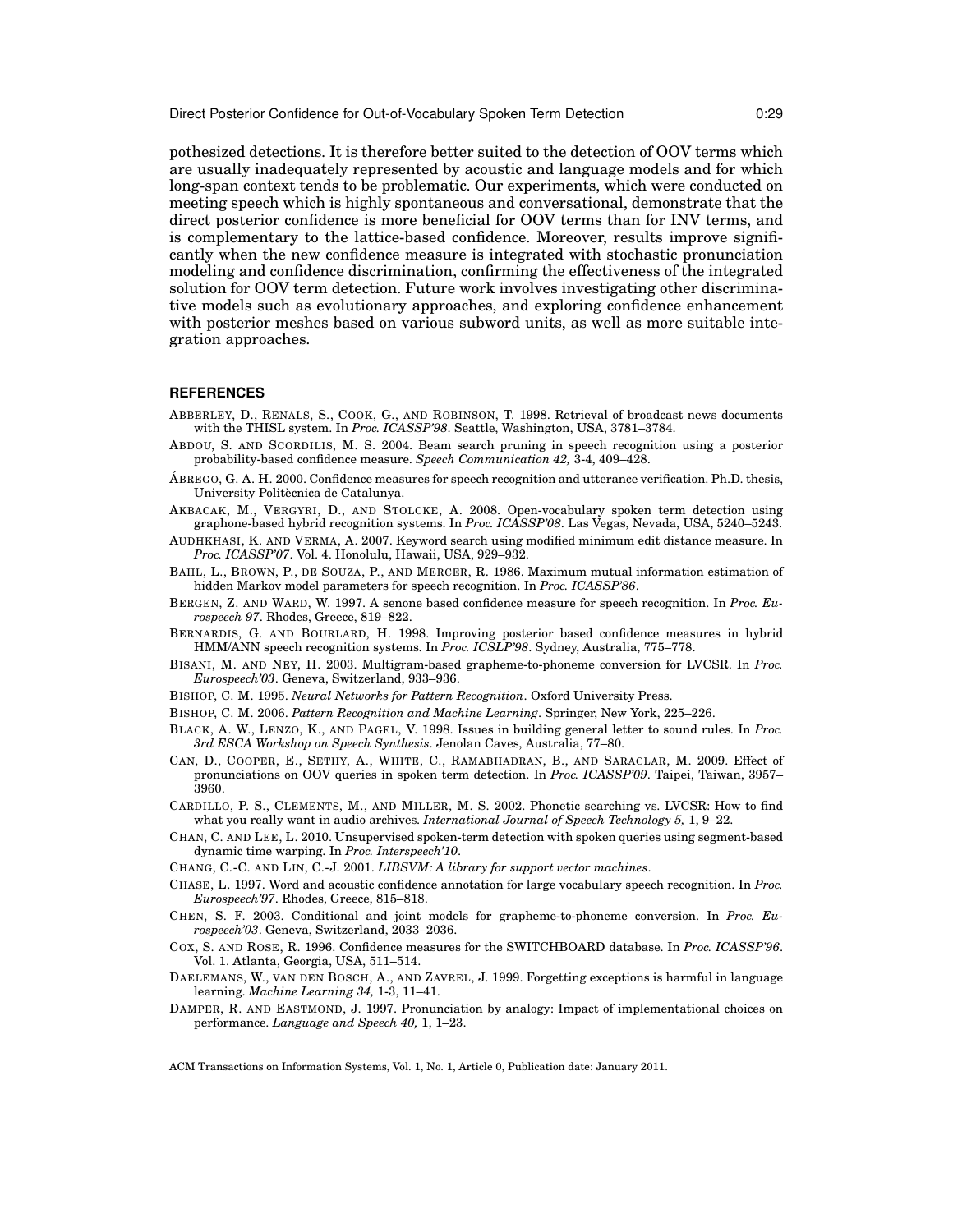pothesized detections. It is therefore better suited to the detection of OOV terms which are usually inadequately represented by acoustic and language models and for which long-span context tends to be problematic. Our experiments, which were conducted on meeting speech which is highly spontaneous and conversational, demonstrate that the direct posterior confidence is more beneficial for OOV terms than for INV terms, and is complementary to the lattice-based confidence. Moreover, results improve significantly when the new confidence measure is integrated with stochastic pronunciation modeling and confidence discrimination, confirming the effectiveness of the integrated solution for OOV term detection. Future work involves investigating other discriminative models such as evolutionary approaches, and exploring confidence enhancement with posterior meshes based on various subword units, as well as more suitable integration approaches.

#### **REFERENCES**

- ABBERLEY, D., RENALS, S., COOK, G., AND ROBINSON, T. 1998. Retrieval of broadcast news documents with the THISL system. In *Proc. ICASSP'98*. Seattle, Washington, USA, 3781–3784.
- ABDOU, S. AND SCORDILIS, M. S. 2004. Beam search pruning in speech recognition using a posterior probability-based confidence measure. *Speech Communication 42,* 3-4, 409–428.
- A´ BREGO, G. A. H. 2000. Confidence measures for speech recognition and utterance verification. Ph.D. thesis, University Politècnica de Catalunya.
- AKBACAK, M., VERGYRI, D., AND STOLCKE, A. 2008. Open-vocabulary spoken term detection using graphone-based hybrid recognition systems. In *Proc. ICASSP'08*. Las Vegas, Nevada, USA, 5240–5243.
- AUDHKHASI, K. AND VERMA, A. 2007. Keyword search using modified minimum edit distance measure. In *Proc. ICASSP'07*. Vol. 4. Honolulu, Hawaii, USA, 929–932.
- BAHL, L., BROWN, P., DE SOUZA, P., AND MERCER, R. 1986. Maximum mutual information estimation of hidden Markov model parameters for speech recognition. In *Proc. ICASSP'86*.
- BERGEN, Z. AND WARD, W. 1997. A senone based confidence measure for speech recognition. In *Proc. Eurospeech 97*. Rhodes, Greece, 819–822.
- BERNARDIS, G. AND BOURLARD, H. 1998. Improving posterior based confidence measures in hybrid HMM/ANN speech recognition systems. In *Proc. ICSLP'98*. Sydney, Australia, 775–778.
- BISANI, M. AND NEY, H. 2003. Multigram-based grapheme-to-phoneme conversion for LVCSR. In *Proc. Eurospeech'03*. Geneva, Switzerland, 933–936.
- BISHOP, C. M. 1995. *Neural Networks for Pattern Recognition*. Oxford University Press.
- BISHOP, C. M. 2006. *Pattern Recognition and Machine Learning*. Springer, New York, 225–226.
- BLACK, A. W., LENZO, K., AND PAGEL, V. 1998. Issues in building general letter to sound rules. In *Proc. 3rd ESCA Workshop on Speech Synthesis*. Jenolan Caves, Australia, 77–80.
- CAN, D., COOPER, E., SETHY, A., WHITE, C., RAMABHADRAN, B., AND SARACLAR, M. 2009. Effect of pronunciations on OOV queries in spoken term detection. In *Proc. ICASSP'09*. Taipei, Taiwan, 3957– 3960.
- CARDILLO, P. S., CLEMENTS, M., AND MILLER, M. S. 2002. Phonetic searching vs. LVCSR: How to find what you really want in audio archives. *International Journal of Speech Technology 5,* 1, 9–22.
- CHAN, C. AND LEE, L. 2010. Unsupervised spoken-term detection with spoken queries using segment-based dynamic time warping. In *Proc. Interspeech'10*.
- CHANG, C.-C. AND LIN, C.-J. 2001. *LIBSVM: A library for support vector machines*.
- CHASE, L. 1997. Word and acoustic confidence annotation for large vocabulary speech recognition. In *Proc. Eurospeech'97*. Rhodes, Greece, 815–818.
- CHEN, S. F. 2003. Conditional and joint models for grapheme-to-phoneme conversion. In *Proc. Eurospeech'03*. Geneva, Switzerland, 2033–2036.
- COX, S. AND ROSE, R. 1996. Confidence measures for the SWITCHBOARD database. In *Proc. ICASSP'96*. Vol. 1. Atlanta, Georgia, USA, 511–514.
- DAELEMANS, W., VAN DEN BOSCH, A., AND ZAVREL, J. 1999. Forgetting exceptions is harmful in language learning. *Machine Learning 34,* 1-3, 11–41.
- DAMPER, R. AND EASTMOND, J. 1997. Pronunciation by analogy: Impact of implementational choices on performance. *Language and Speech 40,* 1, 1–23.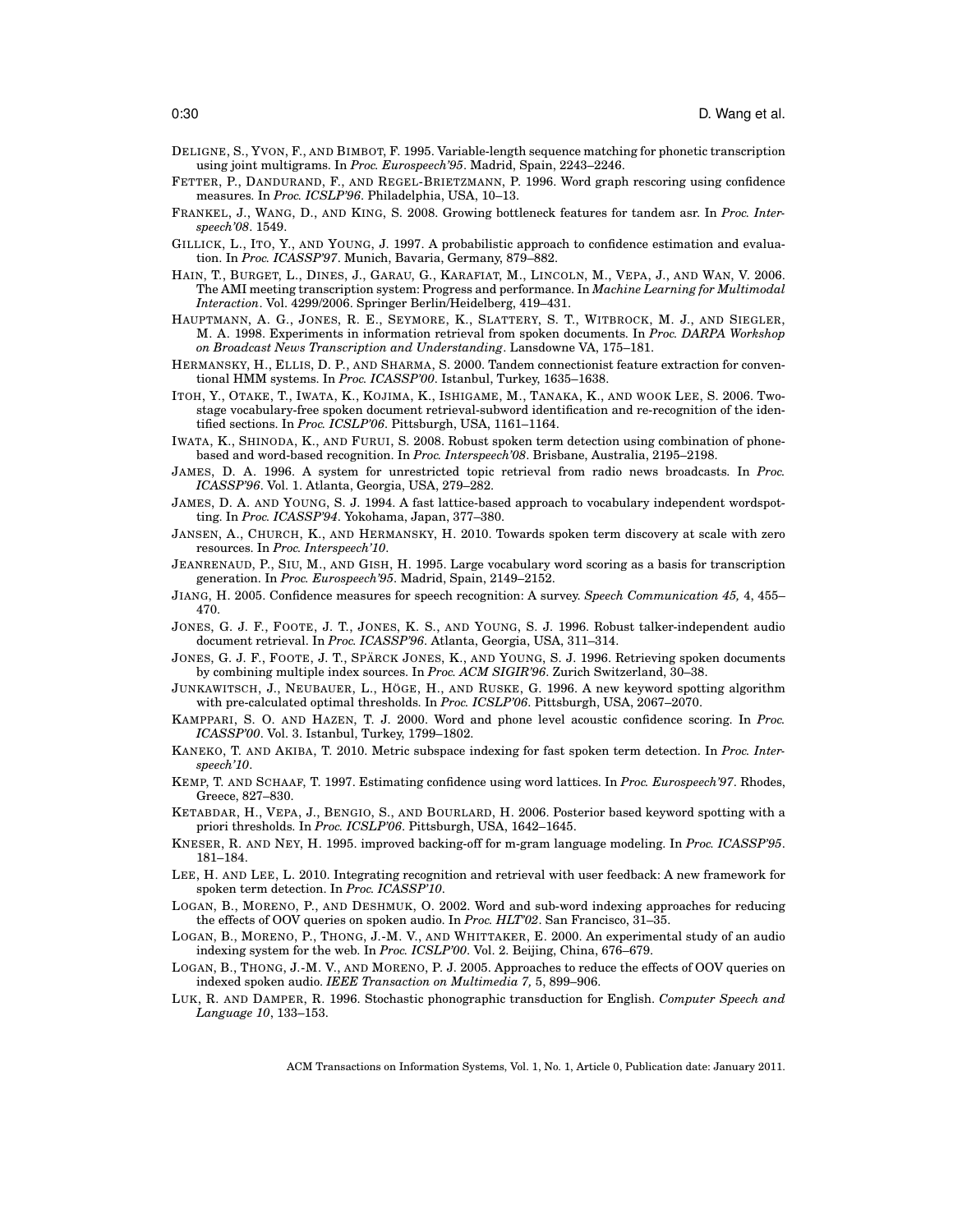- DELIGNE, S., YVON, F., AND BIMBOT, F. 1995. Variable-length sequence matching for phonetic transcription using joint multigrams. In *Proc. Eurospeech'95*. Madrid, Spain, 2243–2246.
- FETTER, P., DANDURAND, F., AND REGEL-BRIETZMANN, P. 1996. Word graph rescoring using confidence measures. In *Proc. ICSLP'96*. Philadelphia, USA, 10–13.
- FRANKEL, J., WANG, D., AND KING, S. 2008. Growing bottleneck features for tandem asr. In *Proc. Interspeech'08*. 1549.
- GILLICK, L., ITO, Y., AND YOUNG, J. 1997. A probabilistic approach to confidence estimation and evaluation. In *Proc. ICASSP'97*. Munich, Bavaria, Germany, 879–882.
- HAIN, T., BURGET, L., DINES, J., GARAU, G., KARAFIAT, M., LINCOLN, M., VEPA, J., AND WAN, V. 2006. The AMI meeting transcription system: Progress and performance. In *Machine Learning for Multimodal Interaction*. Vol. 4299/2006. Springer Berlin/Heidelberg, 419–431.
- HAUPTMANN, A. G., JONES, R. E., SEYMORE, K., SLATTERY, S. T., WITBROCK, M. J., AND SIEGLER, M. A. 1998. Experiments in information retrieval from spoken documents. In *Proc. DARPA Workshop on Broadcast News Transcription and Understanding*. Lansdowne VA, 175–181.
- HERMANSKY, H., ELLIS, D. P., AND SHARMA, S. 2000. Tandem connectionist feature extraction for conventional HMM systems. In *Proc. ICASSP'00*. Istanbul, Turkey, 1635–1638.
- ITOH, Y., OTAKE, T., IWATA, K., KOJIMA, K., ISHIGAME, M., TANAKA, K., AND WOOK LEE, S. 2006. Twostage vocabulary-free spoken document retrieval-subword identification and re-recognition of the identified sections. In *Proc. ICSLP'06*. Pittsburgh, USA, 1161–1164.
- IWATA, K., SHINODA, K., AND FURUI, S. 2008. Robust spoken term detection using combination of phonebased and word-based recognition. In *Proc. Interspeech'08*. Brisbane, Australia, 2195–2198.
- JAMES, D. A. 1996. A system for unrestricted topic retrieval from radio news broadcasts. In *Proc. ICASSP'96*. Vol. 1. Atlanta, Georgia, USA, 279–282.
- JAMES, D. A. AND YOUNG, S. J. 1994. A fast lattice-based approach to vocabulary independent wordspotting. In *Proc. ICASSP'94*. Yokohama, Japan, 377–380.
- JANSEN, A., CHURCH, K., AND HERMANSKY, H. 2010. Towards spoken term discovery at scale with zero resources. In *Proc. Interspeech'10*.
- JEANRENAUD, P., SIU, M., AND GISH, H. 1995. Large vocabulary word scoring as a basis for transcription generation. In *Proc. Eurospeech'95*. Madrid, Spain, 2149–2152.
- JIANG, H. 2005. Confidence measures for speech recognition: A survey. *Speech Communication 45,* 4, 455– 470.
- JONES, G. J. F., FOOTE, J. T., JONES, K. S., AND YOUNG, S. J. 1996. Robust talker-independent audio document retrieval. In *Proc. ICASSP'96*. Atlanta, Georgia, USA, 311–314.
- JONES, G. J. F., FOOTE, J. T., SPÄRCK JONES, K., AND YOUNG, S. J. 1996. Retrieving spoken documents by combining multiple index sources. In *Proc. ACM SIGIR'96*. Zurich Switzerland, 30–38.
- JUNKAWITSCH, J., NEUBAUER, L., HÖGE, H., AND RUSKE, G. 1996. A new keyword spotting algorithm with pre-calculated optimal thresholds. In *Proc. ICSLP'06*. Pittsburgh, USA, 2067–2070.
- KAMPPARI, S. O. AND HAZEN, T. J. 2000. Word and phone level acoustic confidence scoring. In *Proc. ICASSP'00*. Vol. 3. Istanbul, Turkey, 1799–1802.
- KANEKO, T. AND AKIBA, T. 2010. Metric subspace indexing for fast spoken term detection. In *Proc. Interspeech'10*.
- KEMP, T. AND SCHAAF, T. 1997. Estimating confidence using word lattices. In *Proc. Eurospeech'97*. Rhodes, Greece, 827–830.
- KETABDAR, H., VEPA, J., BENGIO, S., AND BOURLARD, H. 2006. Posterior based keyword spotting with a priori thresholds. In *Proc. ICSLP'06*. Pittsburgh, USA, 1642–1645.
- KNESER, R. AND NEY, H. 1995. improved backing-off for m-gram language modeling. In *Proc. ICASSP'95*. 181–184.
- LEE, H. AND LEE, L. 2010. Integrating recognition and retrieval with user feedback: A new framework for spoken term detection. In *Proc. ICASSP'10*.
- LOGAN, B., MORENO, P., AND DESHMUK, O. 2002. Word and sub-word indexing approaches for reducing the effects of OOV queries on spoken audio. In *Proc. HLT'02*. San Francisco, 31–35.
- LOGAN, B., MORENO, P., THONG, J.-M. V., AND WHITTAKER, E. 2000. An experimental study of an audio indexing system for the web. In *Proc. ICSLP'00*. Vol. 2. Beijing, China, 676–679.
- LOGAN, B., THONG, J.-M. V., AND MORENO, P. J. 2005. Approaches to reduce the effects of OOV queries on indexed spoken audio. *IEEE Transaction on Multimedia 7,* 5, 899–906.
- LUK, R. AND DAMPER, R. 1996. Stochastic phonographic transduction for English. *Computer Speech and Language 10*, 133–153.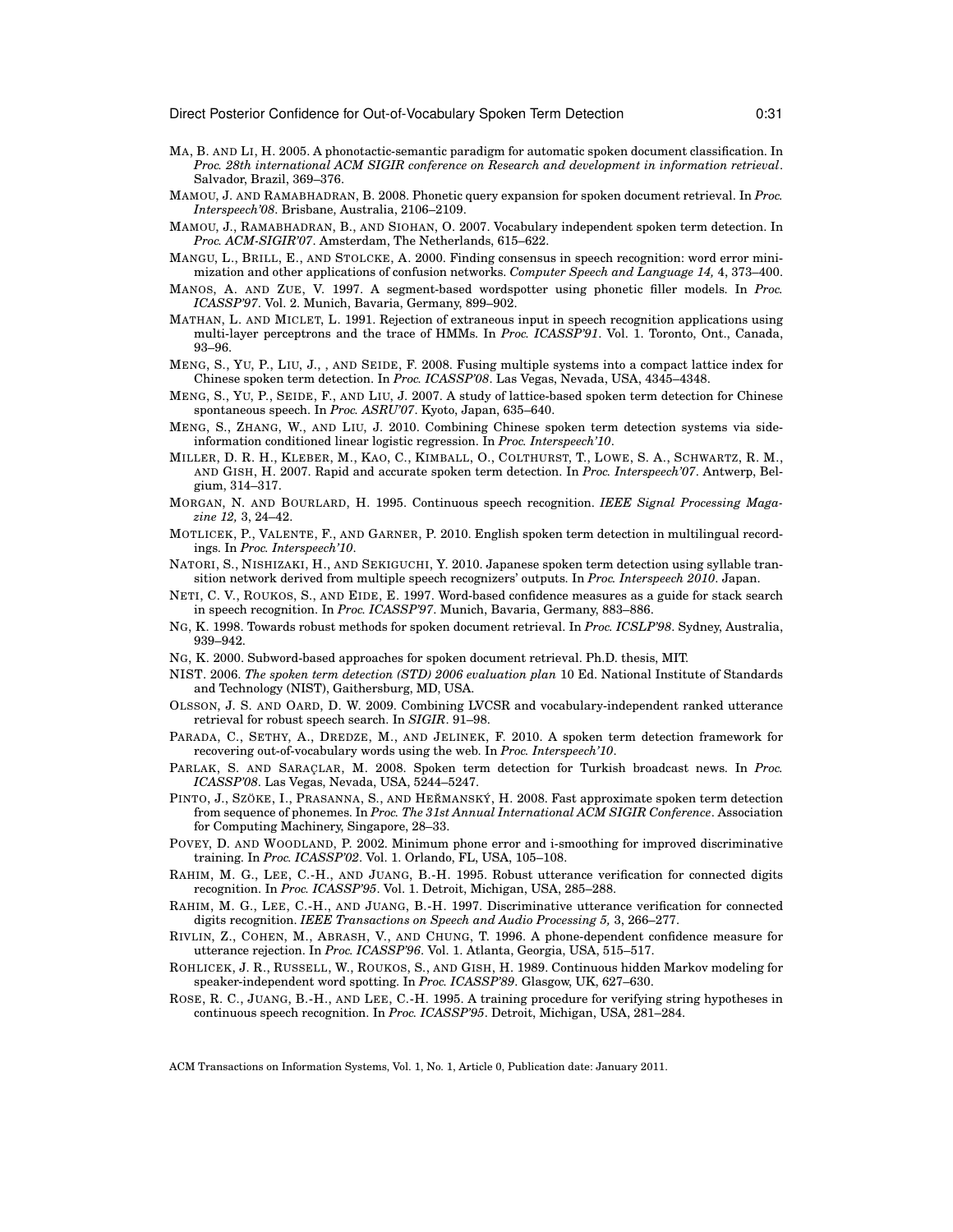- MA, B. AND LI, H. 2005. A phonotactic-semantic paradigm for automatic spoken document classification. In *Proc. 28th international ACM SIGIR conference on Research and development in information retrieval*. Salvador, Brazil, 369–376.
- MAMOU, J. AND RAMABHADRAN, B. 2008. Phonetic query expansion for spoken document retrieval. In *Proc. Interspeech'08*. Brisbane, Australia, 2106–2109.
- MAMOU, J., RAMABHADRAN, B., AND SIOHAN, O. 2007. Vocabulary independent spoken term detection. In *Proc. ACM-SIGIR'07*. Amsterdam, The Netherlands, 615–622.
- MANGU, L., BRILL, E., AND STOLCKE, A. 2000. Finding consensus in speech recognition: word error minimization and other applications of confusion networks. *Computer Speech and Language 14,* 4, 373–400.
- MANOS, A. AND ZUE, V. 1997. A segment-based wordspotter using phonetic filler models. In *Proc. ICASSP'97*. Vol. 2. Munich, Bavaria, Germany, 899–902.
- MATHAN, L. AND MICLET, L. 1991. Rejection of extraneous input in speech recognition applications using multi-layer perceptrons and the trace of HMMs. In *Proc. ICASSP'91*. Vol. 1. Toronto, Ont., Canada, 93–96.
- MENG, S., YU, P., LIU, J., , AND SEIDE, F. 2008. Fusing multiple systems into a compact lattice index for Chinese spoken term detection. In *Proc. ICASSP'08*. Las Vegas, Nevada, USA, 4345–4348.
- MENG, S., YU, P., SEIDE, F., AND LIU, J. 2007. A study of lattice-based spoken term detection for Chinese spontaneous speech. In *Proc. ASRU'07*. Kyoto, Japan, 635–640.
- MENG, S., ZHANG, W., AND LIU, J. 2010. Combining Chinese spoken term detection systems via sideinformation conditioned linear logistic regression. In *Proc. Interspeech'10*.
- MILLER, D. R. H., KLEBER, M., KAO, C., KIMBALL, O., COLTHURST, T., LOWE, S. A., SCHWARTZ, R. M., AND GISH, H. 2007. Rapid and accurate spoken term detection. In *Proc. Interspeech'07*. Antwerp, Belgium, 314–317.
- MORGAN, N. AND BOURLARD, H. 1995. Continuous speech recognition. *IEEE Signal Processing Magazine 12,* 3, 24–42.
- MOTLICEK, P., VALENTE, F., AND GARNER, P. 2010. English spoken term detection in multilingual recordings. In *Proc. Interspeech'10*.
- NATORI, S., NISHIZAKI, H., AND SEKIGUCHI, Y. 2010. Japanese spoken term detection using syllable transition network derived from multiple speech recognizers' outputs. In *Proc. Interspeech 2010*. Japan.
- NETI, C. V., ROUKOS, S., AND EIDE, E. 1997. Word-based confidence measures as a guide for stack search in speech recognition. In *Proc. ICASSP'97*. Munich, Bavaria, Germany, 883–886.
- NG, K. 1998. Towards robust methods for spoken document retrieval. In *Proc. ICSLP'98*. Sydney, Australia, 939–942.
- NG, K. 2000. Subword-based approaches for spoken document retrieval. Ph.D. thesis, MIT.
- NIST. 2006. *The spoken term detection (STD) 2006 evaluation plan* 10 Ed. National Institute of Standards and Technology (NIST), Gaithersburg, MD, USA.
- OLSSON, J. S. AND OARD, D. W. 2009. Combining LVCSR and vocabulary-independent ranked utterance retrieval for robust speech search. In *SIGIR*. 91–98.
- PARADA, C., SETHY, A., DREDZE, M., AND JELINEK, F. 2010. A spoken term detection framework for recovering out-of-vocabulary words using the web. In *Proc. Interspeech'10*.
- PARLAK, S. AND SARAÇLAR, M. 2008. Spoken term detection for Turkish broadcast news. In *Proc. ICASSP'08*. Las Vegas, Nevada, USA, 5244–5247.
- PINTO, J., SZÖKE, I., PRASANNA, S., AND HEŘMANSKÝ, H. 2008. Fast approximate spoken term detection from sequence of phonemes. In *Proc. The 31st Annual International ACM SIGIR Conference*. Association for Computing Machinery, Singapore, 28–33.
- POVEY, D. AND WOODLAND, P. 2002. Minimum phone error and i-smoothing for improved discriminative training. In *Proc. ICASSP'02*. Vol. 1. Orlando, FL, USA, 105–108.
- RAHIM, M. G., LEE, C.-H., AND JUANG, B.-H. 1995. Robust utterance verification for connected digits recognition. In *Proc. ICASSP'95*. Vol. 1. Detroit, Michigan, USA, 285–288.
- RAHIM, M. G., LEE, C.-H., AND JUANG, B.-H. 1997. Discriminative utterance verification for connected digits recognition. *IEEE Transactions on Speech and Audio Processing 5,* 3, 266–277.
- RIVLIN, Z., COHEN, M., ABRASH, V., AND CHUNG, T. 1996. A phone-dependent confidence measure for utterance rejection. In *Proc. ICASSP'96*. Vol. 1. Atlanta, Georgia, USA, 515–517.
- ROHLICEK, J. R., RUSSELL, W., ROUKOS, S., AND GISH, H. 1989. Continuous hidden Markov modeling for speaker-independent word spotting. In *Proc. ICASSP'89*. Glasgow, UK, 627–630.
- ROSE, R. C., JUANG, B.-H., AND LEE, C.-H. 1995. A training procedure for verifying string hypotheses in continuous speech recognition. In *Proc. ICASSP'95*. Detroit, Michigan, USA, 281–284.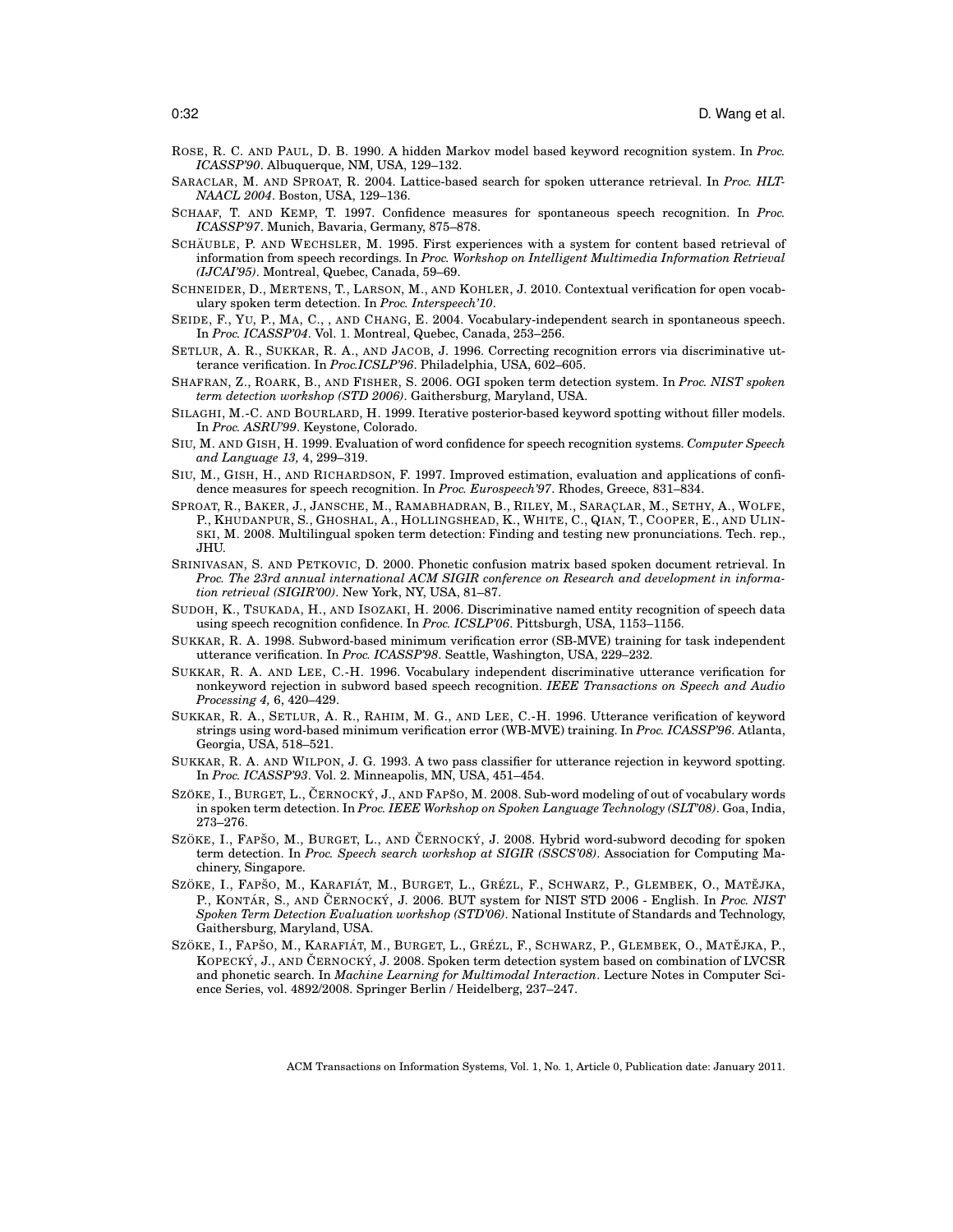- ROSE, R. C. AND PAUL, D. B. 1990. A hidden Markov model based keyword recognition system. In *Proc. ICASSP'90*. Albuquerque, NM, USA, 129–132.
- SARACLAR, M. AND SPROAT, R. 2004. Lattice-based search for spoken utterance retrieval. In *Proc. HLT-NAACL 2004*. Boston, USA, 129–136.
- SCHAAF, T. AND KEMP, T. 1997. Confidence measures for spontaneous speech recognition. In *Proc. ICASSP'97*. Munich, Bavaria, Germany, 875–878.
- SCHÄUBLE, P. AND WECHSLER, M. 1995. First experiences with a system for content based retrieval of information from speech recordings. In *Proc. Workshop on Intelligent Multimedia Information Retrieval (IJCAI'95)*. Montreal, Quebec, Canada, 59–69.
- SCHNEIDER, D., MERTENS, T., LARSON, M., AND KOHLER, J. 2010. Contextual verification for open vocabulary spoken term detection. In *Proc. Interspeech'10*.
- SEIDE, F., YU, P., MA, C., , AND CHANG, E. 2004. Vocabulary-independent search in spontaneous speech. In *Proc. ICASSP'04*. Vol. 1. Montreal, Quebec, Canada, 253–256.
- SETLUR, A. R., SUKKAR, R. A., AND JACOB, J. 1996. Correcting recognition errors via discriminative utterance verification. In *Proc.ICSLP'96*. Philadelphia, USA, 602–605.
- SHAFRAN, Z., ROARK, B., AND FISHER, S. 2006. OGI spoken term detection system. In *Proc. NIST spoken term detection workshop (STD 2006)*. Gaithersburg, Maryland, USA.
- SILAGHI, M.-C. AND BOURLARD, H. 1999. Iterative posterior-based keyword spotting without filler models. In *Proc. ASRU'99*. Keystone, Colorado.
- SIU, M. AND GISH, H. 1999. Evaluation of word confidence for speech recognition systems. *Computer Speech and Language 13,* 4, 299–319.
- SIU, M., GISH, H., AND RICHARDSON, F. 1997. Improved estimation, evaluation and applications of confidence measures for speech recognition. In *Proc. Eurospeech'97*. Rhodes, Greece, 831–834.
- SPROAT, R., BAKER, J., JANSCHE, M., RAMABHADRAN, B., RILEY, M., SARACLAR, M., SETHY, A., WOLFE, P., KHUDANPUR, S., GHOSHAL, A., HOLLINGSHEAD, K., WHITE, C., QIAN, T., COOPER, E., AND ULIN-SKI, M. 2008. Multilingual spoken term detection: Finding and testing new pronunciations. Tech. rep., JHU.
- SRINIVASAN, S. AND PETKOVIC, D. 2000. Phonetic confusion matrix based spoken document retrieval. In *Proc. The 23rd annual international ACM SIGIR conference on Research and development in information retrieval (SIGIR'00)*. New York, NY, USA, 81–87.
- SUDOH, K., TSUKADA, H., AND ISOZAKI, H. 2006. Discriminative named entity recognition of speech data using speech recognition confidence. In *Proc. ICSLP'06*. Pittsburgh, USA, 1153–1156.
- SUKKAR, R. A. 1998. Subword-based minimum verification error (SB-MVE) training for task independent utterance verification. In *Proc. ICASSP'98*. Seattle, Washington, USA, 229–232.
- SUKKAR, R. A. AND LEE, C.-H. 1996. Vocabulary independent discriminative utterance verification for nonkeyword rejection in subword based speech recognition. *IEEE Transactions on Speech and Audio Processing 4,* 6, 420–429.
- SUKKAR, R. A., SETLUR, A. R., RAHIM, M. G., AND LEE, C.-H. 1996. Utterance verification of keyword strings using word-based minimum verification error (WB-MVE) training. In *Proc. ICASSP'96*. Atlanta, Georgia, USA, 518–521.
- SUKKAR, R. A. AND WILPON, J. G. 1993. A two pass classifier for utterance rejection in keyword spotting. In *Proc. ICASSP'93*. Vol. 2. Minneapolis, MN, USA, 451–454.
- SZÖKE, I., BURGET, L., ČERNOCKÝ, J., AND FAPŠO, M. 2008. Sub-word modeling of out of vocabulary words in spoken term detection. In *Proc. IEEE Workshop on Spoken Language Technology (SLT'08)*. Goa, India, 273–276.
- SZÖKE, I., FAPSO, M., BURGET, L., AND ČERNOCKÝ, J. 2008. Hybrid word-subword decoding for spoken term detection. In *Proc. Speech search workshop at SIGIR (SSCS'08)*. Association for Computing Machinery, Singapore.
- SZÖKE, I., FAPŠO, M., KARAFIÁT, M., BURGET, L., GRÉZL, F., SCHWARZ, P., GLEMBEK, O., MATĚJKA, P., KONTÁR, S., AND ČERNOCKÝ, J. 2006. BUT system for NIST STD 2006 - English. In *Proc. NIST Spoken Term Detection Evaluation workshop (STD'06)*. National Institute of Standards and Technology, Gaithersburg, Maryland, USA.
- SZÖKE, I., FAPŠO, M., KARAFIÁT, M., BURGET, L., GRÉZL, F., SCHWARZ, P., GLEMBEK, O., MATĚJKA, P., KOPECKÝ, J., AND ČERNOCKÝ, J. 2008. Spoken term detection system based on combination of LVCSR and phonetic search. In *Machine Learning for Multimodal Interaction*. Lecture Notes in Computer Science Series, vol. 4892/2008. Springer Berlin / Heidelberg, 237–247.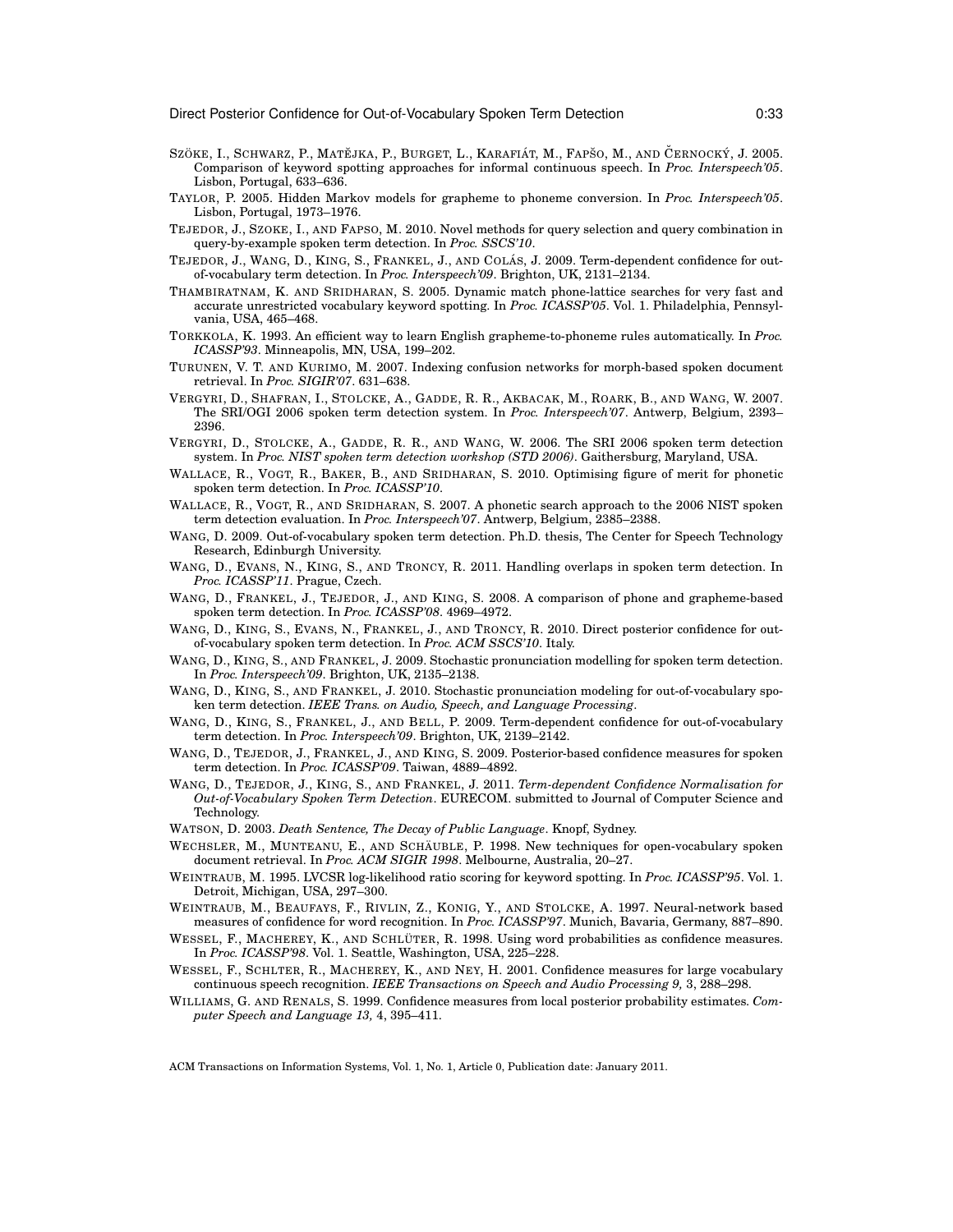- SZÖKE, I., SCHWARZ, P., MATĚJKA, P., BURGET, L., KARAFIÁT, M., FAPŠO, M., AND ČERNOCKÝ, J. 2005. Comparison of keyword spotting approaches for informal continuous speech. In *Proc. Interspeech'05*. Lisbon, Portugal, 633–636.
- TAYLOR, P. 2005. Hidden Markov models for grapheme to phoneme conversion. In *Proc. Interspeech'05*. Lisbon, Portugal, 1973–1976.
- TEJEDOR, J., SZOKE, I., AND FAPSO, M. 2010. Novel methods for query selection and query combination in query-by-example spoken term detection. In *Proc. SSCS'10*.
- TEJEDOR, J., WANG, D., KING, S., FRANKEL, J., AND COLÁS, J. 2009. Term-dependent confidence for outof-vocabulary term detection. In *Proc. Interspeech'09*. Brighton, UK, 2131–2134.
- THAMBIRATNAM, K. AND SRIDHARAN, S. 2005. Dynamic match phone-lattice searches for very fast and accurate unrestricted vocabulary keyword spotting. In *Proc. ICASSP'05*. Vol. 1. Philadelphia, Pennsylvania, USA, 465–468.
- TORKKOLA, K. 1993. An efficient way to learn English grapheme-to-phoneme rules automatically. In *Proc. ICASSP'93*. Minneapolis, MN, USA, 199–202.
- TURUNEN, V. T. AND KURIMO, M. 2007. Indexing confusion networks for morph-based spoken document retrieval. In *Proc. SIGIR'07*. 631–638.
- VERGYRI, D., SHAFRAN, I., STOLCKE, A., GADDE, R. R., AKBACAK, M., ROARK, B., AND WANG, W. 2007. The SRI/OGI 2006 spoken term detection system. In *Proc. Interspeech'07*. Antwerp, Belgium, 2393– 2396.
- VERGYRI, D., STOLCKE, A., GADDE, R. R., AND WANG, W. 2006. The SRI 2006 spoken term detection system. In *Proc. NIST spoken term detection workshop (STD 2006)*. Gaithersburg, Maryland, USA.
- WALLACE, R., VOGT, R., BAKER, B., AND SRIDHARAN, S. 2010. Optimising figure of merit for phonetic spoken term detection. In *Proc. ICASSP'10*.
- WALLACE, R., VOGT, R., AND SRIDHARAN, S. 2007. A phonetic search approach to the 2006 NIST spoken term detection evaluation. In *Proc. Interspeech'07*. Antwerp, Belgium, 2385–2388.
- WANG, D. 2009. Out-of-vocabulary spoken term detection. Ph.D. thesis, The Center for Speech Technology Research, Edinburgh University.
- WANG, D., EVANS, N., KING, S., AND TRONCY, R. 2011. Handling overlaps in spoken term detection. In *Proc. ICASSP'11*. Prague, Czech.
- WANG, D., FRANKEL, J., TEJEDOR, J., AND KING, S. 2008. A comparison of phone and grapheme-based spoken term detection. In *Proc. ICASSP'08*. 4969–4972.
- WANG, D., KING, S., EVANS, N., FRANKEL, J., AND TRONCY, R. 2010. Direct posterior confidence for outof-vocabulary spoken term detection. In *Proc. ACM SSCS'10*. Italy.
- WANG, D., KING, S., AND FRANKEL, J. 2009. Stochastic pronunciation modelling for spoken term detection. In *Proc. Interspeech'09*. Brighton, UK, 2135–2138.
- WANG, D., KING, S., AND FRANKEL, J. 2010. Stochastic pronunciation modeling for out-of-vocabulary spoken term detection. *IEEE Trans. on Audio, Speech, and Language Processing*.
- WANG, D., KING, S., FRANKEL, J., AND BELL, P. 2009. Term-dependent confidence for out-of-vocabulary term detection. In *Proc. Interspeech'09*. Brighton, UK, 2139–2142.
- WANG, D., TEJEDOR, J., FRANKEL, J., AND KING, S. 2009. Posterior-based confidence measures for spoken term detection. In *Proc. ICASSP'09*. Taiwan, 4889–4892.
- WANG, D., TEJEDOR, J., KING, S., AND FRANKEL, J. 2011. *Term-dependent Confidence Normalisation for Out-of-Vocabulary Spoken Term Detection*. EURECOM. submitted to Journal of Computer Science and Technology.
- WATSON, D. 2003. *Death Sentence, The Decay of Public Language*. Knopf, Sydney.
- WECHSLER, M., MUNTEANU, E., AND SCHÄUBLE, P. 1998. New techniques for open-vocabulary spoken document retrieval. In *Proc. ACM SIGIR 1998*. Melbourne, Australia, 20–27.
- WEINTRAUB, M. 1995. LVCSR log-likelihood ratio scoring for keyword spotting. In *Proc. ICASSP'95*. Vol. 1. Detroit, Michigan, USA, 297–300.
- WEINTRAUB, M., BEAUFAYS, F., RIVLIN, Z., KONIG, Y., AND STOLCKE, A. 1997. Neural-network based measures of confidence for word recognition. In *Proc. ICASSP'97*. Munich, Bavaria, Germany, 887–890.
- WESSEL, F., MACHEREY, K., AND SCHLÜTER, R. 1998. Using word probabilities as confidence measures. In *Proc. ICASSP'98*. Vol. 1. Seattle, Washington, USA, 225–228.
- WESSEL, F., SCHLTER, R., MACHEREY, K., AND NEY, H. 2001. Confidence measures for large vocabulary continuous speech recognition. *IEEE Transactions on Speech and Audio Processing 9,* 3, 288–298.
- WILLIAMS, G. AND RENALS, S. 1999. Confidence measures from local posterior probability estimates. *Computer Speech and Language 13,* 4, 395–411.